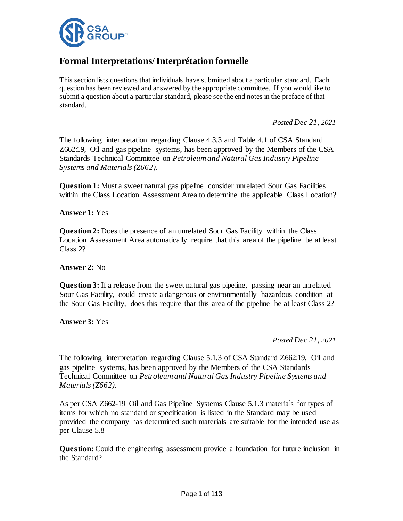

# **Formal Interpretations/Interprétation formelle**

This section lists questions that individuals have submitted about a particular standard. Each question has been reviewed and answered by the appropriate committee. If you would like to submit a question about a particular standard, please see the end notes in the preface of that standard.

*Posted Dec 21, 2021*

The following interpretation regarding Clause 4.3.3 and Table 4.1 of CSA Standard Z662:19, Oil and gas pipeline systems, has been approved by the Members of the CSA Standards Technical Committee on *Petroleum and Natural Gas Industry Pipeline Systems and Materials (Z662)*.

**Question 1:** Must a sweet natural gas pipeline consider unrelated Sour Gas Facilities within the Class Location Assessment Area to determine the applicable Class Location?

**Answer 1:** Yes

**Question 2:** Does the presence of an unrelated Sour Gas Facility within the Class Location Assessment Area automatically require that this area of the pipeline be at least Class 2?

## **Answer 2:** No

**Question 3:** If a release from the sweet natural gas pipeline, passing near an unrelated Sour Gas Facility, could create a dangerous or environmentally hazardous condition at the Sour Gas Facility, does this require that this area of the pipeline be at least Class 2?

**Answer 3:** Yes

*Posted Dec 21, 2021*

The following interpretation regarding Clause 5.1.3 of CSA Standard Z662:19, Oil and gas pipeline systems, has been approved by the Members of the CSA Standards Technical Committee on *Petroleum and Natural Gas Industry Pipeline Systems and Materials (Z662)*.

As per CSA Z662-19 Oil and Gas Pipeline Systems Clause 5.1.3 materials for types of items for which no standard or specification is listed in the Standard may be used provided the company has determined such materials are suitable for the intended use as per Clause 5.8

**Question:** Could the engineering assessment provide a foundation for future inclusion in the Standard?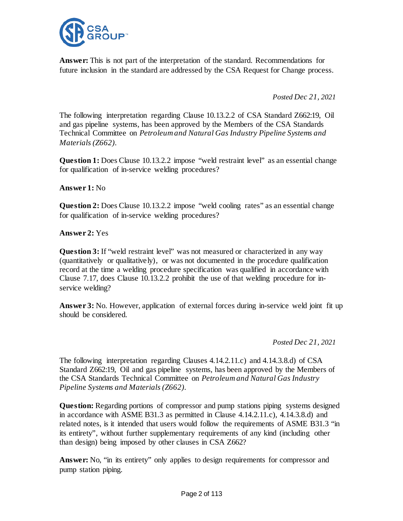

**Answer:** This is not part of the interpretation of the standard. Recommendations for future inclusion in the standard are addressed by the CSA Request for Change process.

*Posted Dec 21, 2021*

The following interpretation regarding Clause 10.13.2.2 of CSA Standard Z662:19, Oil and gas pipeline systems, has been approved by the Members of the CSA Standards Technical Committee on *Petroleum and Natural Gas Industry Pipeline Systems and Materials (Z662)*.

**Question 1:** Does Clause 10.13.2.2 impose "weld restraint level" as an essential change for qualification of in-service welding procedures?

# **Answer 1:** No

**Question 2:** Does Clause 10.13.2.2 impose "weld cooling rates" as an essential change for qualification of in-service welding procedures?

# **Answer 2:** Yes

**Question 3:** If "weld restraint level" was not measured or characterized in any way (quantitatively or qualitatively), or was not documented in the procedure qualification record at the time a welding procedure specification was qualified in accordance with Clause 7.17, does Clause 10.13.2.2 prohibit the use of that welding procedure for inservice welding?

**Answer 3:** No. However, application of external forces during in-service weld joint fit up should be considered.

*Posted Dec 21, 2021*

The following interpretation regarding Clauses 4.14.2.11.c) and 4.14.3.8.d) of CSA Standard Z662:19, Oil and gas pipeline systems, has been approved by the Members of the CSA Standards Technical Committee on *Petroleum and Natural Gas Industry Pipeline Systems and Materials (Z662)*.

**Question:** Regarding portions of compressor and pump stations piping systems designed in accordance with ASME B31.3 as permitted in Clause 4.14.2.11.c), 4.14.3.8.d) and related notes, is it intended that users would follow the requirements of ASME B31.3 "in its entirety", without further supplementary requirements of any kind (including other than design) being imposed by other clauses in CSA Z662?

**Answer:** No, "in its entirety" only applies to design requirements for compressor and pump station piping.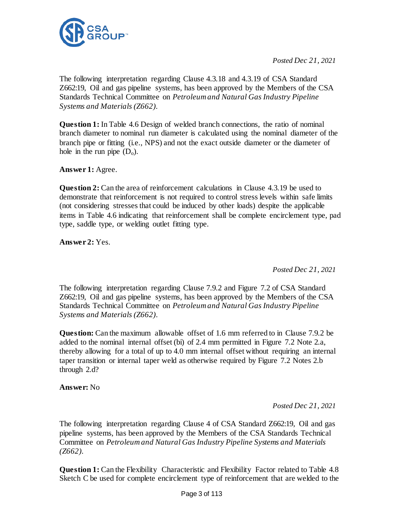

*Posted Dec 21, 2021*

The following interpretation regarding Clause 4.3.18 and 4.3.19 of CSA Standard Z662:19, Oil and gas pipeline systems, has been approved by the Members of the CSA Standards Technical Committee on *Petroleumand Natural Gas Industry Pipeline Systems and Materials (Z662)*.

**Question 1:** In Table 4.6 Design of welded branch connections, the ratio of nominal branch diameter to nominal run diameter is calculated using the nominal diameter of the branch pipe or fitting (i.e., NPS) and not the exact outside diameter or the diameter of hole in the run pipe  $(D_0)$ .

**Answer 1:** Agree.

**Question 2:** Can the area of reinforcement calculations in Clause 4.3.19 be used to demonstrate that reinforcement is not required to control stress levels within safe limits (not considering stresses that could be induced by other loads) despite the applicable items in Table 4.6 indicating that reinforcement shall be complete encirclement type, pad type, saddle type, or welding outlet fitting type.

**Answer 2:** Yes.

*Posted Dec 21, 2021*

The following interpretation regarding Clause 7.9.2 and Figure 7.2 of CSA Standard Z662:19, Oil and gas pipeline systems, has been approved by the Members of the CSA Standards Technical Committee on *Petroleum and Natural Gas Industry Pipeline Systems and Materials (Z662)*.

**Question:** Can the maximum allowable offset of 1.6 mm referred to in Clause 7.9.2 be added to the nominal internal offset (bi) of 2.4 mm permitted in Figure 7.2 Note 2.a, thereby allowing for a total of up to 4.0 mm internal offset without requiring an internal taper transition or internal taper weld as otherwise required by Figure 7.2 Notes 2.b through 2.d?

**Answer:** No

*Posted Dec 21, 2021*

The following interpretation regarding Clause 4 of CSA Standard Z662:19, Oil and gas pipeline systems, has been approved by the Members of the CSA Standards Technical Committee on *Petroleum and Natural Gas Industry Pipeline Systems and Materials (Z662)*.

**Question 1:** Can the Flexibility Characteristic and Flexibility Factor related to Table 4.8 Sketch C be used for complete encirclement type of reinforcement that are welded to the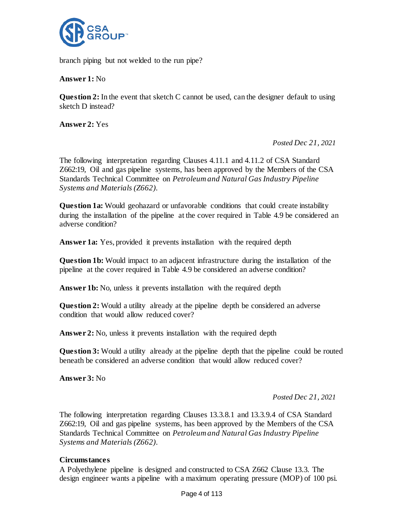

branch piping but not welded to the run pipe?

**Answer 1:** No

**Question 2:** In the event that sketch C cannot be used, can the designer default to using sketch D instead?

**Answer 2:** Yes

*Posted Dec 21, 2021*

The following interpretation regarding Clauses 4.11.1 and 4.11.2 of CSA Standard Z662:19, Oil and gas pipeline systems, has been approved by the Members of the CSA Standards Technical Committee on *Petroleum and Natural Gas Industry Pipeline Systems and Materials (Z662)*.

**Question 1a:** Would geohazard or unfavorable conditions that could create instability during the installation of the pipeline at the cover required in Table 4.9 be considered an adverse condition?

**Answer 1a:** Yes, provided it prevents installation with the required depth

**Question 1b:** Would impact to an adjacent infrastructure during the installation of the pipeline at the cover required in Table 4.9 be considered an adverse condition?

**Answer 1b:** No, unless it prevents installation with the required depth

**Question 2:** Would a utility already at the pipeline depth be considered an adverse condition that would allow reduced cover?

**Answer 2:** No, unless it prevents installation with the required depth

**Question 3:** Would a utility already at the pipeline depth that the pipeline could be routed beneath be considered an adverse condition that would allow reduced cover?

**Answer 3:** No

*Posted Dec 21, 2021*

The following interpretation regarding Clauses 13.3.8.1 and 13.3.9.4 of CSA Standard Z662:19, Oil and gas pipeline systems, has been approved by the Members of the CSA Standards Technical Committee on *Petroleum and Natural Gas Industry Pipeline Systems and Materials (Z662)*.

## **Circumstances**

A Polyethylene pipeline is designed and constructed to CSA Z662 Clause 13.3. The design engineer wants a pipeline with a maximum operating pressure (MOP) of 100 psi.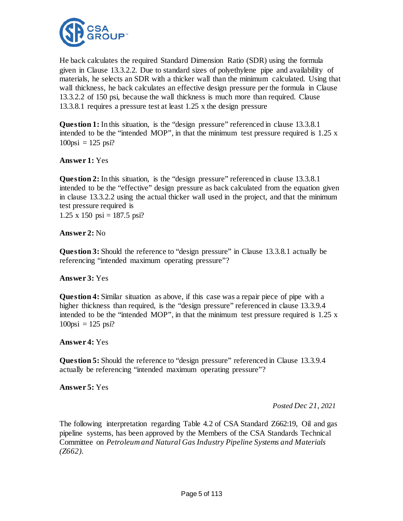

He back calculates the required Standard Dimension Ratio (SDR) using the formula given in Clause 13.3.2.2. Due to standard sizes of polyethylene pipe and availability of materials, he selects an SDR with a thicker wall than the minimum calculated. Using that wall thickness, he back calculates an effective design pressure per the formula in Clause 13.3.2.2 of 150 psi, because the wall thickness is much more than required. Clause 13.3.8.1 requires a pressure test at least 1.25 x the design pressure

**Question 1:** In this situation, is the "design pressure" referenced in clause 13.3.8.1 intended to be the "intended MOP", in that the minimum test pressure required is 1.25 x  $100\pi$ i = 125 psi?

# **Answer 1:** Yes

**Question 2:** In this situation, is the "design pressure" referenced in clause 13.3.8.1 intended to be the "effective" design pressure as back calculated from the equation given in clause 13.3.2.2 using the actual thicker wall used in the project, and that the minimum test pressure required is

 $1.25 \times 150 \text{ psi} = 187.5 \text{ psi}$ ?

# **Answer 2:** No

**Question 3:** Should the reference to "design pressure" in Clause 13.3.8.1 actually be referencing "intended maximum operating pressure"?

# **Answer 3:** Yes

**Question 4:** Similar situation as above, if this case was a repair piece of pipe with a higher thickness than required, is the "design pressure" referenced in clause 13.3.9.4 intended to be the "intended MOP", in that the minimum test pressure required is 1.25 x  $100\pi$ i = 125 psi?

# **Answer 4:** Yes

**Question 5:** Should the reference to "design pressure" referenced in Clause 13.3.9.4 actually be referencing "intended maximum operating pressure"?

# **Answer 5:** Yes

*Posted Dec 21, 2021*

The following interpretation regarding Table 4.2 of CSA Standard Z662:19, Oil and gas pipeline systems, has been approved by the Members of the CSA Standards Technical Committee on *Petroleum and Natural Gas Industry Pipeline Systems and Materials (Z662)*.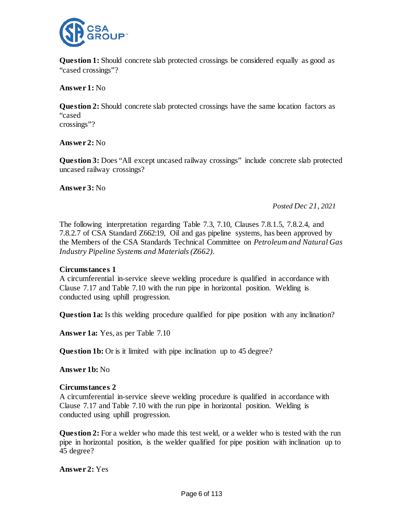

**Question 1:** Should concrete slab protected crossings be considered equally as good as "cased crossings"?

**Answer 1:** No

**Question 2:** Should concrete slab protected crossings have the same location factors as "cased crossings"?

**Answer 2:** No

**Question 3:** Does "All except uncased railway crossings" include concrete slab protected uncased railway crossings?

**Answer 3:** No

*Posted Dec 21, 2021*

The following interpretation regarding Table 7.3, 7.10, Clauses 7.8.1.5, 7.8.2.4, and 7.8.2.7 of CSA Standard Z662:19, Oil and gas pipeline systems, has been approved by the Members of the CSA Standards Technical Committee on *Petroleum and Natural Gas Industry Pipeline Systems and Materials (Z662)*.

# **Circumstances 1**

A circumferential in-service sleeve welding procedure is qualified in accordance with Clause 7.17 and Table 7.10 with the run pipe in horizontal position. Welding is conducted using uphill progression.

**Question 1a:** Is this welding procedure qualified for pipe position with any inclination?

**Answer 1a:** Yes, as per Table 7.10

**Question 1b:** Or is it limited with pipe inclination up to 45 degree?

**Answer 1b:** No

## **Circumstances 2**

A circumferential in-service sleeve welding procedure is qualified in accordance with Clause 7.17 and Table 7.10 with the run pipe in horizontal position. Welding is conducted using uphill progression.

**Question 2:** For a welder who made this test weld, or a welder who is tested with the run pipe in horizontal position, is the welder qualified for pipe position with inclination up to 45 degree?

**Answer 2:** Yes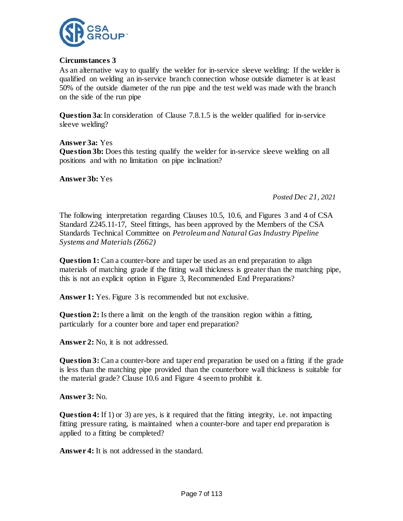

# **Circumstances 3**

As an alternative way to qualify the welder for in-service sleeve welding: If the welder is qualified on welding an in-service branch connection whose outside diameter is at least 50% of the outside diameter of the run pipe and the test weld was made with the branch on the side of the run pipe

**Question 3a**: In consideration of Clause 7.8.1.5 is the welder qualified for in-service sleeve welding?

**Answer 3a:** Yes **Question 3b:** Does this testing qualify the welder for in-service sleeve welding on all positions and with no limitation on pipe inclination?

**Answer 3b:** Yes

*Posted Dec 21, 2021*

The following interpretation regarding Clauses 10.5, 10.6, and Figures 3 and 4 of CSA Standard Z245.11-17, Steel fittings, has been approved by the Members of the CSA Standards Technical Committee on *Petroleumand Natural Gas Industry Pipeline Systems and Materials (Z662)*

**Question 1:** Can a counter-bore and taper be used as an end preparation to align materials of matching grade if the fitting wall thickness is greater than the matching pipe, this is not an explicit option in Figure 3, Recommended End Preparations?

Answer 1: Yes. Figure 3 is recommended but not exclusive.

**Question 2:** Is there a limit on the length of the transition region within a fitting, particularly for a counter bore and taper end preparation?

**Answer 2:** No, it is not addressed.

**Question 3:** Can a counter-bore and taper end preparation be used on a fitting if the grade is less than the matching pipe provided than the counterbore wall thickness is suitable for the material grade? Clause 10.6 and Figure 4 seem to prohibit it.

**Answer 3:** No.

**Question 4:** If 1) or 3) are yes, is it required that the fitting integrity, i.e. not impacting fitting pressure rating, is maintained when a counter-bore and taper end preparation is applied to a fitting be completed?

**Answer 4:** It is not addressed in the standard.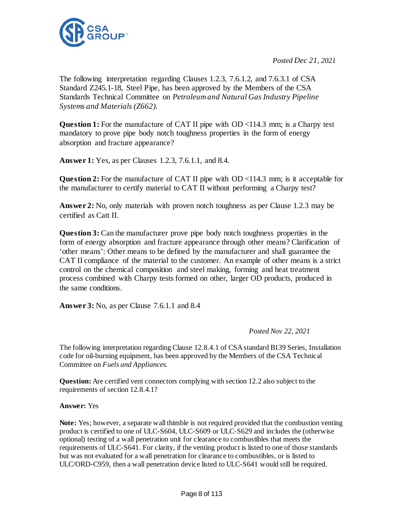

*Posted Dec 21, 2021*

The following interpretation regarding Clauses 1.2.3, 7.6.1.2, and 7.6.3.1 of CSA Standard Z245.1-18, Steel Pipe, has been approved by the Members of the CSA Standards Technical Committee on *Petroleum and Natural Gas Industry Pipeline Systems and Materials (Z662).*

**Question 1:** For the manufacture of CAT II pipe with OD <114.3 mm; is a Charpy test mandatory to prove pipe body notch toughness properties in the form of energy absorption and fracture appearance?

**Answer 1:** Yes, as per Clauses 1.2.3, 7.6.1.1, and 8.4.

**Question 2:** For the manufacture of CAT II pipe with OD <114.3 mm; is it acceptable for the manufacturer to certify material to CAT II without performing a Charpy test?

**Answer 2:** No, only materials with proven notch toughness as per Clause 1.2.3 may be certified as Catt II.

**Question 3:** Can the manufacturer prove pipe body notch toughness properties in the form of energy absorption and fracture appearance through other means? Clarification of 'other means': Other means to be defined by the manufacturer and shall guarantee the CAT II compliance of the material to the customer. An example of other means is a strict control on the chemical composition and steel making, forming and heat treatment process combined with Charpy tests formed on other, larger OD products, produced in the same conditions.

**Answer 3:** No, as per Clause 7.6.1.1 and 8.4

*Posted Nov 22, 2021*

The following interpretation regarding Clause 12.8.4.1 of CSA standard B139 Series, Installation code for oil-burning equipment, has been approved by the Members of the CSA Technical Committee on *Fuels and Appliances.*

**Question:** Are certified vent connectors complying with section 12.2 also subject to the requirements of section 12.8.4.1?

## **Answer:** Yes

**Note:** Yes; however, a separate wall thimble is not required provided that the combustion venting product is certified to one of ULC-S604, ULC-S609 or ULC-S629 and includes the (otherwise optional) testing of a wall penetration unit for clearance to combustibles that meets the requirements of ULC-S641. For clarity, if the venting product is listed to one of those standards but was not evaluated for a wall penetration for clearance to combustibles, or is listed to ULC/ORD-C959, then a wall penetration device listed to ULC-S641 would still be required.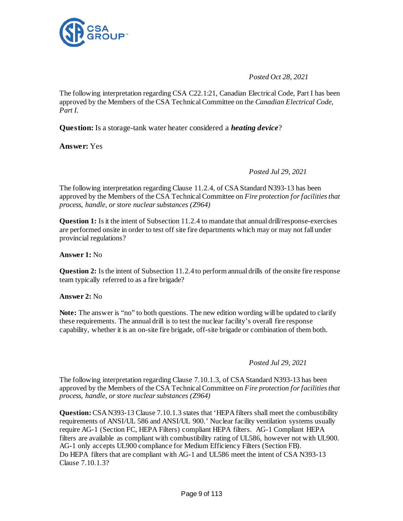

*Posted Oct 28, 2021*

The following interpretation regarding CSA C22.1:21, Canadian Electrical Code, Part I has been approved by the Members of the CSA Technical Committee on the *Canadian Electrical Code, Part I.*

**Question:** Is a storage-tank water heater considered a *heating device*?

**Answer:** Yes

*Posted Jul 29, 2021*

The following interpretation regarding Clause 11.2.4, of CSA Standard N393-13 has been approved by the Members of the CSA Technical Committee on *Fire protection for facilities that process, handle, or store nuclear substances (Z964)*

**Question 1:** Is it the intent of Subsection 11.2.4 to mandate that annual drill/response-exercises are performed onsite in order to test off site fire departments which may or may not fall under provincial regulations?

**Answer 1:** No

**Question 2:** Is the intent of Subsection 11.2.4 to perform annual drills of the onsite fire response team typically referred to as a fire brigade?

**Answer 2:** No

**Note:** The answer is "no" to both questions. The new edition wording will be updated to clarify these requirements. The annual drill is to test the nuclear facility's overall fire response capability, whether it is an on-site fire brigade, off-site brigade or combination of them both.

## *Posted Jul 29, 2021*

The following interpretation regarding Clause 7.10.1.3, of CSA Standard N393-13 has been approved by the Members of the CSA Technical Committee on *Fire protection for facilities that process, handle, or store nuclear substances (Z964)*

**Question:** CSA N393-13 Clause 7.10.1.3 states that 'HEPA filters shall meet the combustibility requirements of ANSI/UL 586 and ANSI/UL 900.' Nuclear facility ventilation systems usually require AG-1 (Section FC, HEPA Filters) compliant HEPA filters. AG-1 Compliant HEPA filters are available as compliant with combustibility rating of UL586, however not with UL900. AG-1 only accepts UL900 compliance for Medium Efficiency Filters (Section FB). Do HEPA filters that are compliant with AG-1 and UL586 meet the intent of CSA N393-13 Clause 7.10.1.3?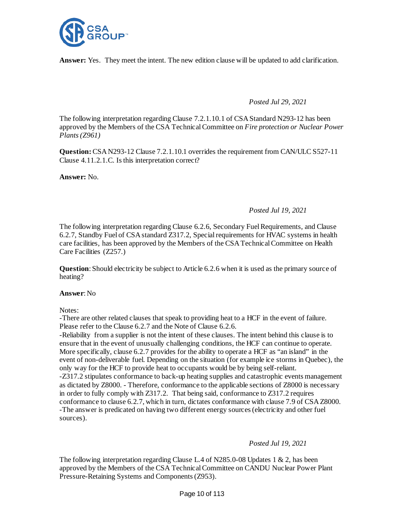

**Answer:** Yes. They meet the intent. The new edition clause will be updated to add clarification.

## *Posted Jul 29, 2021*

The following interpretation regarding Clause 7.2.1.10.1 of CSA Standard N293-12 has been approved by the Members of the CSA Technical Committee on *Fire protection or Nuclear Power Plants (Z961)*

**Question:**CSA N293-12 Clause 7.2.1.10.1 overrides the requirement from CAN/ULC S527-11 Clause 4.11.2.1.C. Is this interpretation correct?

**Answer:** No.

## *Posted Jul 19, 2021*

The following interpretation regarding Clause 6.2.6, Secondary Fuel Requirements, and Clause 6.2.7, Standby Fuel of CSA standard Z317.2, Special requirements for HVAC systems in health care facilities, has been approved by the Members of the CSA Technical Committee on Health Care Facilities (Z257.)

**Question:** Should electricity be subject to Article 6.2.6 when it is used as the primary source of heating?

## **Answer**: No

Notes:

-There are other related clauses that speak to providing heat to a HCF in the event of failure. Please refer to the Clause 6.2.7 and the Note of Clause 6.2.6.

-Reliability from a supplier is not the intent of these clauses. The intent behind this clause is to ensure that in the event of unusually challenging conditions, the HCF can continue to operate. More specifically, clause 6.2.7 provides for the ability to operate a HCF as "an island" in the event of non-deliverable fuel. Depending on the situation (for example ice storms in Quebec), the only way for the HCF to provide heat to occupants would be by being self-reliant. -Z317.2 stipulates conformance to back-up heating supplies and catastrophic events management as dictated by Z8000. - Therefore, conformance to the applicable sections of Z8000 is necessary in order to fully comply with Z317.2. That being said, conformance to Z317.2 requires conformance to clause 6.2.7, which in turn, dictates conformance with clause 7.9 of CSA Z8000. -The answer is predicated on having two different energy sources (electricity and other fuel sources).

## *Posted Jul 19, 2021*

The following interpretation regarding Clause L.4 of N285.0-08 Updates 1 & 2, has been approved by the Members of the CSA Technical Committee on CANDU Nuclear Power Plant Pressure-Retaining Systems and Components (Z953).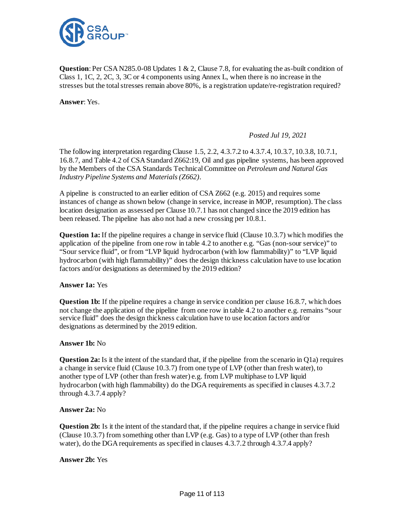

**Question**: Per CSA N285.0-08 Updates 1 & 2, Clause 7.8, for evaluating the as-built condition of Class 1, 1C, 2, 2C, 3, 3C or 4 components using Annex L, when there is no increase in the stresses but the total stresses remain above 80%, is a registration update/re-registration required?

**Answer**: Yes.

*Posted Jul 19, 2021*

The following interpretation regarding Clause 1.5, 2.2, 4.3.7.2 to 4.3.7.4, 10.3.7, 10.3.8, 10.7.1, 16.8.7, and Table 4.2 of CSA Standard Z662:19, Oil and gas pipeline systems, has been approved by the Members of the CSA Standards Technical Committee on *Petroleum and Natural Gas Industry Pipeline Systems and Materials (Z662)*.

A pipeline is constructed to an earlier edition of CSA Z662 (e.g. 2015) and requires some instances of change as shown below (change in service, increase in MOP, resumption). The class location designation as assessed per Clause 10.7.1 has not changed since the 2019 edition has been released. The pipeline has also not had a new crossing per 10.8.1.

**Question 1a:** If the pipeline requires a change in service fluid (Clause 10.3.7) which modifies the application of the pipeline from one row in table 4.2 to another e.g. "Gas (non-sour service)" to "Sour service fluid", or from "LVP liquid hydrocarbon (with low flammability)" to "LVP liquid hydrocarbon (with high flammability)" does the design thickness calculation have to use location factors and/or designations as determined by the 2019 edition?

## **Answer 1a:** Yes

**Question 1b:** If the pipeline requires a change in service condition per clause 16.8.7, which does not change the application of the pipeline from one row in table 4.2 to another e.g. remains "sour service fluid" does the design thickness calculation have to use location factors and/or designations as determined by the 2019 edition.

## **Answer 1b:** No

**Question 2a:** Is it the intent of the standard that, if the pipeline from the scenario in Q1a) requires a change in service fluid (Clause 10.3.7) from one type of LVP (other than fresh water), to another type of LVP (other than fresh water) e.g. from LVP multiphase to LVP liquid hydrocarbon (with high flammability) do the DGA requirements as specified in clauses 4.3.7.2 through 4.3.7.4 apply?

## **Answer 2a:** No

**Question 2b:** Is it the intent of the standard that, if the pipeline requires a change in service fluid (Clause 10.3.7) from something other than LVP (e.g. Gas) to a type of LVP (other than fresh water), do the DGA requirements as specified in clauses 4.3.7.2 through 4.3.7.4 apply?

**Answer 2b:** Yes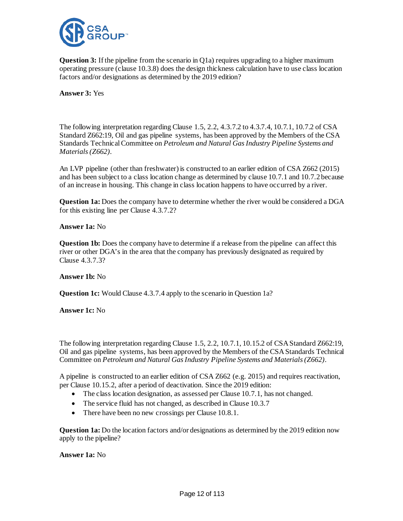

**Question 3:** If the pipeline from the scenario in Q1a) requires upgrading to a higher maximum operating pressure (clause 10.3.8) does the design thickness calculation have to use class location factors and/or designations as determined by the 2019 edition?

**Answer 3:** Yes

The following interpretation regarding Clause 1.5, 2.2, 4.3.7.2 to 4.3.7.4, 10.7.1, 10.7.2 of CSA Standard Z662:19, Oil and gas pipeline systems, has been approved by the Members of the CSA Standards Technical Committee on *Petroleum and Natural Gas Industry Pipeline Systems and Materials (Z662)*.

An LVP pipeline (other than freshwater) is constructed to an earlier edition of CSA Z662 (2015) and has been subject to a class location change as determined by clause 10.7.1 and 10.7.2 because of an increase in housing. This change in class location happens to have occurred by a river.

**Question 1a:** Does the company have to determine whether the river would be considered a DGA for this existing line per Clause 4.3.7.2?

## **Answer 1a:** No

**Question 1b:** Does the company have to determine if a release from the pipeline can affect this river or other DGA's in the area that the company has previously designated as required by Clause 4.3.7.3?

#### **Answer 1b:** No

**Question 1c:** Would Clause 4.3.7.4 apply to the scenario in Question 1a?

#### **Answer 1c:** No

The following interpretation regarding Clause 1.5, 2.2, 10.7.1, 10.15.2 of CSA Standard Z662:19, Oil and gas pipeline systems, has been approved by the Members of the CSA Standards Technical Committee on *Petroleum and Natural Gas Industry Pipeline Systems and Materials (Z662)*.

A pipeline is constructed to an earlier edition of CSA Z662 (e.g. 2015) and requires reactivation, per Clause 10.15.2, after a period of deactivation. Since the 2019 edition:

- The class location designation, as assessed per Clause 10.7.1, has not changed.
- The service fluid has not changed, as described in Clause 10.3.7
- There have been no new crossings per Clause 10.8.1.

**Question 1a:** Do the location factors and/or designations as determined by the 2019 edition now apply to the pipeline?

#### **Answer 1a:** No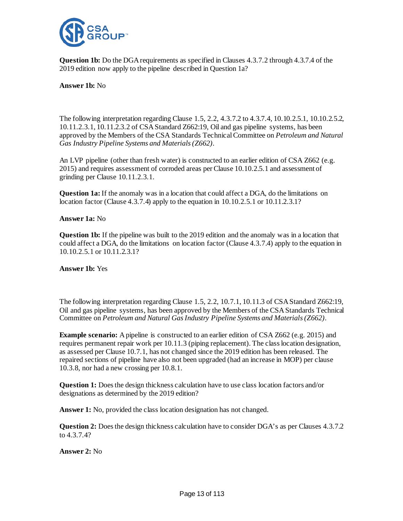

**Question 1b:** Do the DGA requirements as specified in Clauses 4.3.7.2 through 4.3.7.4 of the 2019 edition now apply to the pipeline described in Question 1a?

**Answer 1b:** No

The following interpretation regarding Clause 1.5, 2.2, 4.3.7.2 to 4.3.7.4, 10.10.2.5.1, 10.10.2.5.2, 10.11.2.3.1, 10.11.2.3.2 of CSA Standard Z662:19, Oil and gas pipeline systems, has been approved by the Members of the CSA Standards Technical Committee on *Petroleum and Natural Gas Industry Pipeline Systems and Materials (Z662)*.

An LVP pipeline (other than fresh water) is constructed to an earlier edition of CSA Z662 (e.g. 2015) and requires assessment of corroded areas per Clause 10.10.2.5.1 and assessment of grinding per Clause 10.11.2.3.1.

**Question 1a:** If the anomaly was in a location that could affect a DGA, do the limitations on location factor (Clause 4.3.7.4) apply to the equation in 10.10.2.5.1 or 10.11.2.3.1?

**Answer 1a:** No

**Question 1b:** If the pipeline was built to the 2019 edition and the anomaly was in a location that could affect a DGA, do the limitations on location factor (Clause 4.3.7.4) apply to the equation in 10.10.2.5.1 or 10.11.2.3.1?

**Answer 1b:** Yes

The following interpretation regarding Clause 1.5, 2.2, 10.7.1, 10.11.3 of CSA Standard Z662:19, Oil and gas pipeline systems, has been approved by the Members of the CSA Standards Technical Committee on *Petroleum and Natural Gas Industry Pipeline Systems and Materials (Z662)*.

**Example scenario:** A pipeline is constructed to an earlier edition of CSA Z662 (e.g. 2015) and requires permanent repair work per 10.11.3 (piping replacement). The class location designation, as assessed per Clause 10.7.1, has not changed since the 2019 edition has been released. The repaired sections of pipeline have also not been upgraded (had an increase in MOP) per clause 10.3.8, nor had a new crossing per 10.8.1.

**Question 1:** Does the design thickness calculation have to use class location factors and/or designations as determined by the 2019 edition?

**Answer 1:** No, provided the class location designation has not changed.

**Question 2:** Does the design thickness calculation have to consider DGA's as per Clauses 4.3.7.2 to 4.3.7.4?

**Answer 2:** No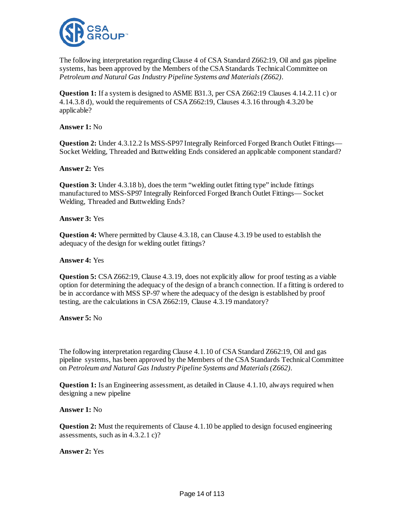

The following interpretation regarding Clause 4 of CSA Standard Z662:19, Oil and gas pipeline systems, has been approved by the Members of the CSA Standards Technical Committee on *Petroleum and Natural Gas Industry Pipeline Systems and Materials (Z662)*.

**Question 1:** If a system is designed to ASME B31.3, per CSA Z662:19 Clauses 4.14.2.11 c) or 4.14.3.8 d), would the requirements of CSA Z662:19, Clauses 4.3.16 through 4.3.20 be applicable?

**Answer 1:** No

**Question 2:** Under 4.3.12.2 Is MSS-SP97 Integrally Reinforced Forged Branch Outlet Fittings— Socket Welding, Threaded and Buttwelding Ends considered an applicable component standard?

**Answer 2:** Yes

**Question 3:** Under 4.3.18 b), does the term "welding outlet fitting type" include fittings manufactured to MSS-SP97 Integrally Reinforced Forged Branch Outlet Fittings— Socket Welding, Threaded and Buttwelding Ends?

**Answer 3:** Yes

**Question 4:** Where permitted by Clause 4.3.18, can Clause 4.3.19 be used to establish the adequacy of the design for welding outlet fittings?

**Answer 4:** Yes

**Question 5:** CSA Z662:19, Clause 4.3.19, does not explicitly allow for proof testing as a viable option for determining the adequacy of the design of a branch connection. If a fitting is ordered to be in accordance with MSS SP-97 where the adequacy of the design is established by proof testing, are the calculations in CSA Z662:19, Clause 4.3.19 mandatory?

**Answer 5:** No

The following interpretation regarding Clause 4.1.10 of CSA Standard Z662:19, Oil and gas pipeline systems, has been approved by the Members of the CSA Standards Technical Committee on *Petroleum and Natural Gas Industry Pipeline Systems and Materials (Z662)*.

**Question 1:** Is an Engineering assessment, as detailed in Clause 4.1.10, always required when designing a new pipeline

**Answer 1:** No

**Question 2:** Must the requirements of Clause 4.1.10 be applied to design focused engineering assessments, such as in 4.3.2.1 c)?

**Answer 2:** Yes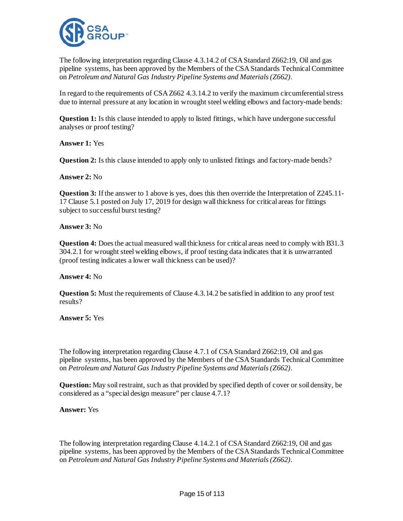

The following interpretation regarding Clause 4.3.14.2 of CSA Standard Z662:19, Oil and gas pipeline systems, has been approved by the Members of the CSA Standards Technical Committee on *Petroleum and Natural Gas Industry Pipeline Systems and Materials (Z662)*.

In regard to the requirements of CSA Z662 4.3.14.2 to verify the maximum circumferential stress due to internal pressure at any location in wrought steel welding elbows and factory-made bends:

**Question 1:** Is this clause intended to apply to listed fittings, which have undergone successful analyses or proof testing?

**Answer 1:** Yes

**Question 2:** Is this clause intended to apply only to unlisted fittings and factory-made bends?

**Answer 2:** No

**Question 3:** If the answer to 1 above is yes, does this then override the Interpretation of Z245.11-17 Clause 5.1 posted on July 17, 2019 for design wall thickness for critical areas for fittings subject to successful burst testing?

**Answer 3:** No

**Question 4:** Does the actual measured wall thickness for critical areas need to comply with B31.3 304.2.1 for wrought steel welding elbows, if proof testing data indicates that it is unwarranted (proof testing indicates a lower wall thickness can be used)?

**Answer 4:** No

**Question 5:** Must the requirements of Clause 4.3.14.2 be satisfied in addition to any proof test results?

**Answer 5:** Yes

The following interpretation regarding Clause 4.7.1 of CSA Standard Z662:19, Oil and gas pipeline systems, has been approved by the Members of the CSA Standards Technical Committee on *Petroleum and Natural Gas Industry Pipeline Systems and Materials (Z662)*.

**Question:** May soil restraint, such as that provided by specified depth of cover or soil density, be considered as a "special design measure" per clause 4.7.1?

**Answer:** Yes

The following interpretation regarding Clause 4.14.2.1 of CSA Standard Z662:19, Oil and gas pipeline systems, has been approved by the Members of the CSA Standards Technical Committee on *Petroleum and Natural Gas Industry Pipeline Systems and Materials (Z662)*.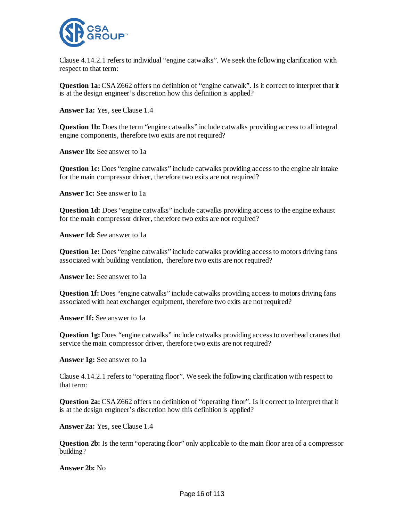

Clause 4.14.2.1 refers to individual "engine catwalks". We seek the following clarification with respect to that term:

**Question 1a:** CSA Z662 offers no definition of "engine catwalk". Is it correct to interpret that it is at the design engineer's discretion how this definition is applied?

**Answer 1a:** Yes, see Clause 1.4

**Question 1b:** Does the term "engine catwalks" include catwalks providing access to all integral engine components, therefore two exits are not required?

**Answer 1b:** See answer to 1a

**Question 1c:** Does "engine catwalks" include catwalks providing access to the engine air intake for the main compressor driver, therefore two exits are not required?

**Answer 1c:** See answer to 1a

**Question 1d:** Does "engine catwalks" include catwalks providing access to the engine exhaust for the main compressor driver, therefore two exits are not required?

**Answer 1d:** See answer to 1a

**Question 1e:** Does "engine catwalks" include catwalks providing access to motors driving fans associated with building ventilation, therefore two exits are not required?

**Answer 1e:** See answer to 1a

**Question 1f:** Does "engine catwalks" include catwalks providing access to motors driving fans associated with heat exchanger equipment, therefore two exits are not required?

**Answer 1f:** See answer to 1a

**Question 1g:** Does "engine catwalks" include catwalks providing access to overhead cranes that service the main compressor driver, therefore two exits are not required?

**Answer 1g:** See answer to 1a

Clause 4.14.2.1 refers to "operating floor". We seek the following clarification with respect to that term:

**Question 2a:** CSA Z662 offers no definition of "operating floor". Is it correct to interpret that it is at the design engineer's discretion how this definition is applied?

**Answer 2a:** Yes, see Clause 1.4

**Question 2b:** Is the term "operating floor" only applicable to the main floor area of a compressor building?

**Answer 2b:** No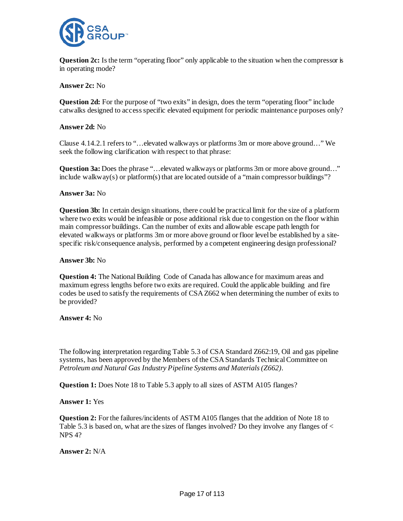

**Question 2c:** Is the term "operating floor" only applicable to the situation when the compressor is in operating mode?

**Answer 2c:** No

**Question 2d:** For the purpose of "two exits" in design, does the term "operating floor" include catwalks designed to access specific elevated equipment for periodic maintenance purposes only?

**Answer 2d:** No

Clause 4.14.2.1 refers to "…elevated walkways or platforms 3m or more above ground…" We seek the following clarification with respect to that phrase:

**Question 3a:** Does the phrase "…elevated walkways or platforms 3m or more above ground…" include walkway(s) or platform(s) that are located outside of a "main compressor buildings"?

**Answer 3a:** No

**Question 3b:** In certain design situations, there could be practical limit for the size of a platform where two exits would be infeasible or pose additional risk due to congestion on the floor within main compressor buildings. Can the number of exits and allowable escape path length for elevated walkways or platforms 3m or more above ground or floor level be established by a sitespecific risk/consequence analysis, performed by a competent engineering design professional?

**Answer 3b:** No

**Question 4:** The National Building Code of Canada has allowance for maximum areas and maximum egress lengths before two exits are required. Could the applicable building and fire codes be used to satisfy the requirements of CSA Z662 when determining the number of exits to be provided?

**Answer 4:** No

The following interpretation regarding Table 5.3 of CSA Standard Z662:19, Oil and gas pipeline systems, has been approved by the Members of the CSA Standards Technical Committee on *Petroleum and Natural Gas Industry Pipeline Systems and Materials (Z662)*.

**Question 1:** Does Note 18 to Table 5.3 apply to all sizes of ASTM A105 flanges?

**Answer 1:** Yes

**Question 2:** For the failures/incidents of ASTM A105 flanges that the addition of Note 18 to Table 5.3 is based on, what are the sizes of flanges involved? Do they involve any flanges of  $\lt$ NPS 4?

**Answer 2:** N/A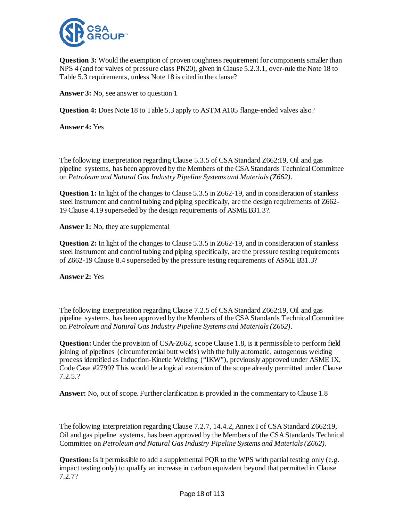

**Question 3:** Would the exemption of proven toughness requirement for components smaller than NPS 4 (and for valves of pressure class PN20), given in Clause 5.2.3.1, over-rule the Note 18 to Table 5.3 requirements, unless Note 18 is cited in the clause?

**Answer 3:** No, see answer to question 1

**Question 4:** Does Note 18 to Table 5.3 apply to ASTM A105 flange-ended valves also?

**Answer 4:** Yes

The following interpretation regarding Clause 5.3.5 of CSA Standard Z662:19, Oil and gas pipeline systems, has been approved by the Members of the CSA Standards Technical Committee on *Petroleum and Natural Gas Industry Pipeline Systems and Materials (Z662)*.

**Question 1:** In light of the changes to Clause 5.3.5 in Z662-19, and in consideration of stainless steel instrument and control tubing and piping specifically, are the design requirements of Z662- 19 Clause 4.19 superseded by the design requirements of ASME B31.3?.

**Answer 1:** No, they are supplemental

**Question 2:** In light of the changes to Clause 5.3.5 in Z662-19, and in consideration of stainless steel instrument and control tubing and piping specifically, are the pressure testing requirements of Z662-19 Clause 8.4 superseded by the pressure testing requirements of ASME B31.3?

**Answer 2:** Yes

The following interpretation regarding Clause 7.2.5 of CSA Standard Z662:19, Oil and gas pipeline systems, has been approved by the Members of the CSA Standards Technical Committee on *Petroleum and Natural Gas Industry Pipeline Systems and Materials (Z662)*.

**Question:** Under the provision of CSA-Z662, scope Clause 1.8, is it permissible to perform field joining of pipelines (circumferential butt welds) with the fully automatic, autogenous welding process identified as Induction-Kinetic Welding ("IKW"), previously approved under ASME IX, Code Case #2799? This would be a logical extension of the scope already permitted under Clause 7.2.5.?

**Answer:** No, out of scope. Further clarification is provided in the commentary to Clause 1.8

The following interpretation regarding Clause 7.2.7, 14.4.2, Annex I of CSA Standard Z662:19, Oil and gas pipeline systems, has been approved by the Members of the CSA Standards Technical Committee on *Petroleum and Natural Gas Industry Pipeline Systems and Materials (Z662)*.

**Question:** Is it permissible to add a supplemental PQR to the WPS with partial testing only (e.g. impact testing only) to qualify an increase in carbon equivalent beyond that permitted in Clause 7.2.7?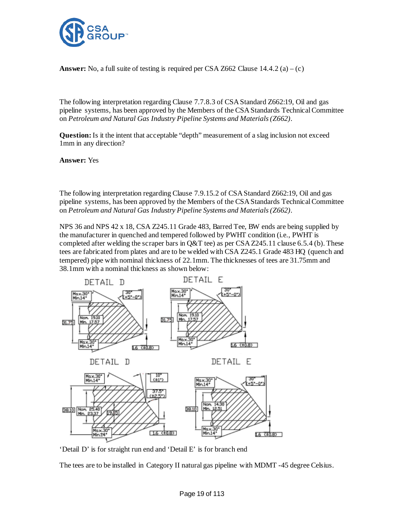

**Answer:** No, a full suite of testing is required per CSA Z662 Clause  $14.4.2$  (a) – (c)

The following interpretation regarding Clause 7.7.8.3 of CSA Standard Z662:19, Oil and gas pipeline systems, has been approved by the Members of the CSA Standards Technical Committee on *Petroleum and Natural Gas Industry Pipeline Systems and Materials (Z662)*.

**Question:** Is it the intent that acceptable "depth" measurement of a slag inclusion not exceed 1mm in any direction?

**Answer:** Yes

The following interpretation regarding Clause 7.9.15.2 of CSA Standard Z662:19, Oil and gas pipeline systems, has been approved by the Members of the CSA Standards Technical Committee on *Petroleum and Natural Gas Industry Pipeline Systems and Materials (Z662)*.

NPS 36 and NPS 42 x 18, CSA Z245.11 Grade 483, Barred Tee, BW ends are being supplied by the manufacturer in quenched and tempered followed by PWHT condition (i.e., PWHT is completed after welding the scraper bars in  $Q\&T$  tee) as per CSA Z245.11 clause 6.5.4 (b). These tees are fabricated from plates and are to be welded with CSA Z245.1 Grade 483 HQ (quench and tempered) pipe with nominal thickness of 22.1mm. The thicknesses of tees are 31.75mm and 38.1mm with a nominal thickness as shown below:



'Detail D' is for straight run end and 'Detail E' is for branch end

The tees are to be installed in Category II natural gas pipeline with MDMT -45 degree Celsius.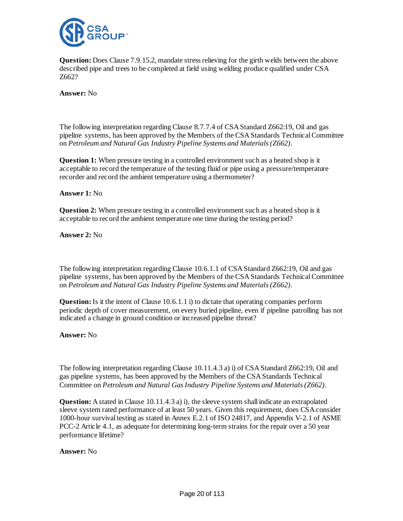

**Question:** Does Clause 7.9.15.2, mandate stress relieving for the girth welds between the above described pipe and trees to be completed at field using welding produce qualified under CSA Z662?

**Answer:** No

The following interpretation regarding Clause 8.7.7.4 of CSA Standard Z662:19, Oil and gas pipeline systems, has been approved by the Members of the CSA Standards Technical Committee on *Petroleum and Natural Gas Industry Pipeline Systems and Materials (Z662)*.

**Question 1:** When pressure testing in a controlled environment such as a heated shop is it acceptable to record the temperature of the testing fluid or pipe using a pressure/temperature recorder and record the ambient temperature using a thermometer?

#### **Answer 1:** No

**Question 2:** When pressure testing in a controlled environment such as a heated shop is it acceptable to record the ambient temperature one time during the testing period?

**Answer 2:** No

The following interpretation regarding Clause 10.6.1.1 of CSA Standard Z662:19, Oil and gas pipeline systems, has been approved by the Members of the CSA Standards Technical Committee on *Petroleum and Natural Gas Industry Pipeline Systems and Materials (Z662)*.

**Question:**Is it the intent of Clause 10.6.1.1 i) to dictate that operating companies perform periodic depth of cover measurement, on every buried pipeline, even if pipeline patrolling has not indicated a change in ground condition or increased pipeline threat?

**Answer:** No

The following interpretation regarding Clause 10.11.4.3 a) i) of CSA Standard Z662:19, Oil and gas pipeline systems, has been approved by the Members of the CSA Standards Technical Committee on *Petroleum and Natural Gas Industry Pipeline Systems and Materials (Z662)*.

**Question:** A stated in Clause 10.11.4.3 a) i), the sleeve system shall indicate an extrapolated sleeve system rated performance of at least 50 years. Given this requirement, does CSA consider 1000-hour survival testing as stated in Annex E.2.1 of ISO 24817, and Appendix V-2.1 of ASME PCC-2 Article 4.1, as adequate for determining long-term strains for the repair over a 50 year performance lifetime?

**Answer:** No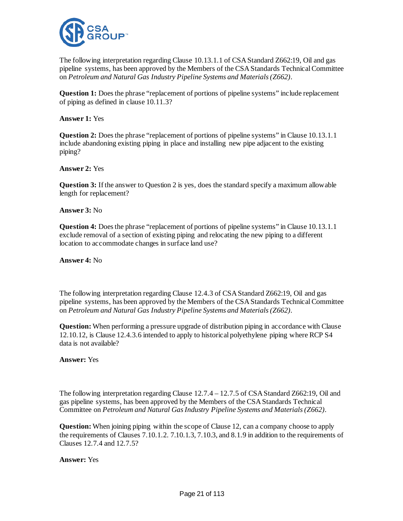

The following interpretation regarding Clause 10.13.1.1 of CSA Standard Z662:19, Oil and gas pipeline systems, has been approved by the Members of the CSA Standards Technical Committee on *Petroleum and Natural Gas Industry Pipeline Systems and Materials (Z662)*.

**Question 1:** Does the phrase "replacement of portions of pipeline systems" include replacement of piping as defined in clause 10.11.3?

#### **Answer 1:** Yes

**Question 2:** Does the phrase "replacement of portions of pipeline systems" in Clause 10.13.1.1 include abandoning existing piping in place and installing new pipe adjacent to the existing piping?

**Answer 2:** Yes

**Question 3:** If the answer to Question 2 is yes, does the standard specify a maximum allowable length for replacement?

**Answer 3:** No

**Question 4:** Does the phrase "replacement of portions of pipeline systems" in Clause 10.13.1.1 exclude removal of a section of existing piping and relocating the new piping to a different location to accommodate changes in surface land use?

**Answer 4:** No

The following interpretation regarding Clause 12.4.3 of CSA Standard Z662:19, Oil and gas pipeline systems, has been approved by the Members of the CSA Standards Technical Committee on *Petroleum and Natural Gas Industry Pipeline Systems and Materials (Z662)*.

**Question:** When performing a pressure upgrade of distribution piping in accordance with Clause 12.10.12, is Clause 12.4.3.6 intended to apply to historical polyethylene piping where RCP S4 data is not available?

**Answer:** Yes

The following interpretation regarding Clause 12.7.4 – 12.7.5 of CSA Standard Z662:19, Oil and gas pipeline systems, has been approved by the Members of the CSA Standards Technical Committee on *Petroleum and Natural Gas Industry Pipeline Systems and Materials (Z662)*.

**Question:** When joining piping within the scope of Clause 12, can a company choose to apply the requirements of Clauses 7.10.1.2. 7.10.1.3, 7.10.3, and 8.1.9 in addition to the requirements of Clauses 12.7.4 and 12.7.5?

**Answer:** Yes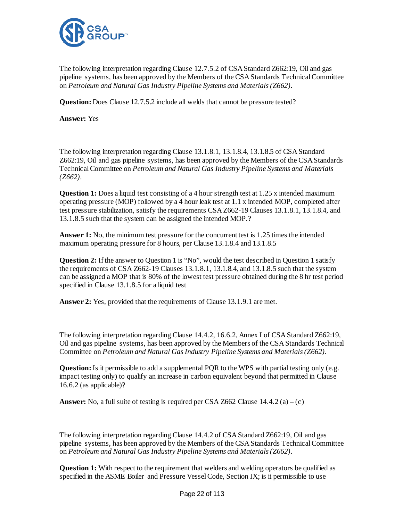

The following interpretation regarding Clause 12.7.5.2 of CSA Standard Z662:19, Oil and gas pipeline systems, has been approved by the Members of the CSA Standards Technical Committee on *Petroleum and Natural Gas Industry Pipeline Systems and Materials (Z662)*.

**Question:** Does Clause 12.7.5.2 include all welds that cannot be pressure tested?

**Answer:** Yes

The following interpretation regarding Clause 13.1.8.1, 13.1.8.4, 13.1.8.5 of CSA Standard Z662:19, Oil and gas pipeline systems, has been approved by the Members of the CSA Standards Technical Committee on *Petroleum and Natural Gas Industry Pipeline Systems and Materials (Z662)*.

**Question 1:** Does a liquid test consisting of a 4 hour strength test at 1.25 x intended maximum operating pressure (MOP) followed by a 4 hour leak test at 1.1 x intended MOP, completed after test pressure stabilization, satisfy the requirements CSA Z662-19 Clauses 13.1.8.1, 13.1.8.4, and 13.1.8.5 such that the system can be assigned the intended MOP.?

Answer 1: No, the minimum test pressure for the concurrent test is 1.25 times the intended maximum operating pressure for 8 hours, per Clause 13.1.8.4 and 13.1.8.5

**Question 2:** If the answer to Question 1 is "No", would the test described in Question 1 satisfy the requirements of CSA Z662-19 Clauses 13.1.8.1, 13.1.8.4, and 13.1.8.5 such that the system can be assigned a MOP that is 80% of the lowest test pressure obtained during the 8 hr test period specified in Clause 13.1.8.5 for a liquid test

**Answer 2:** Yes, provided that the requirements of Clause 13.1.9.1 are met.

The following interpretation regarding Clause 14.4.2, 16.6.2, Annex I of CSA Standard Z662:19, Oil and gas pipeline systems, has been approved by the Members of the CSA Standards Technical Committee on *Petroleum and Natural Gas Industry Pipeline Systems and Materials (Z662)*.

**Question:** Is it permissible to add a supplemental PQR to the WPS with partial testing only (e.g. impact testing only) to qualify an increase in carbon equivalent beyond that permitted in Clause 16.6.2 (as applicable)?

**Answer:** No, a full suite of testing is required per CSA Z662 Clause  $14.4.2$  (a) – (c)

The following interpretation regarding Clause 14.4.2 of CSA Standard Z662:19, Oil and gas pipeline systems, has been approved by the Members of the CSA Standards Technical Committee on *Petroleum and Natural Gas Industry Pipeline Systems and Materials (Z662)*.

**Question 1:** With respect to the requirement that welders and welding operators be qualified as specified in the ASME Boiler and Pressure Vessel Code, Section IX; is it permissible to use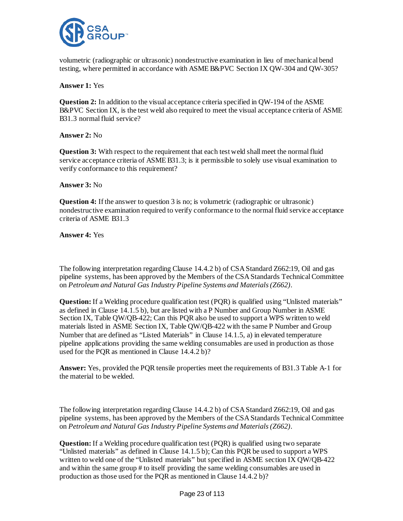

volumetric (radiographic or ultrasonic) nondestructive examination in lieu of mechanical bend testing, where permitted in accordance with ASME B&PVC Section IX QW-304 and QW-305?

**Answer 1:** Yes

**Question 2:** In addition to the visual acceptance criteria specified in QW-194 of the ASME B&PVC Section IX, is the test weld also required to meet the visual acceptance criteria of ASME B31.3 normal fluid service?

**Answer 2:** No

**Question 3:** With respect to the requirement that each test weld shall meet the normal fluid service acceptance criteria of ASME B31.3; is it permissible to solely use visual examination to verify conformance to this requirement?

## **Answer 3:** No

**Question 4:** If the answer to question 3 is no; is volumetric (radiographic or ultrasonic) nondestructive examination required to verify conformance to the normal fluid service acceptance criteria of ASME B31.3

**Answer 4:** Yes

The following interpretation regarding Clause 14.4.2 b) of CSA Standard Z662:19, Oil and gas pipeline systems, has been approved by the Members of the CSA Standards Technical Committee on *Petroleum and Natural Gas Industry Pipeline Systems and Materials (Z662)*.

**Question:** If a Welding procedure qualification test (PQR) is qualified using "Unlisted materials" as defined in Clause 14.1.5 b), but are listed with a P Number and Group Number in ASME Section IX, Table QW/QB-422; Can this PQR also be used to support a WPS written to weld materials listed in ASME Section IX, Table QW/QB-422 with the same P Number and Group Number that are defined as "Listed Materials" in Clause 14.1.5, a) in elevated temperature pipeline applications providing the same welding consumables are used in production as those used for the PQR as mentioned in Clause 14.4.2 b)?

**Answer:** Yes, provided the PQR tensile properties meet the requirements of B31.3 Table A-1 for the material to be welded.

The following interpretation regarding Clause 14.4.2 b) of CSA Standard Z662:19, Oil and gas pipeline systems, has been approved by the Members of the CSA Standards Technical Committee on *Petroleum and Natural Gas Industry Pipeline Systems and Materials (Z662)*.

**Question:**If a Welding procedure qualification test (PQR) is qualified using two separate "Unlisted materials" as defined in Clause 14.1.5 b); Can this PQR be used to support a WPS written to weld one of the "Unlisted materials" but specified in ASME section IX QW/QB-422 and within the same group # to itself providing the same welding consumables are used in production as those used for the PQR as mentioned in Clause 14.4.2 b)?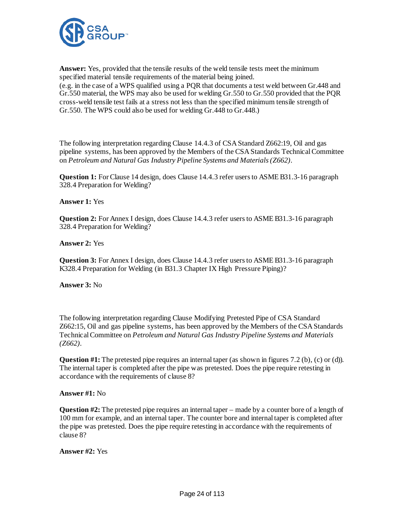

**Answer:** Yes, provided that the tensile results of the weld tensile tests meet the minimum specified material tensile requirements of the material being joined. (e.g. in the case of a WPS qualified using a PQR that documents a test weld between Gr.448 and Gr.550 material, the WPS may also be used for welding Gr.550 to Gr.550 provided that the PQR cross-weld tensile test fails at a stress not less than the specified minimum tensile strength of Gr.550. The WPS could also be used for welding Gr.448 to Gr.448.)

The following interpretation regarding Clause 14.4.3 of CSA Standard Z662:19, Oil and gas pipeline systems, has been approved by the Members of the CSA Standards Technical Committee on *Petroleum and Natural Gas Industry Pipeline Systems and Materials (Z662)*.

**Question 1:** For Clause 14 design, does Clause 14.4.3 refer users to ASME B31.3-16 paragraph 328.4 Preparation for Welding?

## **Answer 1:** Yes

**Question 2:** For Annex I design, does Clause 14.4.3 refer users to ASME B31.3-16 paragraph 328.4 Preparation for Welding?

#### **Answer 2:** Yes

**Question 3:** For Annex I design, does Clause 14.4.3 refer users to ASME B31.3-16 paragraph K328.4 Preparation for Welding (in B31.3 Chapter IX High Pressure Piping)?

#### **Answer 3:** No

The following interpretation regarding Clause Modifying Pretested Pipe of CSA Standard Z662:15, Oil and gas pipeline systems, has been approved by the Members of the CSA Standards Technical Committee on *Petroleum and Natural Gas Industry Pipeline Systems and Materials (Z662)*.

**Question #1:** The pretested pipe requires an internal taper (as shown in figures 7.2 (b), (c) or (d)). The internal taper is completed after the pipe was pretested. Does the pipe require retesting in accordance with the requirements of clause 8?

#### **Answer #1:** No

**Question #2:** The pretested pipe requires an internal taper – made by a counter bore of a length of 100 mm for example, and an internal taper. The counter bore and internal taper is completed after the pipe was pretested. Does the pipe require retesting in accordance with the requirements of clause 8?

**Answer #2:** Yes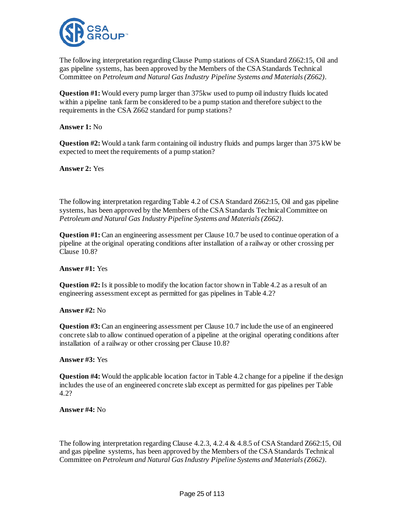

The following interpretation regarding Clause Pump stations of CSA Standard Z662:15, Oil and gas pipeline systems, has been approved by the Members of the CSA Standards Technical Committee on *Petroleum and Natural Gas Industry Pipeline Systems and Materials (Z662)*.

**Question #1:** Would every pump larger than 375kw used to pump oil industry fluids located within a pipeline tank farm be considered to be a pump station and therefore subject to the requirements in the CSA Z662 standard for pump stations?

**Answer 1:** No

**Question #2:** Would a tank farm containing oil industry fluids and pumps larger than 375 kW be expected to meet the requirements of a pump station?

**Answer 2:** Yes

The following interpretation regarding Table 4.2 of CSA Standard Z662:15, Oil and gas pipeline systems, has been approved by the Members of the CSA Standards Technical Committee on *Petroleum and Natural Gas Industry Pipeline Systems and Materials (Z662)*.

**Question #1:** Can an engineering assessment per Clause 10.7 be used to continue operation of a pipeline at the original operating conditions after installation of a railway or other crossing per Clause 10.8?

## **Answer #1:** Yes

**Question #2:** Is it possible to modify the location factor shown in Table 4.2 as a result of an engineering assessment except as permitted for gas pipelines in Table 4.2?

## **Answer #2:** No

**Question #3:** Can an engineering assessment per Clause 10.7 include the use of an engineered concrete slab to allow continued operation of a pipeline at the original operating conditions after installation of a railway or other crossing per Clause 10.8?

## **Answer #3:** Yes

**Question #4:** Would the applicable location factor in Table 4.2 change for a pipeline if the design includes the use of an engineered concrete slab except as permitted for gas pipelines per Table 4.2?

**Answer #4:** No

The following interpretation regarding Clause 4.2.3, 4.2.4 & 4.8.5 of CSA Standard Z662:15, Oil and gas pipeline systems, has been approved by the Members of the CSA Standards Technical Committee on *Petroleum and Natural Gas Industry Pipeline Systems and Materials (Z662)*.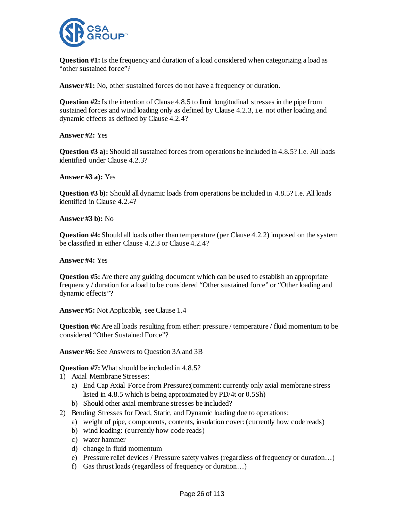

**Question #1:** Is the frequency and duration of a load considered when categorizing a load as "other sustained force"?

**Answer #1:** No, other sustained forces do not have a frequency or duration.

**Question #2:** Is the intention of Clause 4.8.5 to limit longitudinal stresses in the pipe from sustained forces and wind loading only as defined by Clause 4.2.3, i.e. not other loading and dynamic effects as defined by Clause 4.2.4?

**Answer #2:** Yes

**Question #3 a):** Should all sustained forces from operations be included in 4.8.5? I.e. All loads identified under Clause 4.2.3?

**Answer #3 a):** Yes

**Question #3 b):** Should all dynamic loads from operations be included in 4.8.5? I.e. All loads identified in Clause 4.2.4?

**Answer #3 b):** No

**Question #4:** Should all loads other than temperature (per Clause 4.2.2) imposed on the system be classified in either Clause 4.2.3 or Clause 4.2.4?

**Answer #4:** Yes

**Question #5:** Are there any guiding document which can be used to establish an appropriate frequency / duration for a load to be considered "Other sustained force" or "Other loading and dynamic effects"?

**Answer #5:** Not Applicable, see Clause 1.4

**Question #6:** Are all loads resulting from either: pressure / temperature / fluid momentum to be considered "Other Sustained Force"?

**Answer #6:** See Answers to Question 3A and 3B

**Question #7:** What should be included in 4.8.5?

- 1) Axial Membrane Stresses:
	- a) End Cap Axial Force from Pressure:(comment: currently only axial membrane stress listed in 4.8.5 which is being approximated by PD/4t or 0.5Sh)
	- b) Should other axial membrane stresses be included?
- 2) Bending Stresses for Dead, Static, and Dynamic loading due to operations:
	- a) weight of pipe, components, contents, insulation cover: (currently how code reads)
	- b) wind loading: (currently how code reads)
	- c) water hammer
	- d) change in fluid momentum
	- e) Pressure relief devices / Pressure safety valves (regardless of frequency or duration…)
	- f) Gas thrust loads (regardless of frequency or duration…)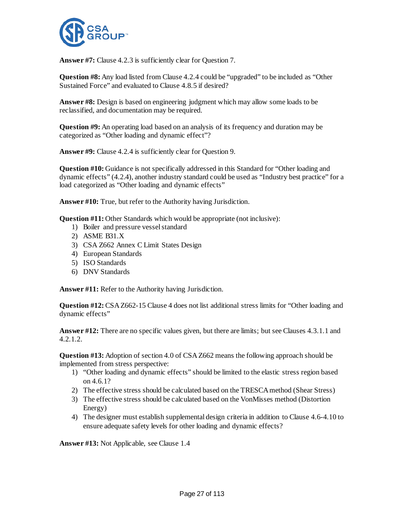

**Answer #7:** Clause 4.2.3 is sufficiently clear for Question 7.

**Question #8:** Any load listed from Clause 4.2.4 could be "upgraded" to be included as "Other Sustained Force" and evaluated to Clause 4.8.5 if desired?

**Answer #8:** Design is based on engineering judgment which may allow some loads to be reclassified, and documentation may be required.

**Question #9:** An operating load based on an analysis of its frequency and duration may be categorized as "Other loading and dynamic effect"?

**Answer #9:** Clause 4.2.4 is sufficiently clear for Question 9.

**Question #10:** Guidance is not specifically addressed in this Standard for "Other loading and dynamic effects" (4.2.4), another industry standard could be used as "Industry best practice" for a load categorized as "Other loading and dynamic effects"

**Answer #10:** True, but refer to the Authority having Jurisdiction.

**Question #11:** Other Standards which would be appropriate (not inclusive):

- 1) Boiler and pressure vessel standard
- 2) ASME B31.X
- 3) CSA Z662 Annex C Limit States Design
- 4) European Standards
- 5) ISO Standards
- 6) DNV Standards

**Answer #11:** Refer to the Authority having Jurisdiction.

**Question #12:** CSA Z662-15 Clause 4 does not list additional stress limits for "Other loading and dynamic effects"

**Answer #12:** There are no specific values given, but there are limits; but see Clauses 4.3.1.1 and 4.2.1.2.

**Question #13:** Adoption of section 4.0 of CSA Z662 means the following approach should be implemented from stress perspective:

- 1) "Other loading and dynamic effects" should be limited to the elastic stress region based on 4.6.1?
- 2) The effective stress should be calculated based on the TRESCA method (Shear Stress)
- 3) The effective stress should be calculated based on the VonMisses method (Distortion Energy)
- 4) The designer must establish supplemental design criteria in addition to Clause 4.6-4.10 to ensure adequate safety levels for other loading and dynamic effects?

**Answer #13:** Not Applicable, see Clause 1.4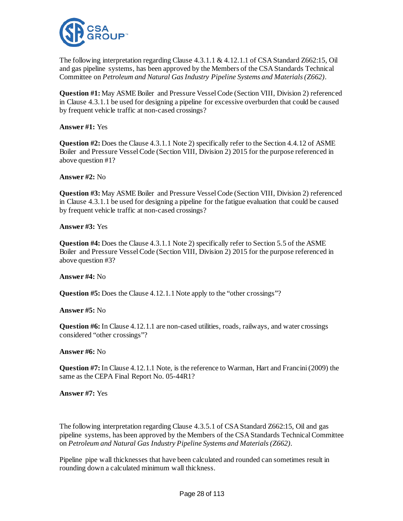

The following interpretation regarding Clause 4.3.1.1 & 4.12.1.1 of CSA Standard Z662:15, Oil and gas pipeline systems, has been approved by the Members of the CSA Standards Technical Committee on *Petroleum and Natural Gas Industry Pipeline Systems and Materials (Z662)*.

**Question #1:** May ASME Boiler and Pressure Vessel Code (Section VIII, Division 2) referenced in Clause 4.3.1.1 be used for designing a pipeline for excessive overburden that could be caused by frequent vehicle traffic at non-cased crossings?

**Answer #1:** Yes

**Question #2:** Does the Clause 4.3.1.1 Note 2) specifically refer to the Section 4.4.12 of ASME Boiler and Pressure Vessel Code (Section VIII, Division 2) 2015 for the purpose referenced in above question #1?

**Answer #2:** No

**Question #3:** May ASME Boiler and Pressure Vessel Code (Section VIII, Division 2) referenced in Clause 4.3.1.1 be used for designing a pipeline for the fatigue evaluation that could be caused by frequent vehicle traffic at non-cased crossings?

**Answer #3:** Yes

**Question #4:** Does the Clause 4.3.1.1 Note 2) specifically refer to Section 5.5 of the ASME Boiler and Pressure Vessel Code (Section VIII, Division 2) 2015 for the purpose referenced in above question #3?

**Answer #4:** No

**Question #5:** Does the Clause 4.12.1.1 Note apply to the "other crossings"?

**Answer #5:** No

**Question #6:** In Clause 4.12.1.1 are non-cased utilities, roads, railways, and water crossings considered "other crossings"?

**Answer #6:** No

**Question #7:** In Clause 4.12.1.1 Note, is the reference to Warman, Hart and Francini (2009) the same as the CEPA Final Report No. 05-44R1?

**Answer #7:** Yes

The following interpretation regarding Clause 4.3.5.1 of CSA Standard Z662:15, Oil and gas pipeline systems, has been approved by the Members of the CSA Standards Technical Committee on *Petroleum and Natural Gas Industry Pipeline Systems and Materials (Z662)*.

Pipeline pipe wall thicknesses that have been calculated and rounded can sometimes result in rounding down a calculated minimum wall thickness.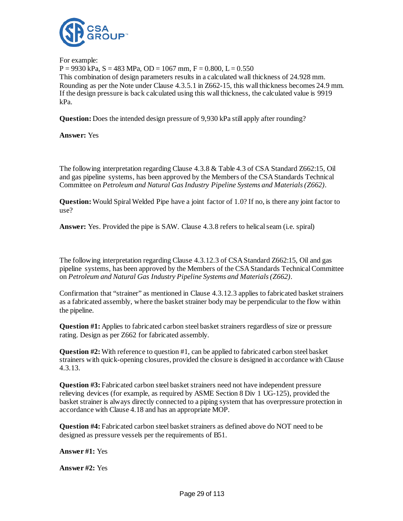

For example:  $P = 9930 \text{ kPa}, S = 483 \text{ MPa}, OD = 1067 \text{ mm}, F = 0.800, L = 0.550$ This combination of design parameters results in a calculated wall thickness of 24.928 mm. Rounding as per the Note under Clause 4.3.5.1 in Z662-15, this wall thickness becomes 24.9 mm. If the design pressure is back calculated using this wall thickness, the calculated value is 9919 kPa.

**Question:** Does the intended design pressure of 9,930 kPa still apply after rounding?

**Answer:** Yes

The following interpretation regarding Clause 4.3.8 & Table 4.3 of CSA Standard Z662:15, Oil and gas pipeline systems, has been approved by the Members of the CSA Standards Technical Committee on *Petroleum and Natural Gas Industry Pipeline Systems and Materials (Z662)*.

**Question:** Would Spiral Welded Pipe have a joint factor of 1.0? If no, is there any joint factor to use?

**Answer:** Yes. Provided the pipe is SAW. Clause 4.3.8 refers to helical seam (i.e. spiral)

The following interpretation regarding Clause 4.3.12.3 of CSA Standard Z662:15, Oil and gas pipeline systems, has been approved by the Members of the CSA Standards Technical Committee on *Petroleum and Natural Gas Industry Pipeline Systems and Materials (Z662)*.

Confirmation that "strainer" as mentioned in Clause 4.3.12.3 applies to fabricated basket strainers as a fabricated assembly, where the basket strainer body may be perpendicular to the flow within the pipeline.

**Question #1:** Applies to fabricated carbon steel basket strainers regardless of size or pressure rating. Design as per Z662 for fabricated assembly.

**Question #2:** With reference to question #1, can be applied to fabricated carbon steel basket strainers with quick-opening closures, provided the closure is designed in accordance with Clause 4.3.13.

**Question #3:** Fabricated carbon steel basket strainers need not have independent pressure relieving devices (for example, as required by ASME Section 8 Div 1 UG-125), provided the basket strainer is always directly connected to a piping system that has overpressure protection in accordance with Clause 4.18 and has an appropriate MOP.

**Question #4:** Fabricated carbon steel basket strainers as defined above do NOT need to be designed as pressure vessels per the requirements of B51.

**Answer #1:** Yes

**Answer #2:** Yes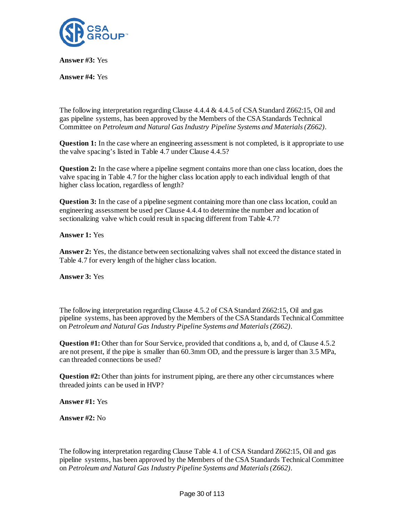

**Answer #3:** Yes

**Answer #4:** Yes

The following interpretation regarding Clause 4.4.4 & 4.4.5 of CSA Standard Z662:15, Oil and gas pipeline systems, has been approved by the Members of the CSA Standards Technical Committee on *Petroleum and Natural Gas Industry Pipeline Systems and Materials (Z662)*.

**Question 1:** In the case where an engineering assessment is not completed, is it appropriate to use the valve spacing's listed in Table 4.7 under Clause 4.4.5?

**Question 2:** In the case where a pipeline segment contains more than one class location, does the valve spacing in Table 4.7 for the higher class location apply to each individual length of that higher class location, regardless of length?

**Question 3:** In the case of a pipeline segment containing more than one class location, could an engineering assessment be used per Clause 4.4.4 to determine the number and location of sectionalizing valve which could result in spacing different from Table 4.7?

**Answer 1:** Yes

**Answer 2:** Yes, the distance between sectionalizing valves shall not exceed the distance stated in Table 4.7 for every length of the higher class location.

**Answer 3:** Yes

The following interpretation regarding Clause 4.5.2 of CSA Standard Z662:15, Oil and gas pipeline systems, has been approved by the Members of the CSA Standards Technical Committee on *Petroleum and Natural Gas Industry Pipeline Systems and Materials (Z662)*.

**Question #1:** Other than for Sour Service, provided that conditions a, b, and d, of Clause 4.5.2 are not present, if the pipe is smaller than 60.3mm OD, and the pressure is larger than 3.5 MPa, can threaded connections be used?

**Question #2:** Other than joints for instrument piping, are there any other circumstances where threaded joints can be used in HVP?

**Answer #1:** Yes

**Answer #2:** No

The following interpretation regarding Clause Table 4.1 of CSA Standard Z662:15, Oil and gas pipeline systems, has been approved by the Members of the CSA Standards Technical Committee on *Petroleum and Natural Gas Industry Pipeline Systems and Materials (Z662)*.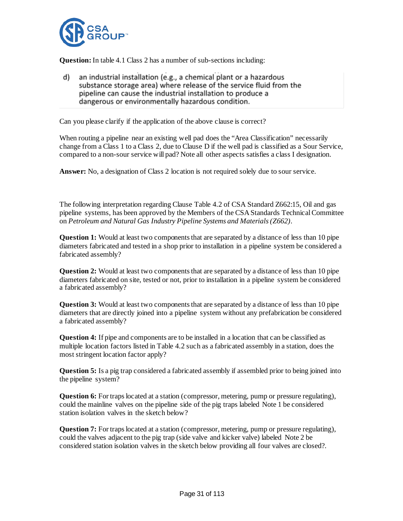

**Question:** In table 4.1 Class 2 has a number of sub-sections including:

an industrial installation (e.g., a chemical plant or a hazardous d) substance storage area) where release of the service fluid from the pipeline can cause the industrial installation to produce a dangerous or environmentally hazardous condition.

Can you please clarify if the application of the above clause is correct?

When routing a pipeline near an existing well pad does the "Area Classification" necessarily change from a Class 1 to a Class 2, due to Clause D if the well pad is classified as a Sour Service, compared to a non-sour service will pad? Note all other aspects satisfies a class I designation.

**Answer:** No, a designation of Class 2 location is not required solely due to sour service.

The following interpretation regarding Clause Table 4.2 of CSA Standard Z662:15, Oil and gas pipeline systems, has been approved by the Members of the CSA Standards Technical Committee on *Petroleum and Natural Gas Industry Pipeline Systems and Materials (Z662)*.

**Question 1:** Would at least two components that are separated by a distance of less than 10 pipe diameters fabricated and tested in a shop prior to installation in a pipeline system be considered a fabricated assembly?

**Question 2:** Would at least two components that are separated by a distance of less than 10 pipe diameters fabricated on site, tested or not, prior to installation in a pipeline system be considered a fabricated assembly?

**Question 3:** Would at least two components that are separated by a distance of less than 10 pipe diameters that are directly joined into a pipeline system without any prefabrication be considered a fabricated assembly?

**Question 4:** If pipe and components are to be installed in a location that can be classified as multiple location factors listed in Table 4.2 such as a fabricated assembly in a station, does the most stringent location factor apply?

**Question 5:** Is a pig trap considered a fabricated assembly if assembled prior to being joined into the pipeline system?

**Question 6:** For traps located at a station (compressor, metering, pump or pressure regulating), could the mainline valves on the pipeline side of the pig traps labeled Note 1 be considered station isolation valves in the sketch below?

**Question 7:** For traps located at a station (compressor, metering, pump or pressure regulating), could the valves adjacent to the pig trap (side valve and kicker valve) labeled Note 2 be considered station isolation valves in the sketch below providing all four valves are closed?.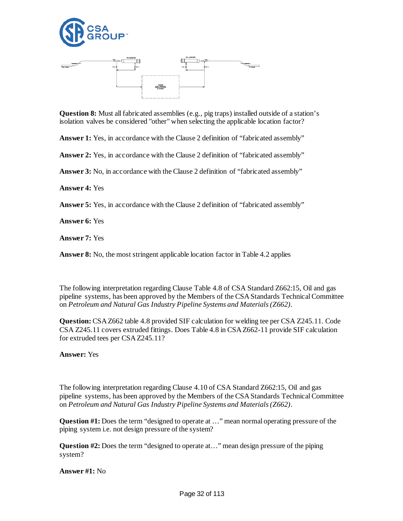



**Question 8:** Must all fabricated assemblies (e.g., pig traps) installed outside of a station's isolation valves be considered "other" when selecting the applicable location factor?

Answer 1: Yes, in accordance with the Clause 2 definition of "fabricated assembly"

**Answer 2:** Yes, in accordance with the Clause 2 definition of "fabricated assembly"

**Answer 3:** No, in accordance with the Clause 2 definition of "fabricated assembly"

**Answer 4:** Yes

**Answer 5:** Yes, in accordance with the Clause 2 definition of "fabricated assembly"

**Answer 6:** Yes

**Answer 7:** Yes

**Answer 8:** No, the most stringent applicable location factor in Table 4.2 applies

The following interpretation regarding Clause Table 4.8 of CSA Standard Z662:15, Oil and gas pipeline systems, has been approved by the Members of the CSA Standards Technical Committee on *Petroleum and Natural Gas Industry Pipeline Systems and Materials (Z662)*.

**Question:**CSA Z662 table 4.8 provided SIF calculation for welding tee per CSA Z245.11. Code CSA Z245.11 covers extruded fittings. Does Table 4.8 in CSA Z662-11 provide SIF calculation for extruded tees per CSA Z245.11?

**Answer:** Yes

The following interpretation regarding Clause 4.10 of CSA Standard Z662:15, Oil and gas pipeline systems, has been approved by the Members of the CSA Standards Technical Committee on *Petroleum and Natural Gas Industry Pipeline Systems and Materials (Z662)*.

**Question #1:** Does the term "designed to operate at …" mean normal operating pressure of the piping system i.e. not design pressure of the system?

**Question #2:** Does the term "designed to operate at…" mean design pressure of the piping system?

**Answer #1:** No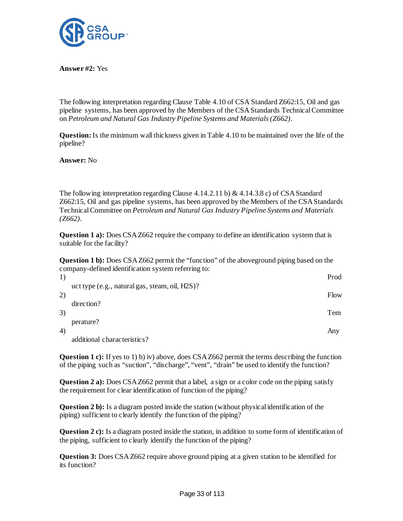

**Answer #2:** Yes

The following interpretation regarding Clause Table 4.10 of CSA Standard Z662:15, Oil and gas pipeline systems, has been approved by the Members of the CSA Standards Technical Committee on *Petroleum and Natural Gas Industry Pipeline Systems and Materials (Z662)*.

**Question:**Is the minimum wall thickness given in Table 4.10 to be maintained over the life of the pipeline?

**Answer:** No

The following interpretation regarding Clause 4.14.2.11 b) & 4.14.3.8 c) of CSA Standard Z662:15, Oil and gas pipeline systems, has been approved by the Members of the CSA Standards Technical Committee on *Petroleum and Natural Gas Industry Pipeline Systems and Materials (Z662)*.

**Question 1 a):** Does CSA Z662 require the company to define an identification system that is suitable for the facility?

**Question 1 b):** Does CSA Z662 permit the "function" of the aboveground piping based on the company-defined identification system referring to:

| 1) |                                                | Prod |
|----|------------------------------------------------|------|
|    | uct type (e.g., natural gas, steam, oil, H2S)? |      |
| 2) | direction?                                     | Flow |
| 3) |                                                | Tem  |
| 4) | perature?                                      |      |
|    | $\cdots$ $\cdots$                              | Any  |

additional characteristics?

**Question 1 c):** If yes to 1) b) iv) above, does CSA Z662 permit the terms describing the function of the piping such as "suction", "discharge", "vent", "drain" be used to identify the function?

**Question 2 a):** Does CSA Z662 permit that a label, a sign or a color code on the piping satisfy the requirement for clear identification of function of the piping?

**Question 2 b):** Is a diagram posted inside the station (without physical identification of the piping) sufficient to clearly identify the function of the piping?

**Question 2 c):** Is a diagram posted inside the station, in addition to some form of identification of the piping, sufficient to clearly identify the function of the piping?

**Question 3:** Does CSA Z662 require above ground piping at a given station to be identified for its function?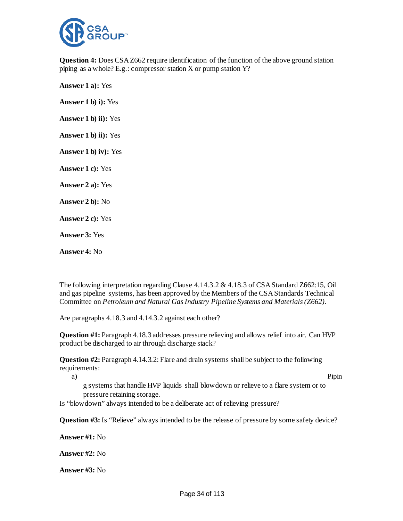

**Question 4:** Does CSA Z662 require identification of the function of the above ground station piping as a whole? E.g.: compressor station X or pump station Y?

**Answer 1 a):** Yes **Answer 1 b) i):** Yes **Answer 1 b) ii):** Yes **Answer 1 b) ii):** Yes **Answer 1 b) iv):** Yes **Answer 1 c):** Yes **Answer 2 a):** Yes **Answer 2 b):** No **Answer 2 c):** Yes **Answer 3:** Yes **Answer 4:** No

The following interpretation regarding Clause 4.14.3.2 & 4.18.3 of CSA Standard Z662:15, Oil and gas pipeline systems, has been approved by the Members of the CSA Standards Technical Committee on *Petroleum and Natural Gas Industry Pipeline Systems and Materials (Z662)*.

Are paragraphs 4.18.3 and 4.14.3.2 against each other?

**Question #1:** Paragraph 4.18.3 addresses pressure relieving and allows relief into air. Can HVP product be discharged to air through discharge stack?

**Question #2:** Paragraph 4.14.3.2: Flare and drain systems shall be subject to the following requirements:

a) Pipin

g systems that handle HVP liquids shall blowdown or relieve to a flare system or to pressure retaining storage.

Is "blowdown" always intended to be a deliberate act of relieving pressure?

**Question #3:** Is "Relieve" always intended to be the release of pressure by some safety device?

**Answer #1:** No

**Answer #2:** No

**Answer #3:** No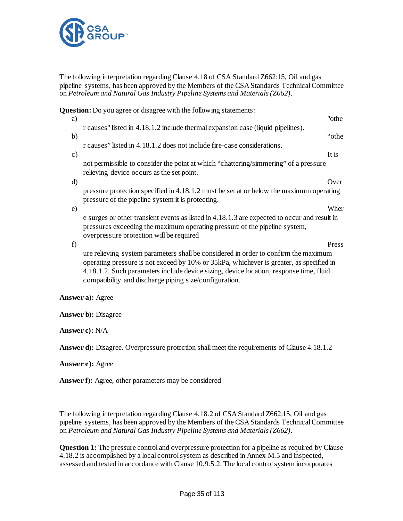

The following interpretation regarding Clause 4.18 of CSA Standard Z662:15, Oil and gas pipeline systems, has been approved by the Members of the CSA Standards Technical Committee on *Petroleum and Natural Gas Industry Pipeline Systems and Materials (Z662)*.

**Question:** Do you agree or disagree with the following statements: a) To the same state of the same state  $\alpha$  and  $\alpha$  is the same state of the state of the state  $\alpha$ r causes" listed in 4.18.1.2 include thermal expansion case (liquid pipelines). b) when the contract of the contract of the contract of the contract of the contract of the contract of the contract of the contract of the contract of the contract of the contract of the contract of the contract of the co r causes" listed in 4.18.1.2 does not include fire-case considerations. c) It is not permissible to consider the point at which "chattering/simmering" of a pressure relieving device occurs as the set point. d) Over pressure protection specified in 4.18.1.2 must be set at or below the maximum operating pressure of the pipeline system it is protecting. e) Wher e surges or other transient events as listed in 4.18.1.3 are expected to occur and result in pressures exceeding the maximum operating pressure of the pipeline system, overpressure protection will be required f) Press ure relieving system parameters shall be considered in order to confirm the maximum

operating pressure is not exceed by 10% or 35kPa, whichever is greater, as specified in 4.18.1.2. Such parameters include device sizing, device location, response time, fluid compatibility and discharge piping size/configuration.

#### **Answer a):** Agree

**Answer b):** Disagree

**Answer c):** N/A

Answer d): Disagree. Overpressure protection shall meet the requirements of Clause 4.18.1.2

#### **Answer e):** Agree

**Answer f):** Agree, other parameters may be considered

The following interpretation regarding Clause 4.18.2 of CSA Standard Z662:15, Oil and gas pipeline systems, has been approved by the Members of the CSA Standards Technical Committee on *Petroleum and Natural Gas Industry Pipeline Systems and Materials (Z662)*.

**Question 1:** The pressure control and overpressure protection for a pipeline as required by Clause 4.18.2 is accomplished by a local control system as described in Annex M.5 and inspected, assessed and tested in accordance with Clause 10.9.5.2. The local control system incorporates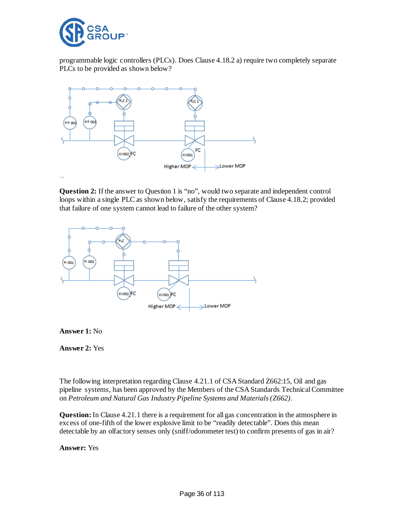

programmable logic controllers (PLCs). Does Clause 4.18.2 a) require two completely separate PLCs to be provided as shown below?



**Question 2:** If the answer to Question 1 is "no", would two separate and independent control loops within a single PLC as shown below, satisfy the requirements of Clause 4.18.2; provided that failure of one system cannot lead to failure of the other system?



**Answer 1:** No

**Answer 2:** Yes

The following interpretation regarding Clause 4.21.1 of CSA Standard Z662:15, Oil and gas pipeline systems, has been approved by the Members of the CSA Standards Technical Committee on *Petroleum and Natural Gas Industry Pipeline Systems and Materials (Z662)*.

**Question:**In Clause 4.21.1 there is a requirement for all gas concentration in the atmosphere in excess of one-fifth of the lower explosive limit to be "readily detectable". Does this mean detectable by an olfactory senses only (sniff/odorometer test) to confirm presents of gas in air?

**Answer:** Yes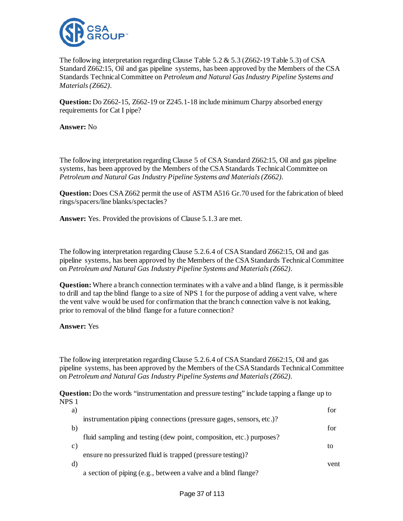

The following interpretation regarding Clause Table 5.2 & 5.3 (Z662-19 Table 5.3) of CSA Standard Z662:15, Oil and gas pipeline systems, has been approved by the Members of the CSA Standards Technical Committee on *Petroleum and Natural Gas Industry Pipeline Systems and Materials (Z662)*.

**Question:** Do Z662-15, Z662-19 or Z245.1-18 include minimum Charpy absorbed energy requirements for Cat I pipe?

**Answer:** No

The following interpretation regarding Clause 5 of CSA Standard Z662:15, Oil and gas pipeline systems, has been approved by the Members of the CSA Standards Technical Committee on *Petroleum and Natural Gas Industry Pipeline Systems and Materials (Z662)*.

**Question:** Does CSA Z662 permit the use of ASTM A516 Gr.70 used for the fabrication of bleed rings/spacers/line blanks/spectacles?

**Answer:** Yes. Provided the provisions of Clause 5.1.3 are met.

The following interpretation regarding Clause 5.2.6.4 of CSA Standard Z662:15, Oil and gas pipeline systems, has been approved by the Members of the CSA Standards Technical Committee on *Petroleum and Natural Gas Industry Pipeline Systems and Materials (Z662)*.

**Question:** Where a branch connection terminates with a valve and a blind flange, is it permissible to drill and tap the blind flange to a size of NPS 1 for the purpose of adding a vent valve, where the vent valve would be used for confirmation that the branch connection valve is not leaking, prior to removal of the blind flange for a future connection?

**Answer:** Yes

The following interpretation regarding Clause 5.2.6.4 of CSA Standard Z662:15, Oil and gas pipeline systems, has been approved by the Members of the CSA Standards Technical Committee on *Petroleum and Natural Gas Industry Pipeline Systems and Materials (Z662)*.

**Question:** Do the words "instrumentation and pressure testing" include tapping a flange up to NPS 1

|                                                                     | for                                                        |
|---------------------------------------------------------------------|------------------------------------------------------------|
| instrumentation piping connections (pressure gages, sensors, etc.)? |                                                            |
|                                                                     | for                                                        |
| fluid sampling and testing (dew point, composition, etc.) purposes? |                                                            |
|                                                                     | tο                                                         |
|                                                                     |                                                            |
|                                                                     | vent                                                       |
| a section of piping (e.g., between a valve and a blind flange?      |                                                            |
|                                                                     | ensure no pressurized fluid is trapped (pressure testing)? |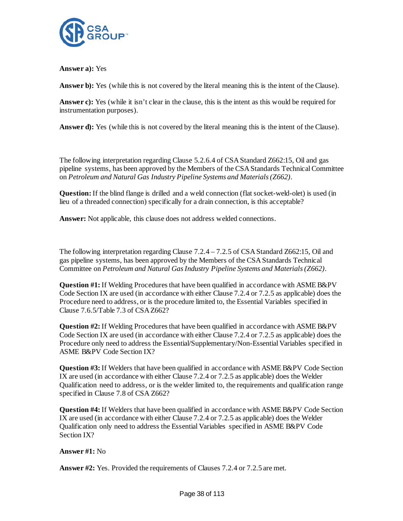

**Answer a):** Yes

**Answer b):** Yes (while this is not covered by the literal meaning this is the intent of the Clause).

Answer c): Yes (while it isn't clear in the clause, this is the intent as this would be required for instrumentation purposes).

**Answer d):** Yes (while this is not covered by the literal meaning this is the intent of the Clause).

The following interpretation regarding Clause 5.2.6.4 of CSA Standard Z662:15, Oil and gas pipeline systems, has been approved by the Members of the CSA Standards Technical Committee on *Petroleum and Natural Gas Industry Pipeline Systems and Materials (Z662)*.

**Question:** If the blind flange is drilled and a weld connection (flat socket-weld-olet) is used (in lieu of a threaded connection) specifically for a drain connection, is this acceptable?

**Answer:** Not applicable, this clause does not address welded connections.

The following interpretation regarding Clause 7.2.4 – 7.2.5 of CSA Standard Z662:15, Oil and gas pipeline systems, has been approved by the Members of the CSA Standards Technical Committee on *Petroleum and Natural Gas Industry Pipeline Systems and Materials (Z662)*.

**Question #1:** If Welding Procedures that have been qualified in accordance with ASME B&PV Code Section IX are used (in accordance with either Clause 7.2.4 or 7.2.5 as applicable) does the Procedure need to address, or is the procedure limited to, the Essential Variables specified in Clause 7.6.5/Table 7.3 of CSA Z662?

**Question #2:** If Welding Procedures that have been qualified in accordance with ASME B&PV Code Section IX are used (in accordance with either Clause 7.2.4 or 7.2.5 as applicable) does the Procedure only need to address the Essential/Supplementary/Non-Essential Variables specified in ASME B&PV Code Section IX?

**Question #3:** If Welders that have been qualified in accordance with ASME B&PV Code Section IX are used (in accordance with either Clause 7.2.4 or 7.2.5 as applicable) does the Welder Qualification need to address, or is the welder limited to, the requirements and qualification range specified in Clause 7.8 of CSA Z662?

**Question #4:** If Welders that have been qualified in accordance with ASME B&PV Code Section IX are used (in accordance with either Clause 7.2.4 or 7.2.5 as applicable) does the Welder Qualification only need to address the Essential Variables specified in ASME B&PV Code Section IX?

**Answer #1:** No

**Answer #2:** Yes. Provided the requirements of Clauses 7.2.4 or 7.2.5 are met.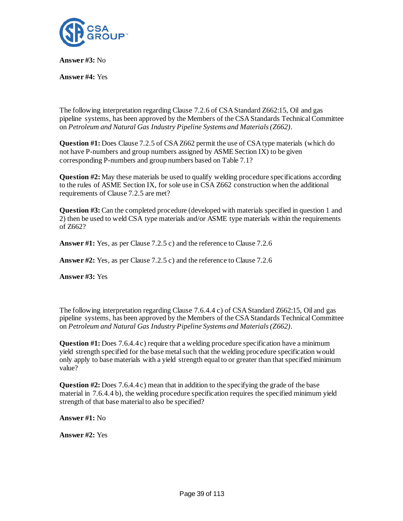

**Answer #3:** No

**Answer #4:** Yes

The following interpretation regarding Clause 7.2.6 of CSA Standard Z662:15, Oil and gas pipeline systems, has been approved by the Members of the CSA Standards Technical Committee on *Petroleum and Natural Gas Industry Pipeline Systems and Materials (Z662)*.

**Question #1:** Does Clause 7.2.5 of CSA Z662 permit the use of CSA type materials (which do not have P-numbers and group numbers assigned by ASME Section IX) to be given corresponding P-numbers and group numbers based on Table 7.1?

**Question #2:** May these materials be used to qualify welding procedure specifications according to the rules of ASME Section IX, for sole use in CSA Z662 construction when the additional requirements of Clause 7.2.5 are met?

**Question #3:** Can the completed procedure (developed with materials specified in question 1 and 2) then be used to weld CSA type materials and/or ASME type materials within the requirements of Z662?

**Answer #1:** Yes, as per Clause 7.2.5 c) and the reference to Clause 7.2.6

**Answer #2:** Yes, as per Clause 7.2.5 c) and the reference to Clause 7.2.6

**Answer #3:** Yes

The following interpretation regarding Clause 7.6.4.4 c) of CSA Standard Z662:15, Oil and gas pipeline systems, has been approved by the Members of the CSA Standards Technical Committee on *Petroleum and Natural Gas Industry Pipeline Systems and Materials (Z662)*.

**Question #1:** Does 7.6.4.4 c) require that a welding procedure specification have a minimum yield strength specified for the base metal such that the welding procedure specification would only apply to base materials with a yield strength equal to or greater than that specified minimum value?

**Question #2:** Does 7.6.4.4 c) mean that in addition to the specifying the grade of the base material in 7.6.4.4 b), the welding procedure specification requires the specified minimum yield strength of that base material to also be specified?

**Answer #1:** No

**Answer #2:** Yes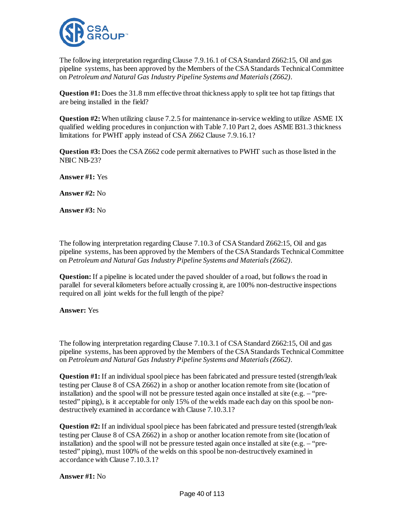

The following interpretation regarding Clause 7.9.16.1 of CSA Standard Z662:15, Oil and gas pipeline systems, has been approved by the Members of the CSAStandards Technical Committee on *Petroleum and Natural Gas Industry Pipeline Systems and Materials (Z662)*.

**Question #1:** Does the 31.8 mm effective throat thickness apply to split tee hot tap fittings that are being installed in the field?

**Question #2:** When utilizing clause 7.2.5 for maintenance in-service welding to utilize ASME IX qualified welding procedures in conjunction with Table 7.10 Part 2, does ASME B31.3 thickness limitations for PWHT apply instead of CSA Z662 Clause 7.9.16.1?

**Question #3:** Does the CSA Z662 code permit alternatives to PWHT such as those listed in the NBIC NB-23?

**Answer #1:** Yes

**Answer #2:** No

**Answer #3:** No

The following interpretation regarding Clause 7.10.3 of CSA Standard Z662:15, Oil and gas pipeline systems, has been approved by the Members of the CSA Standards Technical Committee on *Petroleum and Natural Gas Industry Pipeline Systems and Materials (Z662)*.

**Question:** If a pipeline is located under the paved shoulder of a road, but follows the road in parallel for several kilometers before actually crossing it, are 100% non-destructive inspections required on all joint welds for the full length of the pipe?

#### **Answer:** Yes

The following interpretation regarding Clause 7.10.3.1 of CSA Standard Z662:15, Oil and gas pipeline systems, has been approved by the Members of the CSA Standards Technical Committee on *Petroleum and Natural Gas Industry Pipeline Systems and Materials (Z662)*.

**Question #1:** If an individual spool piece has been fabricated and pressure tested (strength/leak testing per Clause 8 of CSA Z662) in a shop or another location remote from site (location of installation) and the spool will not be pressure tested again once installed at site  $(e.g. - "pre$ tested" piping), is it acceptable for only 15% of the welds made each day on this spool be nondestructively examined in accordance with Clause 7.10.3.1?

**Question #2:** If an individual spool piece has been fabricated and pressure tested (strength/leak testing per Clause 8 of CSA Z662) in a shop or another location remote from site (location of installation) and the spool will not be pressure tested again once installed at site (e.g.  $-$  "pretested" piping), must 100% of the welds on this spool be non-destructively examined in accordance with Clause 7.10.3.1?

#### **Answer #1:** No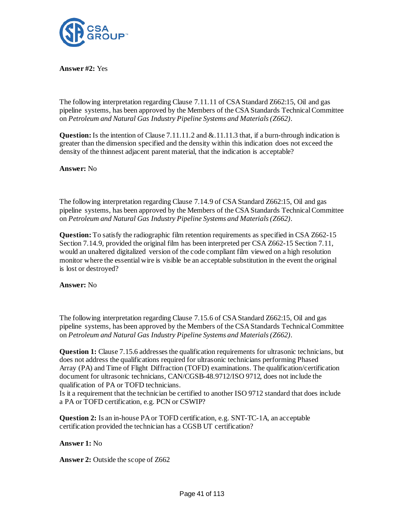

**Answer #2:** Yes

The following interpretation regarding Clause 7.11.11 of CSA Standard Z662:15, Oil and gas pipeline systems, has been approved by the Members of the CSA Standards Technical Committee on *Petroleum and Natural Gas Industry Pipeline Systems and Materials (Z662)*.

**Question:** Is the intention of Clause 7.11.11.2 and & 11.11.3 that, if a burn-through indication is greater than the dimension specified and the density within this indication does not exceed the density of the thinnest adjacent parent material, that the indication is acceptable?

**Answer:** No

The following interpretation regarding Clause 7.14.9 of CSA Standard Z662:15, Oil and gas pipeline systems, has been approved by the Members of the CSA Standards Technical Committee on *Petroleum and Natural Gas Industry Pipeline Systems and Materials (Z662)*.

**Question:** To satisfy the radiographic film retention requirements as specified in CSA Z662-15 Section 7.14.9, provided the original film has been interpreted per CSA Z662-15 Section 7.11, would an unaltered digitalized version of the code compliant film viewed on a high resolution monitor where the essential wire is visible be an acceptable substitution in the event the original is lost or destroyed?

**Answer:** No

The following interpretation regarding Clause 7.15.6 of CSA Standard Z662:15, Oil and gas pipeline systems, has been approved by the Members of the CSA Standards Technical Committee on *Petroleum and Natural Gas Industry Pipeline Systems and Materials (Z662)*.

**Question 1:** Clause 7.15.6 addresses the qualification requirements for ultrasonic technicians, but does not address the qualifications required for ultrasonic technicians performing Phased Array (PA) and Time of Flight Diffraction (TOFD) examinations. The qualification/certification document for ultrasonic technicians, CAN/CGSB-48.9712/ISO 9712, does not include the qualification of PA or TOFD technicians.

Is it a requirement that the technician be certified to another ISO 9712 standard that does include a PA or TOFD certification, e.g. PCN or CSWIP?

**Question 2:** Is an in-house PA or TOFD certification, e.g. SNT-TC-1A, an acceptable certification provided the technician has a CGSB UT certification?

# **Answer 1:** No

**Answer 2:** Outside the scope of Z662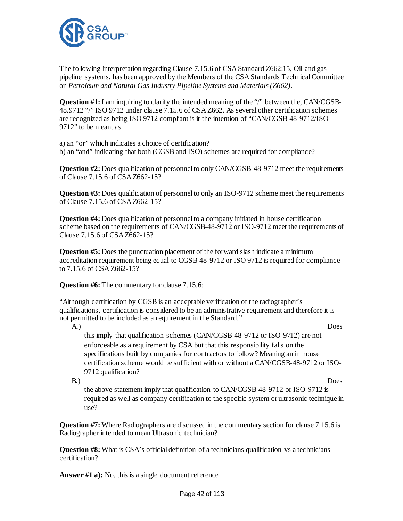

The following interpretation regarding Clause 7.15.6 of CSA Standard Z662:15, Oil and gas pipeline systems, has been approved by the Members of the CSA Standards Technical Committee on *Petroleum and Natural Gas Industry Pipeline Systems and Materials (Z662)*.

**Question #1:** I am inquiring to clarify the intended meaning of the "/" between the, CAN/CGSB-48.9712 "/" ISO 9712 under clause 7.15.6 of CSA Z662. As several other certification schemes are recognized as being ISO 9712 compliant is it the intention of "CAN/CGSB-48-9712/ISO 9712" to be meant as

a) an "or" which indicates a choice of certification? b) an "and" indicating that both (CGSB and ISO) schemes are required for compliance?

**Question #2:** Does qualification of personnel to only CAN/CGSB 48-9712 meet the requirements of Clause 7.15.6 of CSA Z662-15?

**Question #3:** Does qualification of personnel to only an ISO-9712 scheme meet the requirements of Clause 7.15.6 of CSA Z662-15?

**Question #4:** Does qualification of personnel to a company initiated in house certification scheme based on the requirements of CAN/CGSB-48-9712 or ISO-9712 meet the requirements of Clause 7.15.6 of CSA Z662-15?

**Question #5:** Does the punctuation placement of the forward slash indicate a minimum accreditation requirement being equal to CGSB-48-9712 or ISO 9712 is required for compliance to 7.15.6 of CSA Z662-15?

**Question #6:** The commentary for clause 7.15.6;

"Although certification by CGSB is an acceptable verification of the radiographer's qualifications, certification is considered to be an administrative requirement and therefore it is not permitted to be included as a requirement in the Standard."

A.) Does

this imply that qualification schemes (CAN/CGSB-48-9712 or ISO-9712) are not enforceable as a requirement by CSA but that this responsibility falls on the specifications built by companies for contractors to follow? Meaning an in house certification scheme would be sufficient with or without a CAN/CGSB-48-9712 or ISO-9712 qualification?

B.) Does the above statement imply that qualification to CAN/CGSB-48-9712 or ISO-9712 is required as well as company certification to the specific system or ultrasonic technique in use?

**Question #7:** Where Radiographers are discussed in the commentary section for clause 7.15.6 is Radiographer intended to mean Ultrasonic technician?

**Question #8:** What is CSA's official definition of a technicians qualification vs a technicians certification?

**Answer #1 a):** No, this is a single document reference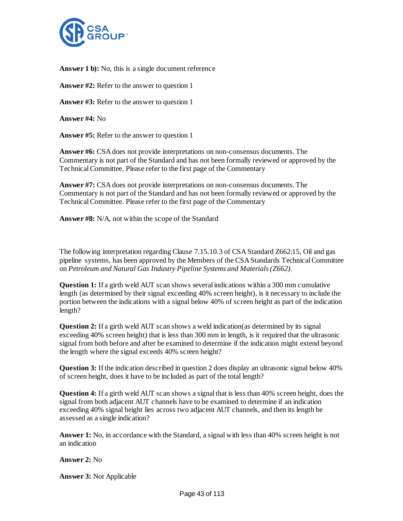

**Answer 1 b):** No, this is a single document reference

**Answer #2:** Refer to the answer to question 1

**Answer #3:** Refer to the answer to question 1

**Answer #4:** No

**Answer #5:** Refer to the answer to question 1

**Answer #6:** CSA does not provide interpretations on non-consensus documents. The Commentary is not part of the Standard and has not been formally reviewed or approved by the Technical Committee. Please refer to the first page of the Commentary

**Answer #7:** CSA does not provide interpretations on non-consensus documents. The Commentary is not part of the Standard and has not been formally reviewed or approved by the Technical Committee. Please refer to the first page of the Commentary

**Answer #8:** N/A, not within the scope of the Standard

The following interpretation regarding Clause 7.15.10.3 of CSA Standard Z662:15, Oil and gas pipeline systems, has been approved by the Members of the CSA Standards Technical Committee on *Petroleum and Natural Gas Industry Pipeline Systems and Materials (Z662)*.

**Question 1:** If a girth weld AUT scan shows several indications within a 300 mm cumulative length (as determined by their signal exceeding 40% screen height), is it necessary to include the portion between the indications with a signal below 40% of screen height as part of the indication length?

**Question 2:** If a girth weld AUT scan shows a weld indication (as determined by its signal exceeding 40% screen height) that is less than 300 mm in length, is it required that the ultrasonic signal from both before and after be examined to determine if the indication might extend beyond the length where the signal exceeds 40% screen height?

**Question 3:** If the indication described in question 2 does display an ultrasonic signal below 40% of screen height, does it have to be included as part of the total length?

**Question 4:** If a girth weld AUT scan shows a signal that is less than 40% screen height, does the signal from both adjacent AUT channels have to be examined to determine if an indication exceeding 40% signal height lies across two adjacent AUT channels, and then its length be assessed as a single indication?

**Answer 1:** No, in accordance with the Standard, a signal with less than 40% screen height is not an indication

**Answer 2:** No

**Answer 3:** Not Applicable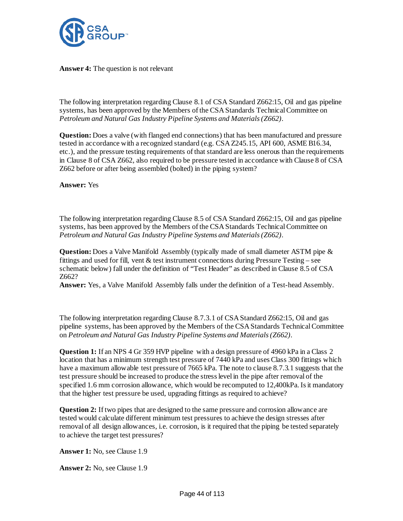

**Answer 4:** The question is not relevant

The following interpretation regarding Clause 8.1 of CSA Standard Z662:15, Oil and gas pipeline systems, has been approved by the Members of the CSA Standards Technical Committee on *Petroleum and Natural Gas Industry Pipeline Systems and Materials (Z662)*.

**Question:** Does a valve (with flanged end connections) that has been manufactured and pressure tested in accordance with a recognized standard (e.g. CSA Z245.15, API 600, ASME B16.34, etc.), and the pressure testing requirements of that standard are less onerous than the requirements in Clause 8 of CSA Z662, also required to be pressure tested in accordance with Clause 8 of CSA Z662 before or after being assembled (bolted) in the piping system?

**Answer:** Yes

The following interpretation regarding Clause 8.5 of CSA Standard Z662:15, Oil and gas pipeline systems, has been approved by the Members of the CSA Standards Technical Committee on *Petroleum and Natural Gas Industry Pipeline Systems and Materials (Z662)*.

**Question:** Does a Valve Manifold Assembly (typically made of small diameter ASTM pipe & fittings and used for fill, vent  $&$  test instrument connections during Pressure Testing – see schematic below) fall under the definition of "Test Header" as described in Clause 8.5 of CSA Z662?

**Answer:** Yes, a Valve Manifold Assembly falls under the definition of a Test-head Assembly.

The following interpretation regarding Clause 8.7.3.1 of CSA Standard Z662:15, Oil and gas pipeline systems, has been approved by the Members of the CSA Standards Technical Committee on *Petroleum and Natural Gas Industry Pipeline Systems and Materials (Z662)*.

**Question 1:** If an NPS 4 Gr 359 HVP pipeline with a design pressure of 4960 kPa in a Class 2 location that has a minimum strength test pressure of 7440 kPa and uses Class 300 fittings which have a maximum allowable test pressure of 7665 kPa. The note to clause 8.7.3.1 suggests that the test pressure should be increased to produce the stress level in the pipe after removal of the specified 1.6 mm corrosion allowance, which would be recomputed to 12,400kPa. Is it mandatory that the higher test pressure be used, upgrading fittings as required to achieve?

**Question 2:** If two pipes that are designed to the same pressure and corrosion allowance are tested would calculate different minimum test pressures to achieve the design stresses after removal of all design allowances, i.e. corrosion, is it required that the piping be tested separately to achieve the target test pressures?

**Answer 1:** No, see Clause 1.9

**Answer 2:** No, see Clause 1.9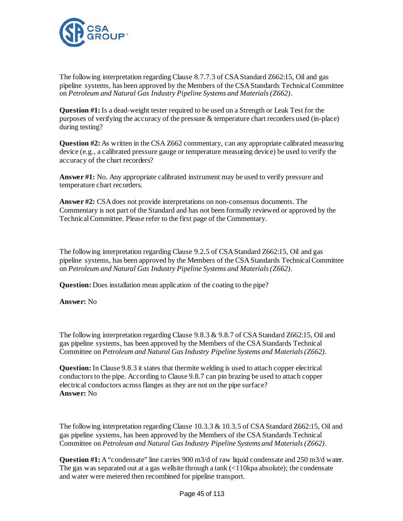

The following interpretation regarding Clause 8.7.7.3 of CSA Standard Z662:15, Oil and gas pipeline systems, has been approved by the Members of the CSA Standards Technical Committee on *Petroleum and Natural Gas Industry Pipeline Systems and Materials (Z662)*.

**Question #1:** Is a dead-weight tester required to be used on a Strength or Leak Test for the purposes of verifying the accuracy of the pressure & temperature chart recorders used (in-place) during testing?

**Question #2:** As written in the CSA Z662 commentary, can any appropriate calibrated measuring device (e.g., a calibrated pressure gauge or temperature measuring device) be used to verify the accuracy of the chart recorders?

**Answer #1:** No. Any appropriate calibrated instrument may be used to verify pressure and temperature chart recorders.

**Answer #2:** CSA does not provide interpretations on non-consensus documents. The Commentary is not part of the Standard and has not been formally reviewed or approved by the Technical Committee. Please refer to the first page of the Commentary.

The following interpretation regarding Clause 9.2.5 of CSA Standard Z662:15, Oil and gas pipeline systems, has been approved by the Members of the CSA Standards Technical Committee on *Petroleum and Natural Gas Industry Pipeline Systems and Materials (Z662)*.

**Question:** Does installation mean application of the coating to the pipe?

# **Answer:** No

The following interpretation regarding Clause 9.8.3 & 9.8.7 of CSA Standard Z662:15, Oil and gas pipeline systems, has been approved by the Members of the CSA Standards Technical Committee on *Petroleum and Natural Gas Industry Pipeline Systems and Materials (Z662)*.

**Question:** In Clause 9.8.3 it states that thermite welding is used to attach copper electrical conductors to the pipe. According to Clause 9.8.7 can pin brazing be used to attach copper electrical conductors across flanges as they are not on the pipe surface? **Answer:** No

The following interpretation regarding Clause 10.3.3 & 10.3.5 of CSA Standard Z662:15, Oil and gas pipeline systems, has been approved by the Members of the CSA Standards Technical Committee on *Petroleum and Natural Gas Industry Pipeline Systems and Materials (Z662)*.

**Question #1:** A "condensate" line carries 900 m3/d of raw liquid condensate and 250 m3/d water. The gas was separated out at a gas well site through a tank  $\ll 110$  kpa absolute); the condensate and water were metered then recombined for pipeline transport.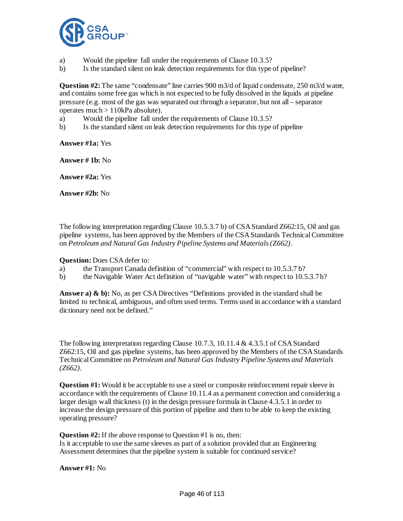

- a) Would the pipeline fall under the requirements of Clause 10.3.5?
- b) Is the standard silent on leak detection requirements for this type of pipeline?

**Question #2:** The same "condensate" line carries 900 m3/d of liquid condensate, 250 m3/d water, and contains some free gas which is not expected to be fully dissolved in the liquids at pipeline pressure (e.g. most of the gas was separated out through a separator, but not all – separator operates much > 110kPa absolute).

- a) Would the pipeline fall under the requirements of Clause 10.3.5?
- b) Is the standard silent on leak detection requirements for this type of pipeline

**Answer #1a:** Yes

**Answer # 1b:** No

**Answer #2a:** Yes

**Answer #2b:** No

The following interpretation regarding Clause 10.5.3.7 b) of CSA Standard Z662:15, Oil and gas pipeline systems, has been approved by the Members of the CSA Standards Technical Committee on *Petroleum and Natural Gas Industry Pipeline Systems and Materials (Z662)*.

**Question:** Does CSA defer to:

- a) the Transport Canada definition of "commercial" with respect to 10.5.3.7 b?
- b) the Navigable Water Act definition of "navigable water" with respect to 10.5.3.7 b?

**Answer a) & b):** No, as per CSA Directives "Definitions provided in the standard shall be limited to technical, ambiguous, and often used terms. Terms used in accordance with a standard dictionary need not be defined."

The following interpretation regarding Clause 10.7.3, 10.11.4 & 4.3.5.1 of CSA Standard Z662:15, Oil and gas pipeline systems, has been approved by the Members of the CSA Standards Technical Committee on *Petroleum and Natural Gas Industry Pipeline Systems and Materials (Z662)*.

**Question #1:** Would it be acceptable to use a steel or composite reinforcement repair sleeve in accordance with the requirements of Clause 10.11.4 as a permanent correction and considering a larger design wall thickness (t) in the design pressure formula in Clause 4.3.5.1 in order to increase the design pressure of this portion of pipeline and then to be able to keep the existing operating pressure?

**Question #2:** If the above response to Question #1 is no, then:

Is it acceptable to use the same sleeves as part of a solution provided that an Engineering Assessment determines that the pipeline system is suitable for continued service?

**Answer #1:** No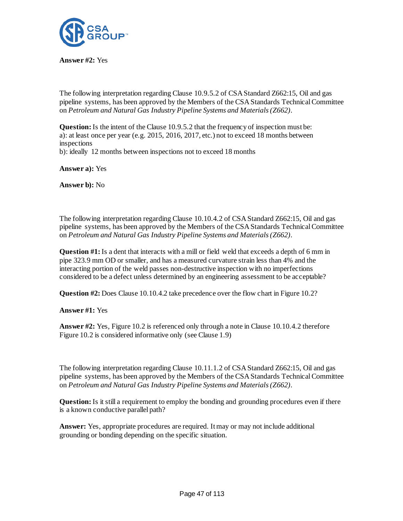

**Answer #2:** Yes

The following interpretation regarding Clause 10.9.5.2 of CSA Standard Z662:15, Oil and gas pipeline systems, has been approved by the Members of the CSA Standards Technical Committee on *Petroleum and Natural Gas Industry Pipeline Systems and Materials (Z662)*.

**Question:** Is the intent of the Clause 10.9.5.2 that the frequency of inspection must be: a): at least once per year (e.g.  $2015$ ,  $2016$ ,  $2017$ , etc.) not to exceed 18 months between inspections

b): ideally 12 months between inspections not to exceed 18 months

**Answer a):** Yes

**Answer b):** No

The following interpretation regarding Clause 10.10.4.2 of CSA Standard Z662:15, Oil and gas pipeline systems, has been approved by the Members of the CSA Standards Technical Committee on *Petroleum and Natural Gas Industry Pipeline Systems and Materials (Z662)*.

**Question #1:** Is a dent that interacts with a mill or field weld that exceeds a depth of 6 mm in pipe 323.9 mm OD or smaller, and has a measured curvature strain less than 4% and the interacting portion of the weld passes non-destructive inspection with no imperfections considered to be a defect unless determined by an engineering assessment to be acceptable?

**Question #2:** Does Clause 10.10.4.2 take precedence over the flow chart in Figure 10.2?

**Answer #1:** Yes

**Answer #2:** Yes, Figure 10.2 is referenced only through a note in Clause 10.10.4.2 therefore Figure 10.2 is considered informative only (see Clause 1.9)

The following interpretation regarding Clause 10.11.1.2 of CSA Standard Z662:15, Oil and gas pipeline systems, has been approved by the Members of the CSA Standards Technical Committee on *Petroleum and Natural Gas Industry Pipeline Systems and Materials (Z662)*.

**Question:**Is it still a requirement to employ the bonding and grounding procedures even if there is a known conductive parallel path?

**Answer:** Yes, appropriate procedures are required. It may or may not include additional grounding or bonding depending on the specific situation.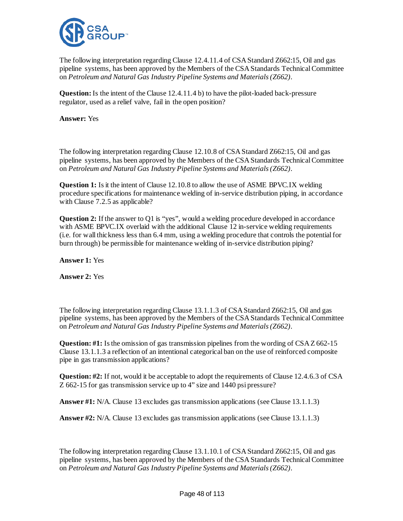

The following interpretation regarding Clause 12.4.11.4 of CSA Standard Z662:15, Oil and gas pipeline systems, has been approved by the Members of the CSA Standards Technical Committee on *Petroleum and Natural Gas Industry Pipeline Systems and Materials (Z662)*.

**Question:**Is the intent of the Clause 12.4.11.4 b) to have the pilot-loaded back-pressure regulator, used as a relief valve, fail in the open position?

**Answer:** Yes

The following interpretation regarding Clause 12.10.8 of CSA Standard Z662:15, Oil and gas pipeline systems, has been approved by the Members of the CSA Standards Technical Committee on *Petroleum and Natural Gas Industry Pipeline Systems and Materials (Z662)*.

**Question 1:** Is it the intent of Clause 12.10.8 to allow the use of ASME BPVC.IX welding procedure specifications for maintenance welding of in-service distribution piping, in accordance with Clause 7.2.5 as applicable?

**Question 2:** If the answer to Q1 is "yes", would a welding procedure developed in accordance with ASME BPVC.IX overlaid with the additional Clause 12 in-service welding requirements (i.e. for wall thickness less than 6.4 mm, using a welding procedure that controls the potential for burn through) be permissible for maintenance welding of in-service distribution piping?

**Answer 1:** Yes

**Answer 2:** Yes

The following interpretation regarding Clause 13.1.1.3 of CSA Standard Z662:15, Oil and gas pipeline systems, has been approved by the Members of the CSA Standards Technical Committee on *Petroleum and Natural Gas Industry Pipeline Systems and Materials (Z662)*.

**Question: #1:** Is the omission of gas transmission pipelines from the wording of CSA Z 662-15 Clause 13.1.1.3 a reflection of an intentional categorical ban on the use of reinforced composite pipe in gas transmission applications?

**Question: #2:** If not, would it be acceptable to adopt the requirements of Clause 12.4.6.3 of CSA Z 662-15 for gas transmission service up to 4" size and 1440 psi pressure?

**Answer #1:** N/A. Clause 13 excludes gas transmission applications (see Clause 13.1.1.3)

**Answer #2:** N/A. Clause 13 excludes gas transmission applications (see Clause 13.1.1.3)

The following interpretation regarding Clause 13.1.10.1 of CSA Standard Z662:15, Oil and gas pipeline systems, has been approved by the Members of the CSA Standards Technical Committee on *Petroleum and Natural Gas Industry Pipeline Systems and Materials (Z662)*.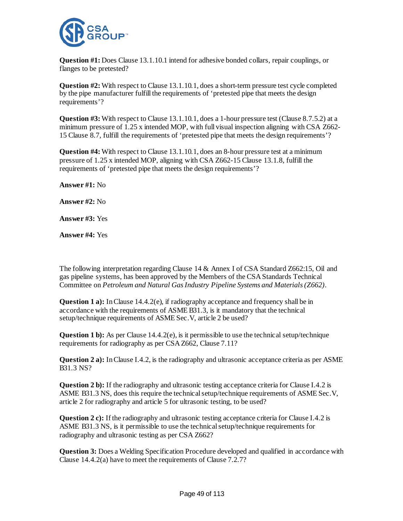

**Question #1:** Does Clause 13.1.10.1 intend for adhesive bonded collars, repair couplings, or flanges to be pretested?

**Question #2:** With respect to Clause 13.1.10.1, does a short-term pressure test cycle completed by the pipe manufacturer fulfill the requirements of 'pretested pipe that meets the design requirements'?

**Question #3:** With respect to Clause 13.1.10.1, does a 1-hour pressure test (Clause 8.7.5.2) at a minimum pressure of 1.25 x intended MOP, with full visual inspection aligning with CSA Z662- 15 Clause 8.7, fulfill the requirements of 'pretested pipe that meets the design requirements'?

**Question #4:** With respect to Clause 13.1.10.1, does an 8-hour pressure test at a minimum pressure of 1.25 x intended MOP, aligning with CSA Z662-15 Clause 13.1.8, fulfill the requirements of 'pretested pipe that meets the design requirements'?

**Answer #1:** No

**Answer #2:** No

**Answer #3:** Yes

**Answer #4:** Yes

The following interpretation regarding Clause 14 & Annex I of CSA Standard Z662:15, Oil and gas pipeline systems, has been approved by the Members of the CSA Standards Technical Committee on *Petroleum and Natural Gas Industry Pipeline Systems and Materials (Z662)*.

**Question 1 a):** In Clause 14.4.2(e), if radiography acceptance and frequency shall be in accordance with the requirements of ASME B31.3, is it mandatory that the technical setup/technique requirements of ASME Sec.V, article 2 be used?

**Question 1 b):** As per Clause 14.4.2(e), is it permissible to use the technical setup/technique requirements for radiography as per CSA Z662, Clause 7.11?

**Question 2 a):** In Clause I.4.2, is the radiography and ultrasonic acceptance criteria as per ASME B31.3 NS?

**Question 2 b):** If the radiography and ultrasonic testing acceptance criteria for Clause I.4.2 is ASME B31.3 NS, does this require the technical setup/technique requirements of ASME Sec.V, article 2 for radiography and article 5 for ultrasonic testing, to be used?

**Question 2 c):** If the radiography and ultrasonic testing acceptance criteria for Clause I.4.2 is ASME B31.3 NS, is it permissible to use the technical setup/technique requirements for radiography and ultrasonic testing as per CSA Z662?

**Question 3:** Does a Welding Specification Procedure developed and qualified in accordance with Clause 14.4.2(a) have to meet the requirements of Clause 7.2.7?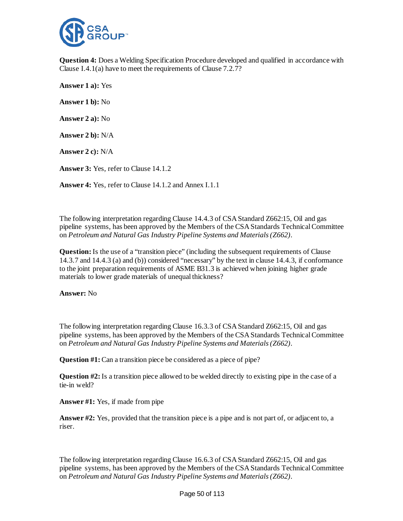

**Question 4:** Does a Welding Specification Procedure developed and qualified in accordance with Clause I.4.1(a) have to meet the requirements of Clause 7.2.7?

**Answer 1 a):** Yes **Answer 1 b):** No **Answer 2 a):** No **Answer 2 b):** N/A **Answer 2 c):** N/A **Answer 3:** Yes, refer to Clause 14.1.2 **Answer 4:** Yes, refer to Clause 14.1.2 and Annex I.1.1

The following interpretation regarding Clause 14.4.3 of CSA Standard Z662:15, Oil and gas pipeline systems, has been approved by the Members of the CSA Standards Technical Committee on *Petroleum and Natural Gas Industry Pipeline Systems and Materials (Z662)*.

**Question:** Is the use of a "transition piece" (including the subsequent requirements of Clause 14.3.7 and 14.4.3 (a) and (b)) considered "necessary" by the text in clause 14.4.3, if conformance to the joint preparation requirements of ASME B31.3 is achieved when joining higher grade materials to lower grade materials of unequal thickness?

**Answer:** No

The following interpretation regarding Clause 16.3.3 of CSA Standard Z662:15, Oil and gas pipeline systems, has been approved by the Members of the CSA Standards Technical Committee on *Petroleum and Natural Gas Industry Pipeline Systems and Materials (Z662)*.

**Question #1:** Can a transition piece be considered as a piece of pipe?

**Question #2:** Is a transition piece allowed to be welded directly to existing pipe in the case of a tie-in weld?

**Answer #1:** Yes, if made from pipe

**Answer #2:** Yes, provided that the transition piece is a pipe and is not part of, or adjacent to, a riser.

The following interpretation regarding Clause 16.6.3 of CSA Standard Z662:15, Oil and gas pipeline systems, has been approved by the Members of the CSA Standards Technical Committee on *Petroleum and Natural Gas Industry Pipeline Systems and Materials (Z662)*.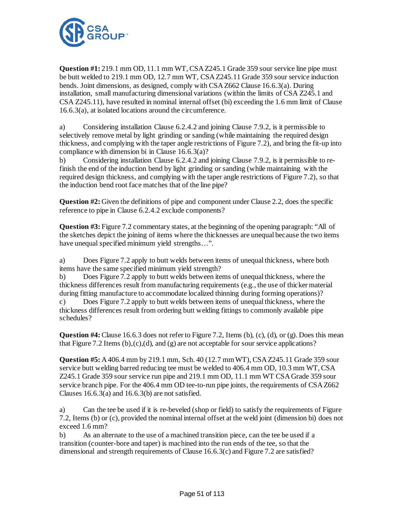

**Question #1:** 219.1 mm OD, 11.1 mm WT, CSA Z245.1 Grade 359 sour service line pipe must be butt welded to 219.1 mm OD, 12.7 mm WT, CSA Z245.11 Grade 359 sour service induction bends. Joint dimensions, as designed, comply with CSA Z662 Clause 16.6.3(a). During installation, small manufacturing dimensional variations (within the limits of CSA Z245.1 and CSA Z245.11), have resulted in nominal internal offset (bi) exceeding the 1.6 mm limit of Clause 16.6.3(a), at isolated locations around the circumference.

a) Considering installation Clause 6.2.4.2 and joining Clause 7.9.2, is it permissible to selectively remove metal by light grinding or sanding (while maintaining the required design thickness, and complying with the taper angle restrictions of Figure 7.2), and bring the fit-up into compliance with dimension bi in Clause 16.6.3(a)?

b) Considering installation Clause 6.2.4.2 and joining Clause 7.9.2, is it permissible to refinish the end of the induction bend by light grinding or sanding (while maintaining with the required design thickness, and complying with the taper angle restrictions of Figure 7.2), so that the induction bend root face matches that of the line pipe?

**Question #2:** Given the definitions of pipe and component under Clause 2.2, does the specific reference to pipe in Clause 6.2.4.2 exclude components?

**Question #3:** Figure 7.2 commentary states, at the beginning of the opening paragraph: "All of the sketches depict the joining of items where the thicknesses are unequal because the two items have unequal specified minimum yield strengths…".

a) Does Figure 7.2 apply to butt welds between items of unequal thickness, where both items have the same specified minimum yield strength?

b) Does Figure 7.2 apply to butt welds between items of unequal thickness, where the thickness differences result from manufacturing requirements (e.g., the use of thicker material during fitting manufacture to accommodate localized thinning during forming operations)?

c) Does Figure 7.2 apply to butt welds between items of unequal thickness, where the thickness differences result from ordering butt welding fittings to commonly available pipe schedules?

**Question #4:** Clause 16.6.3 does not refer to Figure 7.2, Items (b), (c), (d), or (g). Does this mean that Figure 7.2 Items  $(b)$ , $(c)$ , $(d)$ , and  $(g)$  are not acceptable for sour service applications?

**Question #5:** A 406.4 mm by 219.1 mm, Sch. 40 (12.7 mm WT), CSA Z245.11 Grade 359 sour service butt welding barred reducing tee must be welded to 406.4 mm OD, 10.3 mm WT, CSA Z245.1 Grade 359 sour service run pipe and 219.1 mm OD, 11.1 mm WT CSA Grade 359 sour service branch pipe. For the 406.4 mm OD tee-to-run pipe joints, the requirements of CSA Z662 Clauses 16.6.3(a) and 16.6.3(b) are not satisfied.

a) Can the tee be used if it is re-beveled (shop or field) to satisfy the requirements of Figure 7.2, Items (b) or (c), provided the nominal internal offset at the weld joint (dimension bi) does not exceed 1.6 mm?

b) As an alternate to the use of a machined transition piece, can the tee be used if a transition (counter-bore and taper) is machined into the run ends of the tee, so that the dimensional and strength requirements of Clause 16.6.3(c) and Figure 7.2 are satisfied?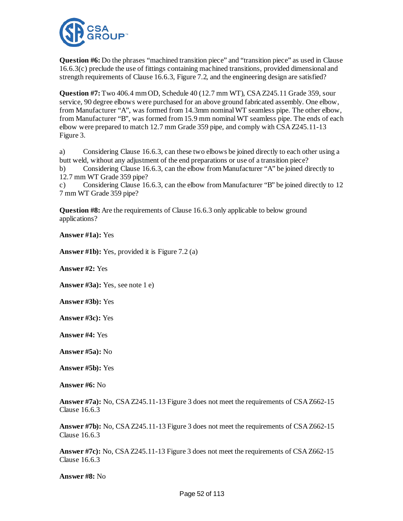

**Question #6:** Do the phrases "machined transition piece" and "transition piece" as used in Clause 16.6.3(c) preclude the use of fittings containing machined transitions, provided dimensional and strength requirements of Clause 16.6.3, Figure 7.2, and the engineering design are satisfied?

**Question #7:** Two 406.4 mm OD, Schedule 40 (12.7 mm WT), CSA Z245.11 Grade 359, sour service, 90 degree elbows were purchased for an above ground fabricated assembly. One elbow, from Manufacturer "A", was formed from 14.3mm nominal WT seamless pipe. The other elbow, from Manufacturer "B", was formed from 15.9 mm nominal WT seamless pipe. The ends of each elbow were prepared to match 12.7 mm Grade 359 pipe, and comply with CSA Z245.11-13 Figure 3.

a) Considering Clause 16.6.3, can these two elbows be joined directly to each other using a butt weld, without any adjustment of the end preparations or use of a transition piece?

b) Considering Clause 16.6.3, can the elbow from Manufacturer "A" be joined directly to 12.7 mm WT Grade 359 pipe?

c) Considering Clause 16.6.3, can the elbow from Manufacturer "B" be joined directly to 12 7 mm WT Grade 359 pipe?

**Question #8:** Are the requirements of Clause 16.6.3 only applicable to below ground applications?

**Answer #1a):** Yes

**Answer #1b):** Yes, provided it is Figure 7.2 (a)

**Answer #2:** Yes

**Answer #3a):** Yes, see note 1 e)

**Answer #3b):** Yes

**Answer #3c):** Yes

**Answer #4:** Yes

**Answer #5a):** No

**Answer #5b):** Yes

**Answer #6:** No

**Answer #7a):** No, CSA Z245.11-13 Figure 3 does not meet the requirements of CSA Z662-15 Clause 16.6.3

**Answer #7b):** No, CSA Z245.11-13 Figure 3 does not meet the requirements of CSA Z662-15 Clause 16.6.3

**Answer #7c):** No, CSA Z245.11-13 Figure 3 does not meet the requirements of CSA Z662-15 Clause 16.6.3

**Answer #8:** No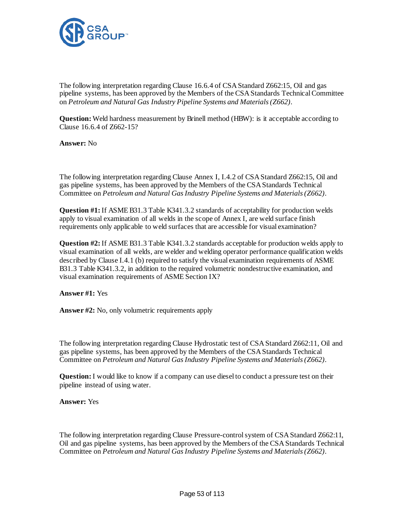

The following interpretation regarding Clause 16.6.4 of CSA Standard Z662:15, Oil and gas pipeline systems, has been approved by the Members of the CSA Standards Technical Committee on *Petroleum and Natural Gas Industry Pipeline Systems and Materials (Z662)*.

**Question:** Weld hardness measurement by Brinell method (HBW): is it acceptable according to Clause 16.6.4 of Z662-15?

**Answer:** No

The following interpretation regarding Clause Annex I, I.4.2 of CSA Standard Z662:15, Oil and gas pipeline systems, has been approved by the Members of the CSA Standards Technical Committee on *Petroleum and Natural Gas Industry Pipeline Systems and Materials (Z662)*.

**Question #1:** If ASME B31.3 Table K341.3.2 standards of acceptability for production welds apply to visual examination of all welds in the scope of Annex I, are weld surface finish requirements only applicable to weld surfaces that are accessible for visual examination?

**Question #2:** If ASME B31.3 Table K341.3.2 standards acceptable for production welds apply to visual examination of all welds, are welder and welding operator performance qualification welds described by Clause I.4.1 (b) required to satisfy the visual examination requirements of ASME B31.3 Table K341.3.2, in addition to the required volumetric nondestructive examination, and visual examination requirements of ASME Section IX?

**Answer #1:** Yes

**Answer #2:** No, only volumetric requirements apply

The following interpretation regarding Clause Hydrostatic test of CSA Standard Z662:11, Oil and gas pipeline systems, has been approved by the Members of the CSA Standards Technical Committee on *Petroleum and Natural Gas Industry Pipeline Systems and Materials (Z662)*.

**Question:**I would like to know if a company can use diesel to conduct a pressure test on their pipeline instead of using water.

**Answer:** Yes

The following interpretation regarding Clause Pressure-control system of CSA Standard Z662:11, Oil and gas pipeline systems, has been approved by the Members of the CSA Standards Technical Committee on *Petroleum and Natural Gas Industry Pipeline Systems and Materials (Z662)*.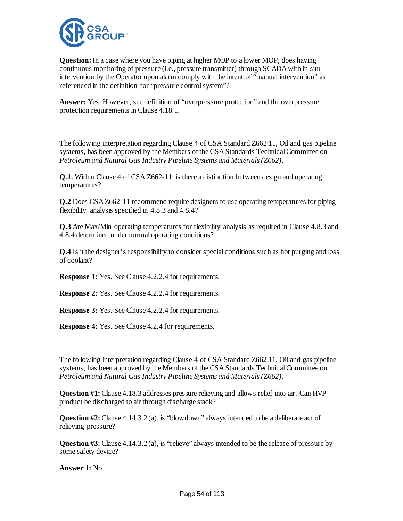

**Question:**In a case where you have piping at higher MOP to a lower MOP, does having continuous monitoring of pressure (i.e., pressure transmitter) through SCADA with in situ intervention by the Operator upon alarm comply with the intent of "manual intervention" as referenced in the definition for "pressure control system"?

**Answer:** Yes. However, see definition of "overpressure protection" and the overpressure protection requirements in Clause 4.18.1.

The following interpretation regarding Clause 4 of CSA Standard Z662:11, Oil and gas pipeline systems, has been approved by the Members of the CSA Standards Technical Committee on *Petroleum and Natural Gas Industry Pipeline Systems and Materials (Z662)*.

**Q.1.** Within Clause 4 of CSA Z662-11, is there a distinction between design and operating temperatures?

**Q.2** Does CSA Z662-11 recommend require designers to use operating temperatures for piping flexibility analysis specified in 4.8.3 and 4.8.4?

**Q.3** Are Max/Min operating temperatures for flexibility analysis as required in Clause 4.8.3 and 4.8.4 determined under normal operating conditions?

**Q.4** Is it the designer's responsibility to consider special conditions such as hot purging and loss of coolant?

**Response 1:** Yes. See Clause 4.2.2.4 for requirements.

**Response 2:** Yes. See Clause 4.2.2.4 for requirements.

**Response 3:** Yes. See Clause 4.2.2.4 for requirements.

**Response 4:** Yes. See Clause 4.2.4 for requirements.

The following interpretation regarding Clause 4 of CSA Standard Z662:11, Oil and gas pipeline systems, has been approved by the Members of the CSA Standards Technical Committee on *Petroleum and Natural Gas Industry Pipeline Systems and Materials (Z662)*.

**Question #1:** Clause 4.18.3 addresses pressure relieving and allows relief into air. Can HVP product be discharged to air through discharge stack?

**Question #2:** Clause 4.14.3.2 (a), is "blowdown" always intended to be a deliberate act of relieving pressure?

**Question #3:** Clause 4.14.3.2 (a), is "relieve" always intended to be the release of pressure by some safety device?

**Answer 1:** No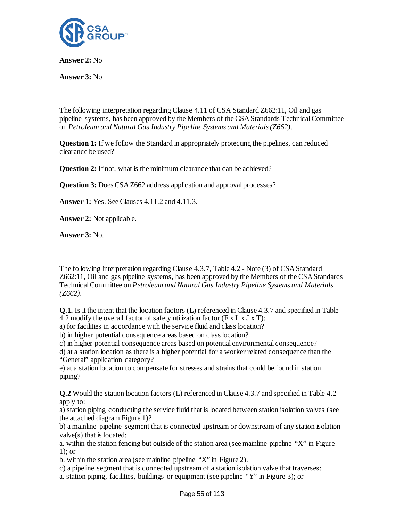

**Answer 2:** No

**Answer 3:** No

The following interpretation regarding Clause 4.11 of CSA Standard Z662:11, Oil and gas pipeline systems, has been approved by the Members of the CSA Standards Technical Committee on *Petroleum and Natural Gas Industry Pipeline Systems and Materials (Z662)*.

**Question 1:** If we follow the Standard in appropriately protecting the pipelines, can reduced clearance be used?

**Question 2:** If not, what is the minimum clearance that can be achieved?

**Question 3:** Does CSA Z662 address application and approval processes?

**Answer 1:** Yes. See Clauses 4.11.2 and 4.11.3.

**Answer 2:** Not applicable.

**Answer 3:** No.

The following interpretation regarding Clause 4.3.7, Table 4.2 - Note (3) of CSA Standard Z662:11, Oil and gas pipeline systems, has been approved by the Members of the CSA Standards Technical Committee on *Petroleum and Natural Gas Industry Pipeline Systems and Materials (Z662)*.

**Q.1.** Is it the intent that the location factors (L) referenced in Clause 4.3.7 and specified in Table 4.2 modify the overall factor of safety utilization factor ( $F \times L \times J \times T$ ):

a) for facilities in accordance with the service fluid and class location?

b) in higher potential consequence areas based on class location?

c) in higher potential consequence areas based on potential environmental consequence?

d) at a station location as there is a higher potential for a worker related consequence than the "General" application category?

e) at a station location to compensate for stresses and strains that could be found in station piping?

**Q.2** Would the station location factors (L) referenced in Clause 4.3.7 and specified in Table 4.2 apply to:

a) station piping conducting the service fluid that is located between station isolation valves (see the attached diagram Figure 1)?

b) a mainline pipeline segment that is connected upstream or downstream of any station isolation valve(s) that is located:

a. within the station fencing but outside of the station area (see mainline pipeline "X" in Figure 1); or

b. within the station area (see mainline pipeline "X" in Figure 2).

c) a pipeline segment that is connected upstream of a station isolation valve that traverses:

a. station piping, facilities, buildings or equipment (see pipeline "Y" in Figure 3); or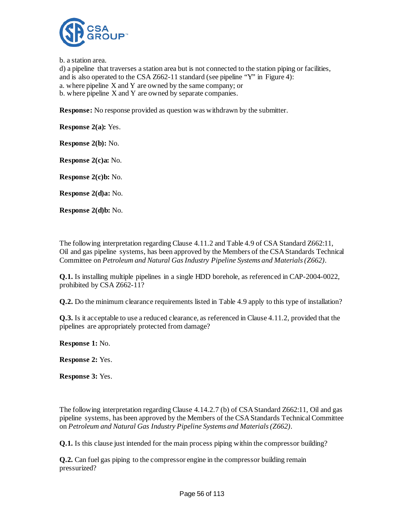

b. a station area.

d) a pipeline that traverses a station area but is not connected to the station piping or facilities, and is also operated to the CSA Z662-11 standard (see pipeline "Y" in Figure 4): a. where pipeline X and Y are owned by the same company; or b. where pipeline X and Y are owned by separate companies.

**Response:** No response provided as question was withdrawn by the submitter.

**Response 2(a):** Yes.

**Response 2(b):** No.

**Response 2(c)a:** No.

**Response 2(c)b:** No.

**Response 2(d)a:** No.

**Response 2(d)b:** No.

The following interpretation regarding Clause 4.11.2 and Table 4.9 of CSA Standard Z662:11, Oil and gas pipeline systems, has been approved by the Members of the CSA Standards Technical Committee on *Petroleum and Natural Gas Industry Pipeline Systems and Materials (Z662)*.

**Q.1.** Is installing multiple pipelines in a single HDD borehole, as referenced in CAP-2004-0022, prohibited by CSA Z662-11?

**Q.2.** Do the minimum clearance requirements listed in Table 4.9 apply to this type of installation?

**Q.3.** Is it acceptable to use a reduced clearance, as referenced in Clause 4.11.2, provided that the pipelines are appropriately protected from damage?

**Response 1:** No.

**Response 2:** Yes.

**Response 3:** Yes.

The following interpretation regarding Clause 4.14.2.7 (b) of CSA Standard Z662:11, Oil and gas pipeline systems, has been approved by the Members of the CSA Standards Technical Committee on *Petroleum and Natural Gas Industry Pipeline Systems and Materials (Z662)*.

**Q.1.** Is this clause just intended for the main process piping within the compressor building?

**Q.2.** Can fuel gas piping to the compressor engine in the compressor building remain pressurized?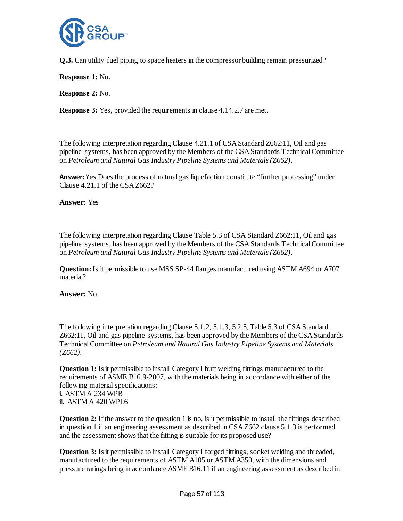

**Q.3.** Can utility fuel piping to space heaters in the compressor building remain pressurized?

**Response 1:** No.

**Response 2:** No.

**Response 3:** Yes, provided the requirements in clause 4.14.2.7 are met.

The following interpretation regarding Clause 4.21.1 of CSA Standard Z662:11, Oil and gas pipeline systems, has been approved by the Members of the CSA Standards Technical Committee on *Petroleum and Natural Gas Industry Pipeline Systems and Materials (Z662)*.

**Answer:** Yes Does the process of natural gas liquefaction constitute "further processing" under Clause 4.21.1 of the CSA Z662?

**Answer:** Yes

The following interpretation regarding Clause Table 5.3 of CSA Standard Z662:11, Oil and gas pipeline systems, has been approved by the Members of the CSA Standards Technical Committee on *Petroleum and Natural Gas Industry Pipeline Systems and Materials (Z662)*.

**Question:**Is it permissible to use MSS SP-44 flanges manufactured using ASTM A694 or A707 material?

**Answer:** No.

The following interpretation regarding Clause 5.1.2, 5.1.3, 5.2.5, Table 5.3 of CSA Standard Z662:11, Oil and gas pipeline systems, has been approved by the Members of the CSA Standards Technical Committee on *Petroleum and Natural Gas Industry Pipeline Systems and Materials (Z662)*.

**Question 1:** Is it permissible to install Category I butt welding fittings manufactured to the requirements of ASME B16.9-2007, with the materials being in accordance with either of the following material specifications:

i. ASTM A 234 WPB ii. ASTM A 420 WPL6

**Question 2:** If the answer to the question 1 is no, is it permissible to install the fittings described in question 1 if an engineering assessment as described in CSA Z662 clause 5.1.3 is performed and the assessment shows that the fitting is suitable for its proposed use?

**Question 3:** Is it permissible to install Category I forged fittings, socket welding and threaded, manufactured to the requirements of ASTM A105 or ASTM A350, with the dimensions and pressure ratings being in accordance ASME B16.11 if an engineering assessment as described in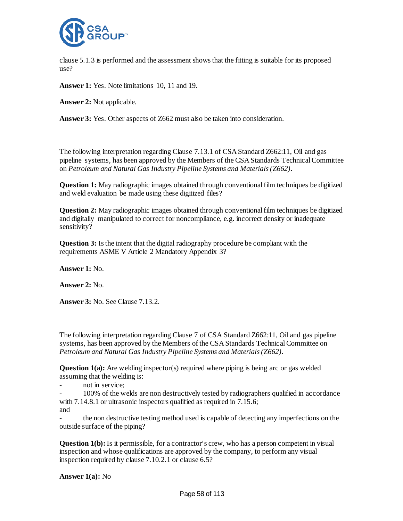

clause 5.1.3 is performed and the assessment shows that the fitting is suitable for its proposed use?

**Answer 1:** Yes. Note limitations 10, 11 and 19.

**Answer 2:** Not applicable.

**Answer 3:** Yes. Other aspects of Z662 must also be taken into consideration.

The following interpretation regarding Clause 7.13.1 of CSA Standard Z662:11, Oil and gas pipeline systems, has been approved by the Members of the CSA Standards Technical Committee on *Petroleum and Natural Gas Industry Pipeline Systems and Materials (Z662)*.

**Question 1:** May radiographic images obtained through conventional film techniques be digitized and weld evaluation be made using these digitized files?

**Question 2:** May radiographic images obtained through conventional film techniques be digitized and digitally manipulated to correct for noncompliance, e.g. incorrect density or inadequate sensitivity?

**Question 3:** Is the intent that the digital radiography procedure be compliant with the requirements ASME V Article 2 Mandatory Appendix 3?

**Answer 1:** No.

**Answer 2:** No.

**Answer 3:** No. See Clause 7.13.2.

The following interpretation regarding Clause 7 of CSA Standard Z662:11, Oil and gas pipeline systems, has been approved by the Members of the CSA Standards Technical Committee on *Petroleum and Natural Gas Industry Pipeline Systems and Materials (Z662)*.

**Question 1(a):** Are welding inspector(s) required where piping is being arc or gas welded assuming that the welding is:

- not in service;

- 100% of the welds are non destructively tested by radiographers qualified in accordance with 7.14.8.1 or ultrasonic inspectors qualified as required in 7.15.6; and

- the non destructive testing method used is capable of detecting any imperfections on the outside surface of the piping?

**Question 1(b):** Is it permissible, for a contractor's crew, who has a person competent in visual inspection and whose qualifications are approved by the company, to perform any visual inspection required by clause 7.10.2.1 or clause 6.5?

**Answer 1(a):** No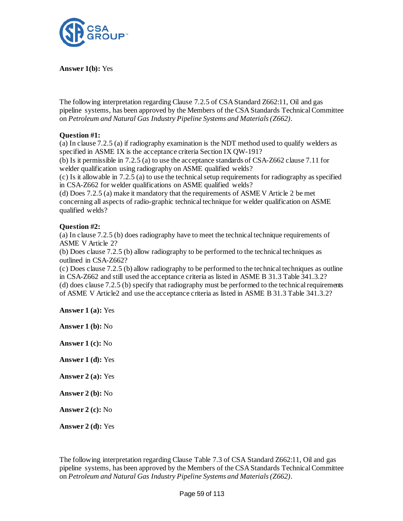

**Answer 1(b):** Yes

The following interpretation regarding Clause 7.2.5 of CSA Standard Z662:11, Oil and gas pipeline systems, has been approved by the Members of the CSA Standards Technical Committee on *Petroleum and Natural Gas Industry Pipeline Systems and Materials (Z662)*.

# **Question #1:**

(a) In clause 7.2.5 (a) if radiography examination is the NDT method used to qualify welders as specified in ASME IX is the acceptance criteria Section IX QW-191?

(b) Is it permissible in 7.2.5 (a) to use the acceptance standards of CSA-Z662 clause 7.11 for welder qualification using radiography on ASME qualified welds?

(c) Is it allowable in 7.2.5 (a) to use the technical setup requirements for radiography as specified in CSA-Z662 for welder qualifications on ASME qualified welds?

(d) Does 7.2.5 (a) make it mandatory that the requirements of ASME V Article 2 be met concerning all aspects of radio-graphic technical technique for welder qualification on ASME qualified welds?

# **Question #2:**

(a) In clause 7.2.5 (b) does radiography have to meet the technical technique requirements of ASME V Article 2?

(b) Does clause 7.2.5 (b) allow radiography to be performed to the technical techniques as outlined in CSA-Z662?

(c) Does clause 7.2.5 (b) allow radiography to be performed to the technical techniques as outline in CSA-Z662 and still used the acceptance criteria as listed in ASME B 31.3 Table 341.3.2? (d) does clause 7.2.5 (b) specify that radiography must be performed to the technical requirements of ASME V Article2 and use the acceptance criteria as listed in ASME B 31.3 Table 341.3.2?

**Answer 1 (a):** Yes

**Answer 1 (b):** No

**Answer 1 (c):** No

**Answer 1 (d):** Yes

**Answer 2 (a):** Yes

**Answer 2 (b):** No

**Answer 2 (c):** No

**Answer 2 (d):** Yes

The following interpretation regarding Clause Table 7.3 of CSA Standard Z662:11, Oil and gas pipeline systems, has been approved by the Members of the CSA Standards Technical Committee on *Petroleum and Natural Gas Industry Pipeline Systems and Materials (Z662)*.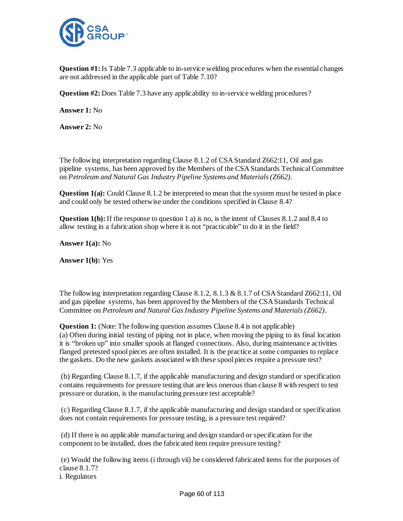

**Question #1:** Is Table 7.3 applicable to in-service welding procedures when the essential changes are not addressed in the applicable part of Table 7.10?

**Question #2:** Does Table 7.3 have any applicability to in-service welding procedures?

**Answer 1:** No

**Answer 2:** No

The following interpretation regarding Clause 8.1.2 of CSA Standard Z662:11, Oil and gas pipeline systems, has been approved by the Members of the CSA Standards Technical Committee on *Petroleum and Natural Gas Industry Pipeline Systems and Materials (Z662)*.

**Question 1(a):** Could Clause 8.1.2 be interpreted to mean that the system must be tested in place and could only be tested otherwise under the conditions specified in Clause 8.4?

**Question 1(b):** If the response to question 1 a) is no, is the intent of Clauses 8.1.2 and 8.4 to allow testing in a fabrication shop where it is not "practicable" to do it in the field?

**Answer 1(a):** No

**Answer 1(b):** Yes

The following interpretation regarding Clause 8.1.2, 8.1.3 & 8.1.7 of CSA Standard Z662:11, Oil and gas pipeline systems, has been approved by the Members of the CSA Standards Technical Committee on *Petroleum and Natural Gas Industry Pipeline Systems and Materials (Z662)*.

**Question 1:** (Note: The following question assumes Clause 8.4 is not applicable) (a) Often during initial testing of piping not in place, when moving the piping to its final location it is "broken up" into smaller spools at flanged connections. Also, during maintenance activities flanged pretested spool pieces are often installed. It is the practice at some companies to replace the gaskets. Do the new gaskets associated with these spool pieces require a pressure test?

(b) Regarding Clause 8.1.7, if the applicable manufacturing and design standard or specification contains requirements for pressure testing that are less onerous than clause 8 with respect to test pressure or duration, is the manufacturing pressure test acceptable?

(c) Regarding Clause 8.1.7, if the applicable manufacturing and design standard or specification does not contain requirements for pressure testing, is a pressure test required?

(d) If there is no applicable manufacturing and design standard or specification for the component to be installed, does the fabricated item require pressure testing?

(e) Would the following items (i through vii) be considered fabricated items for the purposes of clause 8.1.7?

i. Regulators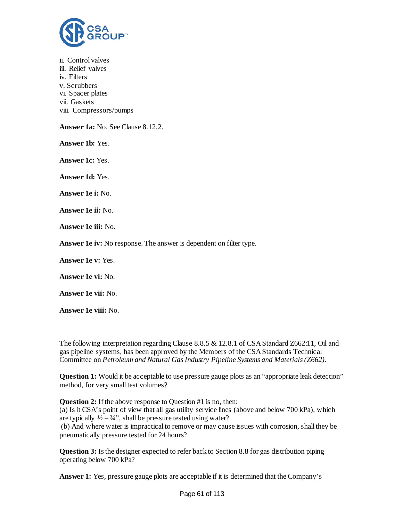

ii. Control valves iii. Relief valves iv. Filters v. Scrubbers vi. Spacer plates vii. Gaskets viii. Compressors/pumps **Answer 1a:** No. See Clause 8.12.2. **Answer 1b:** Yes.

**Answer 1c:** Yes.

**Answer 1d:** Yes.

**Answer 1e i:** No.

**Answer 1e ii:** No.

**Answer 1e iii:** No.

**Answer 1e iv:** No response. The answer is dependent on filter type.

**Answer 1e v:** Yes.

**Answer 1e vi:** No.

**Answer 1e vii:** No.

**Answer 1e viii:** No.

The following interpretation regarding Clause 8.8.5 & 12.8.1 of CSA Standard Z662:11, Oil and gas pipeline systems, has been approved by the Members of the CSA Standards Technical Committee on *Petroleum and Natural Gas Industry Pipeline Systems and Materials (Z662)*.

**Question 1:** Would it be acceptable to use pressure gauge plots as an "appropriate leak detection" method, for very small test volumes?

**Question 2:** If the above response to Question #1 is no, then: (a) Is it CSA's point of view that all gas utility service lines (above and below 700 kPa), which are typically  $\frac{1}{2} - \frac{3}{4}$ , shall be pressure tested using water? (b) And where water is impractical to remove or may cause issues with corrosion, shall they be pneumatically pressure tested for 24 hours?

**Question 3:** Is the designer expected to refer back to Section 8.8 for gas distribution piping operating below 700 kPa?

Answer 1: Yes, pressure gauge plots are acceptable if it is determined that the Company's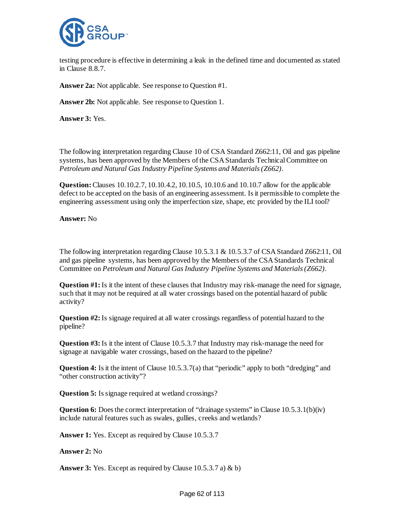

testing procedure is effective in determining a leak in the defined time and documented as stated in Clause 8.8.7.

**Answer 2a:** Not applicable. See response to Question #1.

**Answer 2b:** Not applicable. See response to Question 1.

**Answer 3:** Yes.

The following interpretation regarding Clause 10 of CSA Standard Z662:11, Oil and gas pipeline systems, has been approved by the Members of the CSA Standards Technical Committee on *Petroleum and Natural Gas Industry Pipeline Systems and Materials (Z662)*.

**Question:**Clauses 10.10.2.7, 10.10.4.2, 10.10.5, 10.10.6 and 10.10.7 allow for the applicable defect to be accepted on the basis of an engineering assessment. Is it permissible to complete the engineering assessment using only the imperfection size, shape, etc provided by the ILI tool?

**Answer:** No

The following interpretation regarding Clause 10.5.3.1 & 10.5.3.7 of CSA Standard Z662:11, Oil and gas pipeline systems, has been approved by the Members of the CSA Standards Technical Committee on *Petroleum and Natural Gas Industry Pipeline Systems and Materials (Z662)*.

**Question #1:** Is it the intent of these clauses that Industry may risk-manage the need for signage, such that it may not be required at all water crossings based on the potential hazard of public activity?

**Question #2:** Is signage required at all water crossings regardless of potential hazard to the pipeline?

**Question #3:** Is it the intent of Clause 10.5.3.7 that Industry may risk-manage the need for signage at navigable water crossings, based on the hazard to the pipeline?

**Question 4:** Is it the intent of Clause 10.5.3.7(a) that "periodic" apply to both "dredging" and "other construction activity"?

**Question 5:** Is signage required at wetland crossings?

**Question 6:** Does the correct interpretation of "drainage systems" in Clause 10.5.3.1(b)(iv) include natural features such as swales, gullies, creeks and wetlands?

**Answer 1:** Yes. Except as required by Clause 10.5.3.7

**Answer 2:** No

**Answer 3:** Yes. Except as required by Clause 10.5.3.7 a) & b)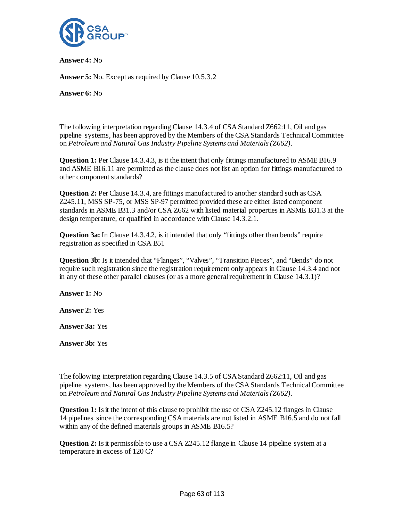

**Answer 4:** No

**Answer 5:** No. Except as required by Clause 10.5.3.2

**Answer 6:** No

The following interpretation regarding Clause 14.3.4 of CSA Standard Z662:11, Oil and gas pipeline systems, has been approved by the Members of the CSA Standards Technical Committee on *Petroleum and Natural Gas Industry Pipeline Systems and Materials (Z662)*.

**Question 1:** Per Clause 14.3.4.3, is it the intent that only fittings manufactured to ASME B16.9 and ASME B16.11 are permitted as the clause does not list an option for fittings manufactured to other component standards?

**Question 2:** Per Clause 14.3.4, are fittings manufactured to another standard such as CSA Z245.11, MSS SP-75, or MSS SP-97 permitted provided these are either listed component standards in ASME B31.3 and/or CSA Z662 with listed material properties in ASME B31.3 at the design temperature, or qualified in accordance with Clause 14.3.2.1.

**Question 3a:** In Clause 14.3.4.2, is it intended that only "fittings other than bends" require registration as specified in CSA B51

**Question 3b:** Is it intended that "Flanges", "Valves", "Transition Pieces", and "Bends" do not require such registration since the registration requirement only appears in Clause 14.3.4 and not in any of these other parallel clauses (or as a more general requirement in Clause 14.3.1)?

**Answer 1:** No

**Answer 2:** Yes

**Answer 3a:** Yes

**Answer 3b:** Yes

The following interpretation regarding Clause 14.3.5 of CSA Standard Z662:11, Oil and gas pipeline systems, has been approved by the Members of the CSA Standards Technical Committee on *Petroleum and Natural Gas Industry Pipeline Systems and Materials (Z662)*.

**Question 1:** Is it the intent of this clause to prohibit the use of CSA Z245.12 flanges in Clause 14 pipelines since the corresponding CSA materials are not listed in ASME B16.5 and do not fall within any of the defined materials groups in ASME B16.5?

**Question 2:** Is it permissible to use a CSA Z245.12 flange in Clause 14 pipeline system at a temperature in excess of 120 C?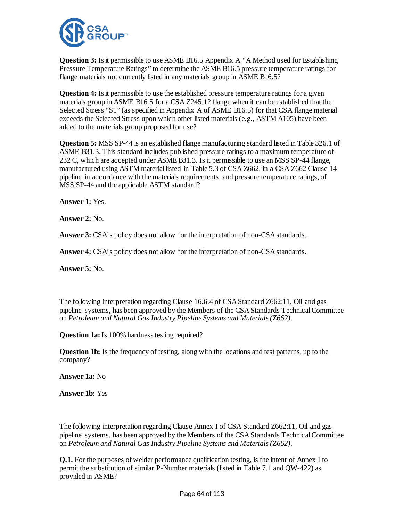

**Question 3:** Is it permissible to use ASME B16.5 Appendix A "A Method used for Establishing Pressure Temperature Ratings" to determine the ASME B16.5 pressure temperature ratings for flange materials not currently listed in any materials group in ASME B16.5?

**Question 4:** Is it permissible to use the established pressure temperature ratings for a given materials group in ASME B16.5 for a CSA Z245.12 flange when it can be established that the Selected Stress "S1" (as specified in Appendix A of ASME B16.5) for that CSA flange material exceeds the Selected Stress upon which other listed materials (e.g., ASTM A105) have been added to the materials group proposed for use?

**Question 5:** MSS SP-44 is an established flange manufacturing standard listed in Table 326.1 of ASME B31.3. This standard includes published pressure ratings to a maximum temperature of 232 C, which are accepted under ASME B31.3. Is it permissible to use an MSS SP-44 flange, manufactured using ASTM material listed in Table 5.3 of CSA Z662, in a CSA Z662 Clause 14 pipeline in accordance with the materials requirements, and pressure temperature ratings, of MSS SP-44 and the applicable ASTM standard?

**Answer 1:** Yes.

**Answer 2:** No.

**Answer 3:** CSA's policy does not allow for the interpretation of non-CSA standards.

**Answer 4:** CSA's policy does not allow for the interpretation of non-CSA standards.

**Answer 5:** No.

The following interpretation regarding Clause 16.6.4 of CSA Standard Z662:11, Oil and gas pipeline systems, has been approved by the Members of the CSA Standards Technical Committee on *Petroleum and Natural Gas Industry Pipeline Systems and Materials (Z662)*.

**Question 1a:** Is 100% hardness testing required?

**Question 1b:** Is the frequency of testing, along with the locations and test patterns, up to the company?

**Answer 1a:** No

**Answer 1b:** Yes

The following interpretation regarding Clause Annex I of CSA Standard Z662:11, Oil and gas pipeline systems, has been approved by the Members of the CSA Standards Technical Committee on *Petroleum and Natural Gas Industry Pipeline Systems and Materials (Z662)*.

**Q.1.** For the purposes of welder performance qualification testing, is the intent of Annex I to permit the substitution of similar P-Number materials (listed in Table 7.1 and QW-422) as provided in ASME?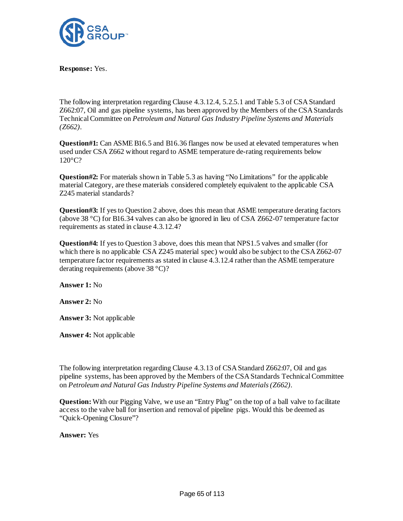

**Response:** Yes.

The following interpretation regarding Clause 4.3.12.4, 5.2.5.1 and Table 5.3 of CSA Standard Z662:07, Oil and gas pipeline systems, has been approved by the Members of the CSA Standards Technical Committee on *Petroleum and Natural Gas Industry Pipeline Systems and Materials (Z662)*.

**Question#1:** Can ASME B16.5 and B16.36 flanges now be used at elevated temperatures when used under CSA Z662 without regard to ASME temperature de-rating requirements below 120°C?

**Question#2:** For materials shown in Table 5.3 as having "No Limitations" for the applicable material Category, are these materials considered completely equivalent to the applicable CSA Z245 material standards?

**Question#3:** If yes to Question 2 above, does this mean that ASME temperature derating factors (above 38 °C) for B16.34 valves can also be ignored in lieu of CSA Z662-07 temperature factor requirements as stated in clause 4.3.12.4?

**Question#4:** If yes to Question 3 above, does this mean that NPS1.5 valves and smaller (for which there is no applicable CSA Z245 material spec) would also be subject to the CSA Z662-07 temperature factor requirements as stated in clause 4.3.12.4 rather than the ASME temperature derating requirements (above 38 °C)?

**Answer 1:** No

**Answer 2:** No

**Answer 3:** Not applicable

**Answer 4:** Not applicable

The following interpretation regarding Clause 4.3.13 of CSA Standard Z662:07, Oil and gas pipeline systems, has been approved by the Members of the CSA Standards Technical Committee on *Petroleum and Natural Gas Industry Pipeline Systems and Materials (Z662)*.

**Question:** With our Pigging Valve, we use an "Entry Plug" on the top of a ball valve to facilitate access to the valve ball for insertion and removal of pipeline pigs. Would this be deemed as "Quick-Opening Closure"?

**Answer:** Yes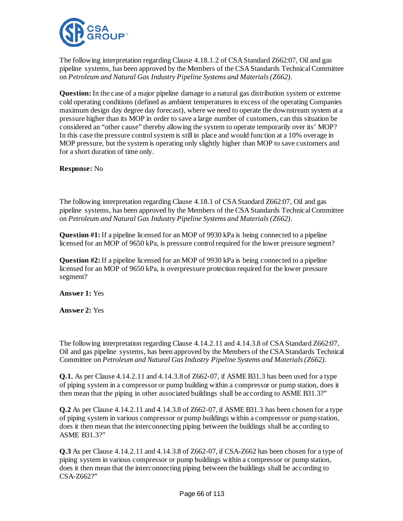

The following interpretation regarding Clause 4.18.1.2 of CSA Standard Z662:07, Oil and gas pipeline systems, has been approved by the Members of the CSA Standards Technical Committee on *Petroleum and Natural Gas Industry Pipeline Systems and Materials (Z662)*.

**Question:**In the case of a major pipeline damage to a natural gas distribution system or extreme cold operating conditions (defined as ambient temperatures in excess of the operating Companies maximum design day degree day forecast), where we need to operate the downstream system at a pressure higher than its MOP in order to save a large number of customers, can this situation be considered an "other cause" thereby allowing the system to operate temporarily over its' MOP? In this case the pressure control system is still in place and would function at a 10% overage in MOP pressure, but the system is operating only slightly higher than MOP to save customers and for a short duration of time only.

**Response:** No

The following interpretation regarding Clause 4.18.1 of CSA Standard Z662:07, Oil and gas pipeline systems, has been approved by the Members of the CSA Standards Technical Committee on *Petroleum and Natural Gas Industry Pipeline Systems and Materials (Z662)*.

**Question #1:** If a pipeline licensed for an MOP of 9930 kPa is being connected to a pipeline licensed for an MOP of 9650 kPa, is pressure control required for the lower pressure segment?

**Question #2:** If a pipeline licensed for an MOP of 9930 kPa is being connected to a pipeline licensed for an MOP of 9650 kPa, is overpressure protection required for the lower pressure segment?

**Answer 1:** Yes

**Answer 2:** Yes

The following interpretation regarding Clause 4.14.2.11 and 4.14.3.8 of CSA Standard Z662:07, Oil and gas pipeline systems, has been approved by the Members of the CSA Standards Technical Committee on *Petroleum and Natural Gas Industry Pipeline Systems and Materials (Z662)*.

**Q.1.** As per Clause 4.14.2.11 and 4.14.3.8 of Z662-07, if ASME B31.3 has been used for a type of piping system in a compressor or pump building within a compressor or pump station, does it then mean that the piping in other associated buildings shall be according to ASME B31.3?"

**Q.2** As per Clause 4.14.2.11 and 4.14.3.8 of Z662-07, if ASME B31.3 has been chosen for a type of piping system in various compressor or pump buildings within a compressor or pump station, does it then mean that the interconnecting piping between the buildings shall be according to ASME B31.3?"

**Q.3** As per Clause 4.14.2.11 and 4.14.3.8 of Z662-07, if CSA-Z662 has been chosen for a type of piping system in various compressor or pump buildings within a compressor or pump station, does it then mean that the interconnecting piping between the buildings shall be according to CSA-Z662?"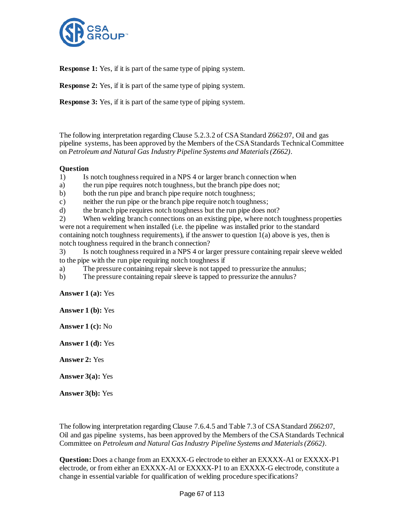

**Response 1:** Yes, if it is part of the same type of piping system.

**Response 2:** Yes, if it is part of the same type of piping system.

**Response 3:** Yes, if it is part of the same type of piping system.

The following interpretation regarding Clause 5.2.3.2 of CSA Standard Z662:07, Oil and gas pipeline systems, has been approved by the Members of the CSA Standards Technical Committee on *Petroleum and Natural Gas Industry Pipeline Systems and Materials (Z662)*.

# **Question**

1) Is notch toughness required in a NPS 4 or larger branch connection when

- a) the run pipe requires notch toughness, but the branch pipe does not;
- b) both the run pipe and branch pipe require notch toughness;
- c) neither the run pipe or the branch pipe require notch toughness;
- d) the branch pipe requires notch toughness but the run pipe does not?

2) When welding branch connections on an existing pipe, where notch toughness properties were not a requirement when installed (i.e. the pipeline was installed prior to the standard containing notch toughness requirements), if the answer to question 1(a) above is yes, then is notch toughness required in the branch connection?

3) Is notch toughness required in a NPS 4 or larger pressure containing repair sleeve welded to the pipe with the run pipe requiring notch toughness if

- a) The pressure containing repair sleeve is not tapped to pressurize the annulus;
- b) The pressure containing repair sleeve is tapped to pressurize the annulus?

**Answer 1 (a):** Yes

**Answer 1 (b):** Yes

**Answer 1 (c):** No

**Answer 1 (d):** Yes

**Answer 2:** Yes

**Answer 3(a):** Yes

**Answer 3(b):** Yes

The following interpretation regarding Clause 7.6.4.5 and Table 7.3 of CSA Standard Z662:07, Oil and gas pipeline systems, has been approved by the Members of the CSA Standards Technical Committee on *Petroleum and Natural Gas Industry Pipeline Systems and Materials (Z662)*.

**Question:** Does a change from an EXXXX-G electrode to either an EXXXX-A1 or EXXXX-P1 electrode, or from either an EXXXX-A1 or EXXXX-P1 to an EXXXX-G electrode, constitute a change in essential variable for qualification of welding procedure specifications?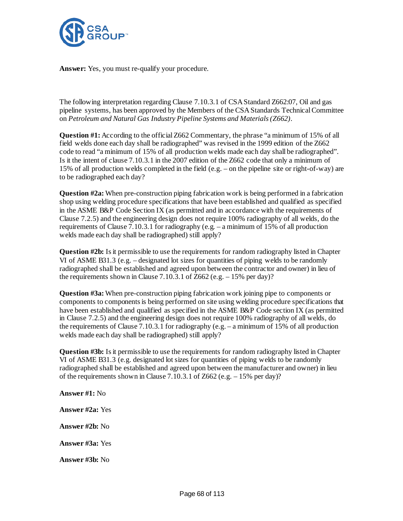

**Answer:** Yes, you must re-qualify your procedure.

The following interpretation regarding Clause 7.10.3.1 of CSA Standard Z662:07, Oil and gas pipeline systems, has been approved by the Members of the CSA Standards Technical Committee on *Petroleum and Natural Gas Industry Pipeline Systems and Materials (Z662)*.

**Question #1:** According to the official Z662 Commentary, the phrase "a minimum of 15% of all field welds done each day shall be radiographed" was revised in the 1999 edition of the Z662 code to read "a minimum of 15% of all production welds made each day shall be radiographed". Is it the intent of clause 7.10.3.1 in the 2007 edition of the Z662 code that only a minimum of 15% of all production welds completed in the field (e.g. – on the pipeline site or right-of-way) are to be radiographed each day?

**Question #2a:** When pre-construction piping fabrication work is being performed in a fabrication shop using welding procedure specifications that have been established and qualified as specified in the ASME B&P Code Section IX (as permitted and in accordance with the requirements of Clause 7.2.5) and the engineering design does not require 100% radiography of all welds, do the requirements of Clause 7.10.3.1 for radiography (e.g. – a minimum of 15% of all production welds made each day shall be radiographed) still apply?

**Question #2b:** Is it permissible to use the requirements for random radiography listed in Chapter VI of ASME B31.3 (e.g. – designated lot sizes for quantities of piping welds to be randomly radiographed shall be established and agreed upon between the contractor and owner) in lieu of the requirements shown in Clause 7.10.3.1 of  $Z$ 662 (e.g.  $-15\%$  per day)?

**Question #3a:** When pre-construction piping fabrication work joining pipe to components or components to components is being performed on site using welding procedure specifications that have been established and qualified as specified in the ASME B&P Code section IX (as permitted in Clause 7.2.5) and the engineering design does not require 100% radiography of all welds, do the requirements of Clause 7.10.3.1 for radiography (e.g.  $-$  a minimum of 15% of all production welds made each day shall be radiographed) still apply?

**Question #3b:** Is it permissible to use the requirements for random radiography listed in Chapter VI of ASME B31.3 (e.g. designated lot sizes for quantities of piping welds to be randomly radiographed shall be established and agreed upon between the manufacturer and owner) in lieu of the requirements shown in Clause 7.10.3.1 of Z662 (e.g. – 15% per day)?

**Answer #1:** No **Answer #2a:** Yes **Answer #2b:** No **Answer #3a:** Yes **Answer #3b:** No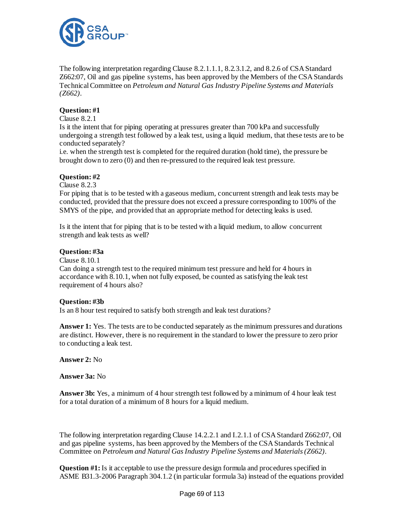

The following interpretation regarding Clause 8.2.1.1.1, 8.2.3.1.2, and 8.2.6 of CSA Standard Z662:07, Oil and gas pipeline systems, has been approved by the Members of the CSA Standards Technical Committee on *Petroleum and Natural Gas Industry Pipeline Systems and Materials (Z662)*.

# **Question: #1**

### Clause 8.2.1

Is it the intent that for piping operating at pressures greater than 700 kPa and successfully undergoing a strength test followed by a leak test, using a liquid medium, that these tests are to be conducted separately?

i.e. when the strength test is completed for the required duration (hold time), the pressure be brought down to zero (0) and then re-pressured to the required leak test pressure.

# **Question: #2**

Clause 8.2.3

For piping that is to be tested with a gaseous medium, concurrent strength and leak tests may be conducted, provided that the pressure does not exceed a pressure corresponding to 100% of the SMYS of the pipe, and provided that an appropriate method for detecting leaks is used.

Is it the intent that for piping that is to be tested with a liquid medium, to allow concurrent strength and leak tests as well?

# **Question: #3a**

Clause 8.10.1

Can doing a strength test to the required minimum test pressure and held for 4 hours in accordance with 8.10.1, when not fully exposed, be counted as satisfying the leak test requirement of 4 hours also?

# **Question: #3b**

Is an 8 hour test required to satisfy both strength and leak test durations?

**Answer 1:** Yes. The tests are to be conducted separately as the minimum pressures and durations are distinct. However, there is no requirement in the standard to lower the pressure to zero prior to conducting a leak test.

**Answer 2:** No

**Answer 3a:** No

**Answer 3b:** Yes, a minimum of 4 hour strength test followed by a minimum of 4 hour leak test for a total duration of a minimum of 8 hours for a liquid medium.

The following interpretation regarding Clause 14.2.2.1 and I.2.1.1 of CSA Standard Z662:07, Oil and gas pipeline systems, has been approved by the Members of the CSA Standards Technical Committee on *Petroleum and Natural Gas Industry Pipeline Systems and Materials (Z662)*.

**Question #1:** Is it acceptable to use the pressure design formula and procedures specified in ASME B31.3-2006 Paragraph 304.1.2 (in particular formula 3a) instead of the equations provided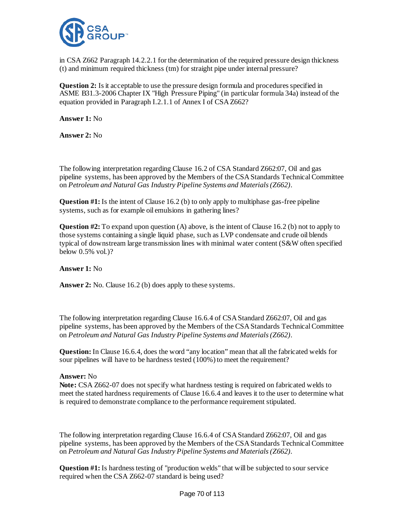

in CSA Z662 Paragraph 14.2.2.1 for the determination of the required pressure design thickness (t) and minimum required thickness (tm) for straight pipe under internal pressure?

**Question 2:** Is it acceptable to use the pressure design formula and procedures specified in ASME B31.3-2006 Chapter IX "High Pressure Piping" (in particular formula 34a) instead of the equation provided in Paragraph I.2.1.1 of Annex I of CSA Z662?

**Answer 1:** No

**Answer 2:** No

The following interpretation regarding Clause 16.2 of CSA Standard Z662:07, Oil and gas pipeline systems, has been approved by the Members of the CSA Standards Technical Committee on *Petroleum and Natural Gas Industry Pipeline Systems and Materials (Z662)*.

**Question #1:** Is the intent of Clause 16.2 (b) to only apply to multiphase gas-free pipeline systems, such as for example oil emulsions in gathering lines?

**Question #2:** To expand upon question (A) above, is the intent of Clause 16.2 (b) not to apply to those systems containing a single liquid phase, such as LVP condensate and crude oil blends typical of downstream large transmission lines with minimal water content (S&W often specified below 0.5% vol.)?

# **Answer 1:** No

Answer 2: No. Clause 16.2 (b) does apply to these systems.

The following interpretation regarding Clause 16.6.4 of CSA Standard Z662:07, Oil and gas pipeline systems, has been approved by the Members of the CSA Standards Technical Committee on *Petroleum and Natural Gas Industry Pipeline Systems and Materials (Z662)*.

**Question:**In Clause 16.6.4, does the word "any location" mean that all the fabricated welds for sour pipelines will have to be hardness tested (100%) to meet the requirement?

#### **Answer:** No

**Note:** CSA Z662-07 does not specify what hardness testing is required on fabricated welds to meet the stated hardness requirements of Clause 16.6.4 and leaves it to the user to determine what is required to demonstrate compliance to the performance requirement stipulated.

The following interpretation regarding Clause 16.6.4 of CSA Standard Z662:07, Oil and gas pipeline systems, has been approved by the Members of the CSA Standards Technical Committee on *Petroleum and Natural Gas Industry Pipeline Systems and Materials (Z662)*.

**Question #1:** Is hardness testing of "production welds" that will be subjected to sour service required when the CSA Z662-07 standard is being used?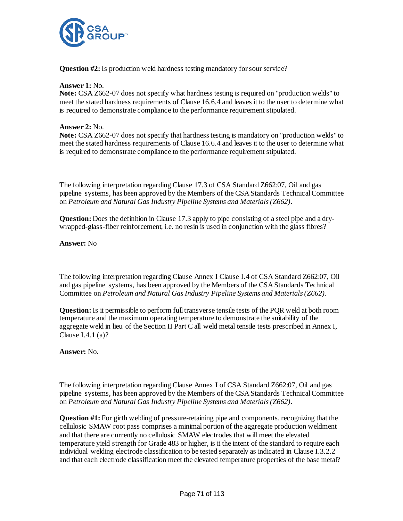

**Question #2:** Is production weld hardness testing mandatory for sour service?

### **Answer 1:** No.

**Note:** CSA Z662-07 does not specify what hardness testing is required on "production welds" to meet the stated hardness requirements of Clause 16.6.4 and leaves it to the user to determine what is required to demonstrate compliance to the performance requirement stipulated.

### **Answer 2:** No.

**Note:** CSA Z662-07 does not specify that hardness testing is mandatory on "production welds" to meet the stated hardness requirements of Clause 16.6.4 and leaves it to the user to determine what is required to demonstrate compliance to the performance requirement stipulated.

The following interpretation regarding Clause 17.3 of CSA Standard Z662:07, Oil and gas pipeline systems, has been approved by the Members of the CSA Standards Technical Committee on *Petroleum and Natural Gas Industry Pipeline Systems and Materials (Z662)*.

**Question:** Does the definition in Clause 17.3 apply to pipe consisting of a steel pipe and a drywrapped-glass-fiber reinforcement, i.e. no resin is used in conjunction with the glass fibres?

**Answer:** No

The following interpretation regarding Clause Annex I Clause I.4 of CSA Standard Z662:07, Oil and gas pipeline systems, has been approved by the Members of the CSA Standards Technical Committee on *Petroleum and Natural Gas Industry Pipeline Systems and Materials (Z662)*.

**Question:**Is it permissible to perform full transverse tensile tests of the PQR weld at both room temperature and the maximum operating temperature to demonstrate the suitability of the aggregate weld in lieu of the Section II Part C all weld metal tensile tests prescribed in Annex I, Clause I.4.1 (a)?

# **Answer:** No.

The following interpretation regarding Clause Annex I of CSA Standard Z662:07, Oil and gas pipeline systems, has been approved by the Members of the CSA Standards Technical Committee on *Petroleum and Natural Gas Industry Pipeline Systems and Materials (Z662)*.

**Question #1:** For girth welding of pressure-retaining pipe and components, recognizing that the cellulosic SMAW root pass comprises a minimal portion of the aggregate production weldment and that there are currently no cellulosic SMAW electrodes that will meet the elevated temperature yield strength for Grade 483 or higher, is it the intent of the standard to require each individual welding electrode classification to be tested separately as indicated in Clause I.3.2.2 and that each electrode classification meet the elevated temperature properties of the base metal?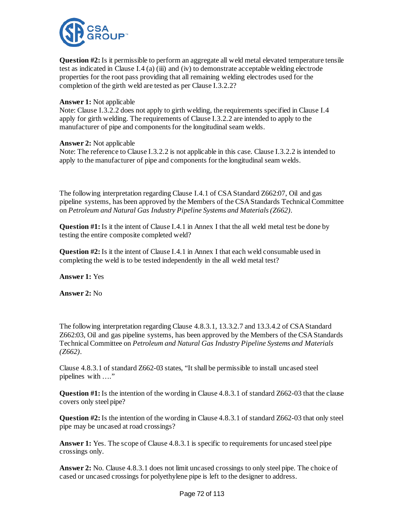

**Question #2:** Is it permissible to perform an aggregate all weld metal elevated temperature tensile test as indicated in Clause I.4 (a) (iii) and (iv) to demonstrate acceptable welding electrode properties for the root pass providing that all remaining welding electrodes used for the completion of the girth weld are tested as per Clause I.3.2.2?

### **Answer 1:** Not applicable

Note: Clause I.3.2.2 does not apply to girth welding, the requirements specified in Clause I.4 apply for girth welding. The requirements of Clause I.3.2.2 are intended to apply to the manufacturer of pipe and components for the longitudinal seam welds.

#### **Answer 2:** Not applicable

Note: The reference to Clause I.3.2.2 is not applicable in this case. Clause I.3.2.2 is intended to apply to the manufacturer of pipe and components for the longitudinal seam welds.

The following interpretation regarding Clause I.4.1 of CSA Standard Z662:07, Oil and gas pipeline systems, has been approved by the Members of the CSA Standards Technical Committee on *Petroleum and Natural Gas Industry Pipeline Systems and Materials (Z662)*.

**Question #1:** Is it the intent of Clause I.4.1 in Annex I that the all weld metal test be done by testing the entire composite completed weld?

**Question #2:** Is it the intent of Clause I.4.1 in Annex I that each weld consumable used in completing the weld is to be tested independently in the all weld metal test?

**Answer 1:** Yes

**Answer 2:** No

The following interpretation regarding Clause 4.8.3.1, 13.3.2.7 and 13.3.4.2 of CSA Standard Z662:03, Oil and gas pipeline systems, has been approved by the Members of the CSA Standards Technical Committee on *Petroleum and Natural Gas Industry Pipeline Systems and Materials (Z662)*.

Clause 4.8.3.1 of standard Z662-03 states, "It shall be permissible to install uncased steel pipelines with ...."

**Question #1:** Is the intention of the wording in Clause 4.8.3.1 of standard Z662-03 that the clause covers only steel pipe?

**Question #2:** Is the intention of the wording in Clause 4.8.3.1 of standard Z662-03 that only steel pipe may be uncased at road crossings?

**Answer 1:** Yes. The scope of Clause 4.8.3.1 is specific to requirements for uncased steel pipe crossings only.

**Answer 2:** No. Clause 4.8.3.1 does not limit uncased crossings to only steel pipe. The choice of cased or uncased crossings for polyethylene pipe is left to the designer to address.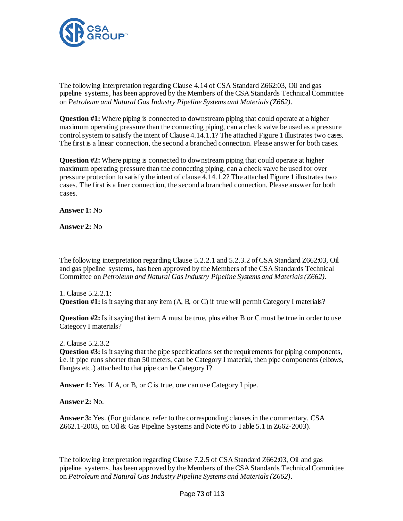

The following interpretation regarding Clause 4.14 of CSA Standard Z662:03, Oil and gas pipeline systems, has been approved by the Members of the CSA Standards Technical Committee on *Petroleum and Natural Gas Industry Pipeline Systems and Materials (Z662)*.

**Question #1:** Where piping is connected to downstream piping that could operate at a higher maximum operating pressure than the connecting piping, can a check valve be used as a pressure control system to satisfy the intent of Clause 4.14.1.1? The attached Figure 1 illustrates two cases. The first is a linear connection, the second a branched connection. Please answer for both cases.

**Question #2:** Where piping is connected to downstream piping that could operate at higher maximum operating pressure than the connecting piping, can a check valve be used for over pressure protection to satisfy the intent of clause 4.14.1.2? The attached Figure 1 illustrates two cases. The first is a liner connection, the second a branched connection. Please answer for both cases.

**Answer 1:** No

**Answer 2:** No

The following interpretation regarding Clause 5.2.2.1 and 5.2.3.2 of CSA Standard Z662:03, Oil and gas pipeline systems, has been approved by the Members of the CSA Standards Technical Committee on *Petroleum and Natural Gas Industry Pipeline Systems and Materials (Z662)*.

1. Clause 5.2.2.1: **Question #1:** Is it saying that any item (A, B, or C) if true will permit Category I materials?

**Question #2:** Is it saying that item A must be true, plus either B or C must be true in order to use Category I materials?

2. Clause 5.2.3.2

**Question #3:** Is it saying that the pipe specifications set the requirements for piping components, i.e. if pipe runs shorter than 50 meters, can be Category I material, then pipe components (elbows, flanges etc.) attached to that pipe can be Category I?

**Answer 1:** Yes. If A, or B, or C is true, one can use Category I pipe.

**Answer 2:** No.

**Answer 3:** Yes. (For guidance, refer to the corresponding clauses in the commentary, CSA Z662.1-2003, on Oil & Gas Pipeline Systems and Note #6 to Table 5.1 in Z662-2003).

The following interpretation regarding Clause 7.2.5 of CSA Standard Z662:03, Oil and gas pipeline systems, has been approved by the Members of the CSA Standards Technical Committee on *Petroleum and Natural Gas Industry Pipeline Systems and Materials (Z662)*.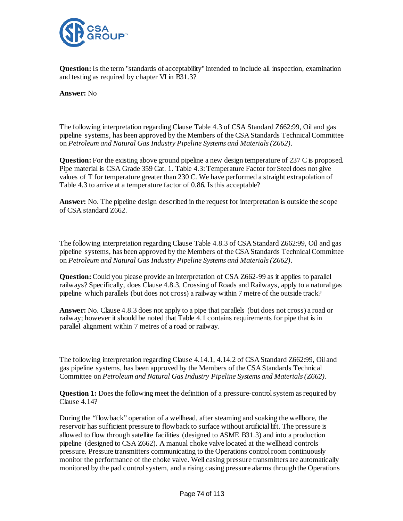

**Question:**Is the term "standards of acceptability" intended to include all inspection, examination and testing as required by chapter VI in B31.3?

**Answer:** No

The following interpretation regarding Clause Table 4.3 of CSA Standard Z662:99, Oil and gas pipeline systems, has been approved by the Members of the CSA Standards Technical Committee on *Petroleum and Natural Gas Industry Pipeline Systems and Materials (Z662)*.

**Question:** For the existing above ground pipeline a new design temperature of 237 C is proposed. Pipe material is CSA Grade 359 Cat. 1. Table 4.3: Temperature Factor for Steel does not give values of T for temperature greater than 230 C. We have performed a straight extrapolation of Table 4.3 to arrive at a temperature factor of 0.86. Is this acceptable?

**Answer:** No. The pipeline design described in the request for interpretation is outside the scope of CSA standard Z662.

The following interpretation regarding Clause Table 4.8.3 of CSA Standard Z662:99, Oil and gas pipeline systems, has been approved by the Members of the CSA Standards Technical Committee on *Petroleum and Natural Gas Industry Pipeline Systems and Materials (Z662)*.

**Question:** Could you please provide an interpretation of CSA Z662-99 as it applies to parallel railways? Specifically, does Clause 4.8.3, Crossing of Roads and Railways, apply to a natural gas pipeline which parallels (but does not cross) a railway within 7 metre of the outside track?

Answer: No. Clause 4.8.3 does not apply to a pipe that parallels (but does not cross) a road or railway; however it should be noted that Table 4.1 contains requirements for pipe that is in parallel alignment within 7 metres of a road or railway.

The following interpretation regarding Clause 4.14.1, 4.14.2 of CSA Standard Z662:99, Oil and gas pipeline systems, has been approved by the Members of the CSA Standards Technical Committee on *Petroleum and Natural Gas Industry Pipeline Systems and Materials (Z662)*.

**Question 1:** Does the following meet the definition of a pressure-control system as required by Clause 4.14?

During the "flowback" operation of a wellhead, after steaming and soaking the wellbore, the reservoir has sufficient pressure to flowback to surface without artificial lift. The pressure is allowed to flow through satellite facilities (designed to ASME B31.3) and into a production pipeline (designed to CSA Z662). A manual choke valve located at the wellhead controls pressure. Pressure transmitters communicating to the Operations control room continuously monitor the performance of the choke valve. Well casing pressure transmitters are automatically monitored by the pad control system, and a rising casing pressure alarms through the Operations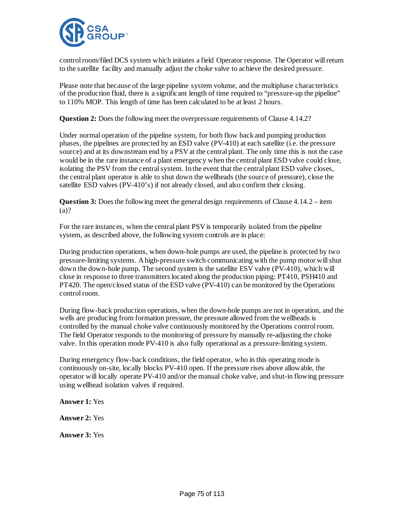

control room/filed DCS system which initiates a field Operator response. The Operator will return to the satellite facility and manually adjust the choke valve to achieve the desired pressure.

Please note that because of the large pipeline system volume, and the multiphase characteristics of the production fluid, there is a significant length of time required to "pressure-up the pipeline" to 110% MOP. This length of time has been calculated to be at least 2 hours.

**Question 2:** Does the following meet the overpressure requirements of Clause 4.14.2?

Under normal operation of the pipeline system, for both flow back and pumping production phases, the pipelines are protected by an ESD valve (PV-410) at each satellite (i.e. the pressure source) and at its downstream end by a PSV at the central plant. The only time this is not the case would be in the rare instance of a plant emergency when the central plant ESD valve could close, isolating the PSV from the central system. In the event that the central plant ESD valve closes, the central plant operator is able to shut down the wellheads (the source of pressure), close the satellite ESD valves (PV-410's) if not already closed, and also confirm their closing.

**Question 3:** Does the following meet the general design requirements of Clause 4.14.2 – item (a)?

For the rare instances, when the central plant PSV is temporarily isolated from the pipeline system, as described above, the following system controls are in place:

During production operations, when down-hole pumps are used, the pipeline is protected by two pressure-limiting systems. A high-pressure switch communicating with the pump motor will shut down the down-hole pump. The second system is the satellite ESV valve (PV-410), which will close in response to three transmitters located along the production piping: PT410, PSH410 and PT420. The open/closed status of the ESD valve (PV-410) can be monitored by the Operations control room.

During flow-back production operations, when the down-hole pumps are not in operation, and the wells are producing from formation pressure, the pressure allowed from the wellheads is controlled by the manual choke valve continuously monitored by the Operations control room. The field Operator responds to the monitoring of pressure by manually re-adjusting the choke valve. In this operation mode PV-410 is also fully operational as a pressure-limiting system.

During emergency flow-back conditions, the field operator, who in this operating mode is continuously on-site, locally blocks PV-410 open. If the pressure rises above allowable, the operator will locally operate PV-410 and/or the manual choke valve, and shut-in flowing pressure using wellhead isolation valves if required.

**Answer 1:** Yes **Answer 2:** Yes **Answer 3:** Yes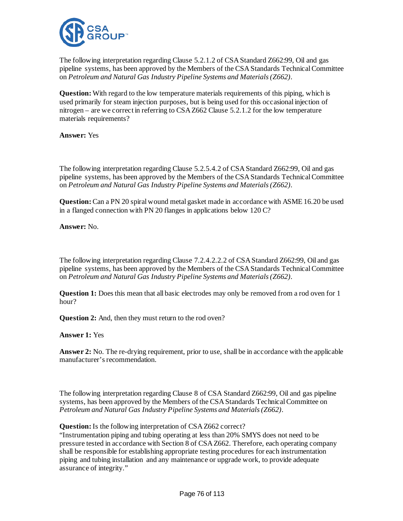

The following interpretation regarding Clause 5.2.1.2 of CSA Standard Z662:99, Oil and gas pipeline systems, has been approved by the Members of the CSA Standards Technical Committee on *Petroleum and Natural Gas Industry Pipeline Systems and Materials (Z662)*.

**Question:** With regard to the low temperature materials requirements of this piping, which is used primarily for steam injection purposes, but is being used for this occasional injection of nitrogen – are we correct in referring to CSA Z662 Clause 5.2.1.2 for the low temperature materials requirements?

**Answer:** Yes

The following interpretation regarding Clause 5.2.5.4.2 of CSA Standard Z662:99, Oil and gas pipeline systems, has been approved by the Members of the CSA Standards Technical Committee on *Petroleum and Natural Gas Industry Pipeline Systems and Materials (Z662)*.

**Question:**Can a PN 20 spiral wound metal gasket made in accordance with ASME 16.20 be used in a flanged connection with PN 20 flanges in applications below 120 C?

**Answer:** No.

The following interpretation regarding Clause 7.2.4.2.2.2 of CSA Standard Z662:99, Oil and gas pipeline systems, has been approved by the Members of the CSA Standards Technical Committee on *Petroleum and Natural Gas Industry Pipeline Systems and Materials (Z662)*.

**Question 1:** Does this mean that all basic electrodes may only be removed from a rod oven for 1 hour?

**Question 2:** And, then they must return to the rod oven?

**Answer 1:** Yes

**Answer 2:** No. The re-drying requirement, prior to use, shall be in accordance with the applicable manufacturer's recommendation.

The following interpretation regarding Clause 8 of CSA Standard Z662:99, Oil and gas pipeline systems, has been approved by the Members of the CSA Standards Technical Committee on *Petroleum and Natural Gas Industry Pipeline Systems and Materials (Z662)*.

**Question:**Is the following interpretation of CSA Z662 correct?

"Instrumentation piping and tubing operating at less than 20% SMYS does not need to be pressure tested in accordance with Section 8 of CSA Z662. Therefore, each operating company shall be responsible for establishing appropriate testing procedures for each instrumentation piping and tubing installation and any maintenance or upgrade work, to provide adequate assurance of integrity."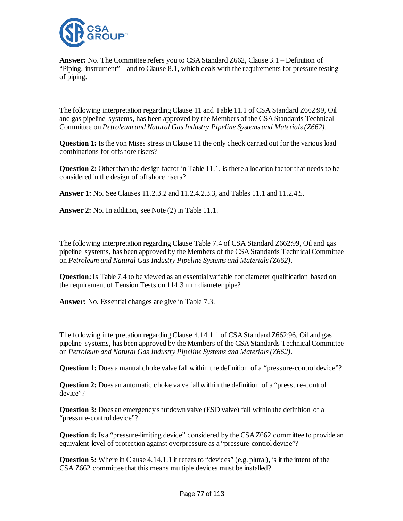

**Answer:** No. The Committee refers you to CSA Standard Z662, Clause 3.1 – Definition of "Piping, instrument" – and to Clause 8.1, which deals with the requirements for pressure testing of piping.

The following interpretation regarding Clause 11 and Table 11.1 of CSA Standard Z662:99, Oil and gas pipeline systems, has been approved by the Members of the CSA Standards Technical Committee on *Petroleum and Natural Gas Industry Pipeline Systems and Materials (Z662)*.

**Question 1:** Is the von Mises stress in Clause 11 the only check carried out for the various load combinations for offshore risers?

**Question 2:** Other than the design factor in Table 11.1, is there a location factor that needs to be considered in the design of offshore risers?

**Answer 1:** No. See Clauses 11.2.3.2 and 11.2.4.2.3.3, and Tables 11.1 and 11.2.4.5.

**Answer 2:** No. In addition, see Note (2) in Table 11.1.

The following interpretation regarding Clause Table 7.4 of CSA Standard Z662:99, Oil and gas pipeline systems, has been approved by the Members of the CSA Standards Technical Committee on *Petroleum and Natural Gas Industry Pipeline Systems and Materials (Z662)*.

**Question:** Is Table 7.4 to be viewed as an essential variable for diameter qualification based on the requirement of Tension Tests on 114.3 mm diameter pipe?

**Answer:** No. Essential changes are give in Table 7.3.

The following interpretation regarding Clause 4.14.1.1 of CSA Standard Z662:96, Oil and gas pipeline systems, has been approved by the Members of the CSA Standards Technical Committee on *Petroleum and Natural Gas Industry Pipeline Systems and Materials (Z662)*.

**Question 1:** Does a manual choke valve fall within the definition of a "pressure-control device"?

**Question 2:** Does an automatic choke valve fall within the definition of a "pressure-control" device"?

**Question 3:** Does an emergency shutdown valve (ESD valve) fall within the definition of a "pressure-control device"?

**Question 4:** Is a "pressure-limiting device" considered by the CSA Z662 committee to provide an equivalent level of protection against overpressure as a "pressure-control device"?

**Question 5:** Where in Clause 4.14.1.1 it refers to "devices" (e.g. plural), is it the intent of the CSA Z662 committee that this means multiple devices must be installed?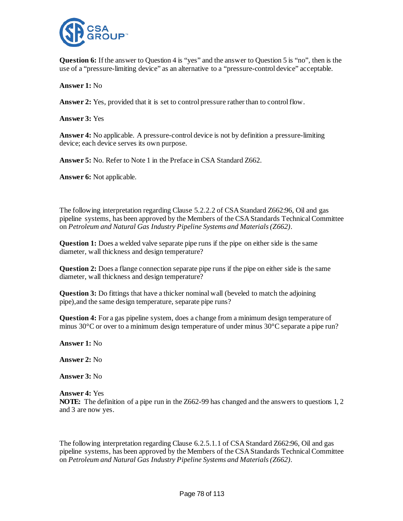

**Question 6:** If the answer to Question 4 is "yes" and the answer to Question 5 is "no", then is the use of a "pressure-limiting device" as an alternative to a "pressure-control device" acceptable.

**Answer 1:** No

**Answer 2:** Yes, provided that it is set to control pressure rather than to control flow.

**Answer 3:** Yes

**Answer 4:** No applicable. A pressure-control device is not by definition a pressure-limiting device; each device serves its own purpose.

**Answer 5:** No. Refer to Note 1 in the Preface in CSA Standard Z662.

**Answer 6:** Not applicable.

The following interpretation regarding Clause 5.2.2.2 of CSA Standard Z662:96, Oil and gas pipeline systems, has been approved by the Members of the CSA Standards Technical Committee on *Petroleum and Natural Gas Industry Pipeline Systems and Materials (Z662)*.

**Question 1:** Does a welded valve separate pipe runs if the pipe on either side is the same diameter, wall thickness and design temperature?

**Question 2:** Does a flange connection separate pipe runs if the pipe on either side is the same diameter, wall thickness and design temperature?

**Question 3:** Do fittings that have a thicker nominal wall (beveled to match the adjoining pipe),and the same design temperature, separate pipe runs?

**Question 4:** For a gas pipeline system, does a change from a minimum design temperature of minus 30°C or over to a minimum design temperature of under minus 30°C separate a pipe run?

**Answer 1:** No

**Answer 2:** No

**Answer 3:** No

**Answer 4:** Yes **NOTE:** The definition of a pipe run in the Z662-99 has changed and the answers to questions 1, 2 and 3 are now yes.

The following interpretation regarding Clause 6.2.5.1.1 of CSA Standard Z662:96, Oil and gas pipeline systems, has been approved by the Members of the CSA Standards Technical Committee on *Petroleum and Natural Gas Industry Pipeline Systems and Materials (Z662)*.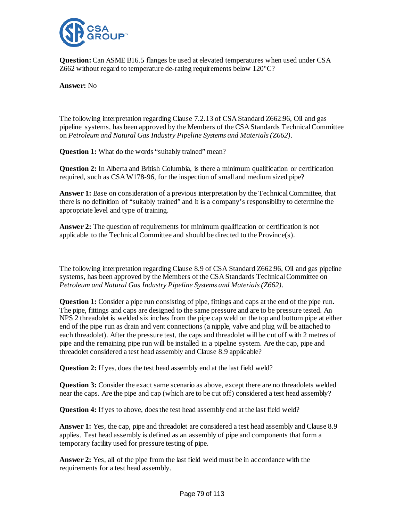

**Question:**Can ASME B16.5 flanges be used at elevated temperatures when used under CSA Z662 without regard to temperature de-rating requirements below 120°C?

**Answer:** No

The following interpretation regarding Clause 7.2.13 of CSA Standard Z662:96, Oil and gas pipeline systems, has been approved by the Members of the CSA Standards Technical Committee on *Petroleum and Natural Gas Industry Pipeline Systems and Materials (Z662)*.

**Question 1:** What do the words "suitably trained" mean?

**Question 2:** In Alberta and British Columbia, is there a minimum qualification or certification required, such as CSA W178-96, for the inspection of small and medium sized pipe?

**Answer 1:** Base on consideration of a previous interpretation by the Technical Committee, that there is no definition of "suitably trained" and it is a company's responsibility to determine the appropriate level and type of training.

**Answer 2:** The question of requirements for minimum qualification or certification is not applicable to the Technical Committee and should be directed to the Province(s).

The following interpretation regarding Clause 8.9 of CSA Standard Z662:96, Oil and gas pipeline systems, has been approved by the Members of the CSA Standards Technical Committee on *Petroleum and Natural Gas Industry Pipeline Systems and Materials (Z662)*.

**Question 1:** Consider a pipe run consisting of pipe, fittings and caps at the end of the pipe run. The pipe, fittings and caps are designed to the same pressure and are to be pressure tested. An NPS 2 threadolet is welded six inches from the pipe cap weld on the top and bottom pipe at either end of the pipe run as drain and vent connections (a nipple, valve and plug will be attached to each threadolet). After the pressure test, the caps and threadolet will be cut off with 2 metres of pipe and the remaining pipe run will be installed in a pipeline system. Are the cap, pipe and threadolet considered a test head assembly and Clause 8.9 applicable?

**Question 2:** If yes, does the test head assembly end at the last field weld?

**Question 3:** Consider the exact same scenario as above, except there are no threadolets welded near the caps. Are the pipe and cap (which are to be cut off) considered a test head assembly?

**Question 4:** If yes to above, does the test head assembly end at the last field weld?

**Answer 1:** Yes, the cap, pipe and threadolet are considered a test head assembly and Clause 8.9 applies. Test head assembly is defined as an assembly of pipe and components that form a temporary facility used for pressure testing of pipe.

**Answer 2:** Yes, all of the pipe from the last field weld must be in accordance with the requirements for a test head assembly.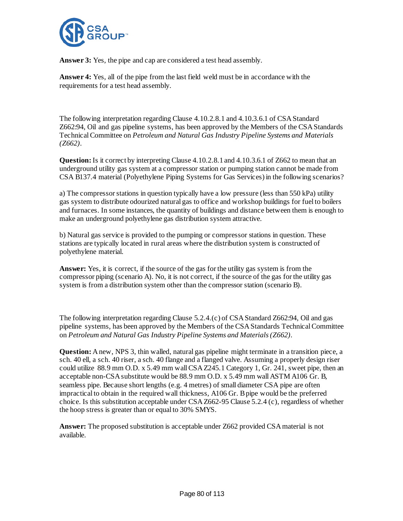

**Answer 3:** Yes, the pipe and cap are considered a test head assembly.

**Answer 4:** Yes, all of the pipe from the last field weld must be in accordance with the requirements for a test head assembly.

The following interpretation regarding Clause 4.10.2.8.1 and 4.10.3.6.1 of CSA Standard Z662:94, Oil and gas pipeline systems, has been approved by the Members of the CSA Standards Technical Committee on *Petroleum and Natural Gas Industry Pipeline Systems and Materials (Z662)*.

**Question:**Is it correct by interpreting Clause 4.10.2.8.1 and 4.10.3.6.1 of Z662 to mean that an underground utility gas system at a compressor station or pumping station cannot be made from CSA B137.4 material (Polyethylene Piping Systems for Gas Services) in the following scenarios?

a) The compressor stations in question typically have a low pressure (less than 550 kPa) utility gas system to distribute odourized natural gas to office and workshop buildings for fuel to boilers and furnaces. In some instances, the quantity of buildings and distance between them is enough to make an underground polyethylene gas distribution system attractive.

b) Natural gas service is provided to the pumping or compressor stations in question. These stations are typically located in rural areas where the distribution system is constructed of polyethylene material.

**Answer:** Yes, it is correct, if the source of the gas for the utility gas system is from the compressor piping (scenario A). No, it is not correct, if the source of the gas for the utility gas system is from a distribution system other than the compressor station (scenario B).

The following interpretation regarding Clause 5.2.4.(c) of CSA Standard Z662:94, Oil and gas pipeline systems, has been approved by the Members of the CSA Standards Technical Committee on *Petroleum and Natural Gas Industry Pipeline Systems and Materials (Z662)*.

**Question:** A new, NPS 3, thin walled, natural gas pipeline might terminate in a transition piece, a sch. 40 ell, a sch. 40 riser, a sch. 40 flange and a flanged valve. Assuming a properly design riser could utilize 88.9 mm O.D. x 5.49 mm wall CSA Z245.1 Category 1, Gr. 241, sweet pipe, then an acceptable non-CSA substitute would be 88.9 mm O.D. x 5.49 mm wall ASTM A106 Gr. B, seamless pipe. Because short lengths (e.g. 4 metres) of small diameter CSA pipe are often impractical to obtain in the required wall thickness, A106 Gr. B pipe would be the preferred choice. Is this substitution acceptable under CSA Z662-95 Clause 5.2.4 (c), regardless of whether the hoop stress is greater than or equal to 30% SMYS.

**Answer:** The proposed substitution is acceptable under Z662 provided CSA material is not available.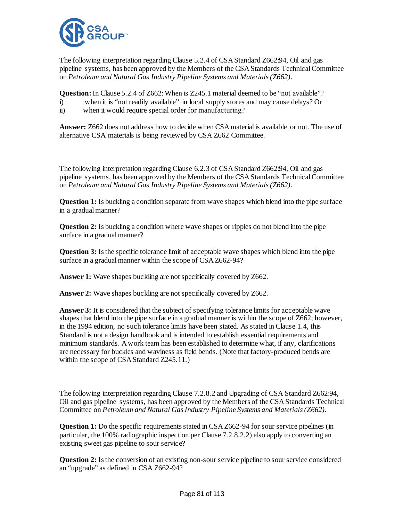

The following interpretation regarding Clause 5.2.4 of CSA Standard Z662:94, Oil and gas pipeline systems, has been approved by the Members of the CSA Standards Technical Committee on *Petroleum and Natural Gas Industry Pipeline Systems and Materials (Z662)*.

**Question:** In Clause 5.2.4 of Z662: When is Z245.1 material deemed to be "not available"?

- i) when it is "not readily available" in local supply stores and may cause delays? Or
- ii) when it would require special order for manufacturing?

**Answer:** Z662 does not address how to decide when CSA material is available or not. The use of alternative CSA materials is being reviewed by CSA Z662 Committee.

The following interpretation regarding Clause 6.2.3 of CSA Standard Z662:94, Oil and gas pipeline systems, has been approved by the Members of the CSA Standards Technical Committee on *Petroleum and Natural Gas Industry Pipeline Systems and Materials (Z662)*.

**Question 1:** Is buckling a condition separate from wave shapes which blend into the pipe surface in a gradual manner?

**Question 2:** Is buckling a condition where wave shapes or ripples do not blend into the pipe surface in a gradual manner?

**Question 3:** Is the specific tolerance limit of acceptable wave shapes which blend into the pipe surface in a gradual manner within the scope of CSA Z662-94?

Answer 1: Wave shapes buckling are not specifically covered by Z662.

Answer 2: Wave shapes buckling are not specifically covered by Z662.

**Answer 3:** It is considered that the subject of specifying tolerance limits for acceptable wave shapes that blend into the pipe surface in a gradual manner is within the scope of Z662; however, in the 1994 edition, no such tolerance limits have been stated. As stated in Clause 1.4, this Standard is not a design handbook and is intended to establish essential requirements and minimum standards. A work team has been established to determine what, if any, clarifications are necessary for buckles and waviness as field bends. (Note that factory-produced bends are within the scope of CSA Standard Z245.11.)

The following interpretation regarding Clause 7.2.8.2 and Upgrading of CSA Standard Z662:94, Oil and gas pipeline systems, has been approved by the Members of the CSA Standards Technical Committee on *Petroleum and Natural Gas Industry Pipeline Systems and Materials (Z662)*.

**Question 1:** Do the specific requirements stated in CSA Z662-94 for sour service pipelines (in particular, the 100% radiographic inspection per Clause 7.2.8.2.2) also apply to converting an existing sweet gas pipeline to sour service?

**Question 2:** Is the conversion of an existing non-sour service pipeline to sour service considered an "upgrade" as defined in CSA Z662-94?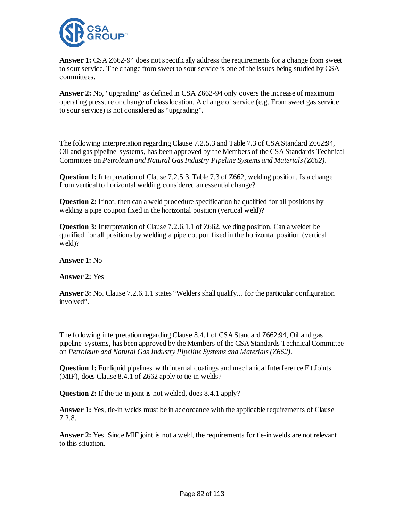

**Answer 1:** CSA Z662-94 does not specifically address the requirements for a change from sweet to sour service. The change from sweet to sour service is one of the issues being studied by CSA committees.

**Answer 2:** No, "upgrading" as defined in CSA Z662-94 only covers the increase of maximum operating pressure or change of class location. A change of service (e.g. From sweet gas service to sour service) is not considered as "upgrading".

The following interpretation regarding Clause 7.2.5.3 and Table 7.3 of CSA Standard Z662:94, Oil and gas pipeline systems, has been approved by the Members of the CSA Standards Technical Committee on *Petroleum and Natural Gas Industry Pipeline Systems and Materials (Z662)*.

**Question 1:** Interpretation of Clause 7.2.5.3, Table 7.3 of Z662, welding position. Is a change from vertical to horizontal welding considered an essential change?

**Question 2:** If not, then can a weld procedure specification be qualified for all positions by welding a pipe coupon fixed in the horizontal position (vertical weld)?

**Question 3:** Interpretation of Clause 7.2.6.1.1 of Z662, welding position. Can a welder be qualified for all positions by welding a pipe coupon fixed in the horizontal position (vertical weld)?

**Answer 1:** No

**Answer 2:** Yes

**Answer 3:** No. Clause 7.2.6.1.1 states "Welders shall qualify... for the particular configuration involved".

The following interpretation regarding Clause 8.4.1 of CSA Standard Z662:94, Oil and gas pipeline systems, has been approved by the Members of the CSA Standards Technical Committee on *Petroleum and Natural Gas Industry Pipeline Systems and Materials (Z662)*.

**Question 1:** For liquid pipelines with internal coatings and mechanical Interference Fit Joints (MIF), does Clause 8.4.1 of Z662 apply to tie-in welds?

**Question 2:** If the tie-in joint is not welded, does 8.4.1 apply?

**Answer 1:** Yes, tie-in welds must be in accordance with the applicable requirements of Clause 7.2.8.

**Answer 2:** Yes. Since MIF joint is not a weld, the requirements for tie-in welds are not relevant to this situation.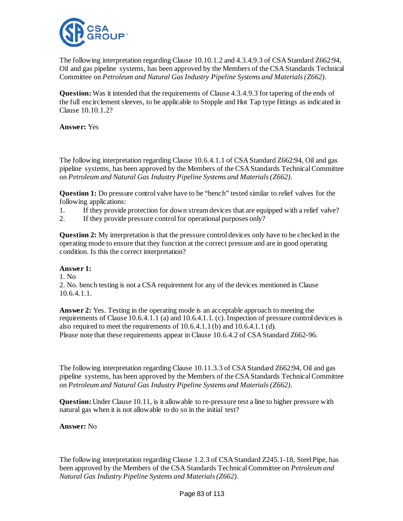

The following interpretation regarding Clause 10.10.1.2 and 4.3.4.9.3 of CSA Standard Z662:94, Oil and gas pipeline systems, has been approved by the Members of the CSA Standards Technical Committee on *Petroleum and Natural Gas Industry Pipeline Systems and Materials (Z662)*.

**Question:** Was it intended that the requirements of Clause 4.3.4.9.3 for tapering of the ends of the full encirclement sleeves, to be applicable to Stopple and Hot Tap type fittings as indicated in Clause 10.10.1.2?

**Answer:** Yes

The following interpretation regarding Clause 10.6.4.1.1 of CSA Standard Z662:94, Oil and gas pipeline systems, has been approved by the Members of the CSA Standards Technical Committee on *Petroleum and Natural Gas Industry Pipeline Systems and Materials (Z662)*.

**Question 1:** Do pressure control valve have to be "bench" tested similar to relief valves for the following applications:

1. If they provide protection for down stream devices that are equipped with a relief valve?

2. If they provide pressure control for operational purposes only?

**Question 2:** My interpretation is that the pressure control devices only have to be checked in the operating mode to ensure that they function at the correct pressure and are in good operating condition. Is this the correct interpretation?

# **Answer 1:**

 $1$ . No.

2. No. bench testing is not a CSA requirement for any of the devices mentioned in Clause 10.6.4.1.1.

**Answer 2:** Yes. Testing in the operating mode is an acceptable approach to meeting the requirements of Clause 10.6.4.1.1 (a) and 10.6.4.1.1. (c). Inspection of pressure control devices is also required to meet the requirements of 10.6.4.1.1 (b) and 10.6.4.1.1 (d). Please note that these requirements appear in Clause 10.6.4.2 of CSA Standard Z662-96.

The following interpretation regarding Clause 10.11.3.3 of CSA Standard Z662:94, Oil and gas pipeline systems, has been approved by the Members of the CSA Standards Technical Committee on *Petroleum and Natural Gas Industry Pipeline Systems and Materials (Z662)*.

**Question:** Under Clause 10.11, is it allowable to re-pressure test a line to higher pressure with natural gas when it is not allowable to do so in the initial test?

**Answer:** No

The following interpretation regarding Clause 1.2.3 of CSA Standard Z245.1-18, Steel Pipe, has been approved by the Members of the CSA Standards Technical Committee on *Petroleum and Natural Gas Industry Pipeline Systems and Materials (Z662)*.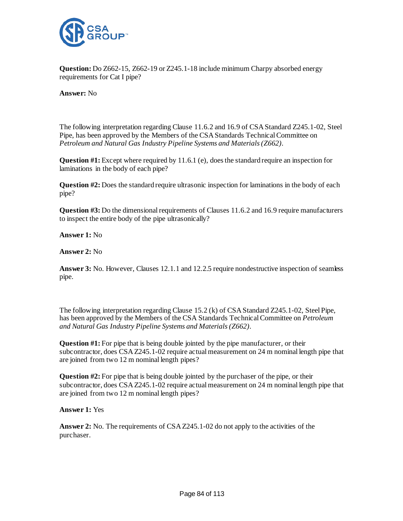

**Question:** Do Z662-15, Z662-19 or Z245.1-18 include minimum Charpy absorbed energy requirements for Cat I pipe?

**Answer:** No

The following interpretation regarding Clause 11.6.2 and 16.9 of CSA Standard Z245.1-02, Steel Pipe, has been approved by the Members of the CSA Standards Technical Committee on *Petroleum and Natural Gas Industry Pipeline Systems and Materials (Z662)*.

**Question #1:** Except where required by 11.6.1 (e), does the standard require an inspection for laminations in the body of each pipe?

**Question #2:** Does the standard require ultrasonic inspection for laminations in the body of each pipe?

**Question #3:** Do the dimensional requirements of Clauses 11.6.2 and 16.9 require manufacturers to inspect the entire body of the pipe ultrasonically?

**Answer 1:** No

**Answer 2:** No

**Answer 3:** No. However, Clauses 12.1.1 and 12.2.5 require nondestructive inspection of seamless pipe.

The following interpretation regarding Clause 15.2 (k) of CSA Standard Z245.1-02, Steel Pipe, has been approved by the Members of the CSA Standards Technical Committee on *Petroleum and Natural Gas Industry Pipeline Systems and Materials (Z662)*.

**Question #1:** For pipe that is being double jointed by the pipe manufacturer, or their subcontractor, does CSA Z245.1-02 require actual measurement on 24 m nominal length pipe that are joined from two 12 m nominal length pipes?

**Question #2:** For pipe that is being double jointed by the purchaser of the pipe, or their subcontractor, does CSA Z245.1-02 require actual measurement on 24 m nominal length pipe that are joined from two 12 m nominal length pipes?

# **Answer 1:** Yes

**Answer 2:** No. The requirements of CSA Z245.1-02 do not apply to the activities of the purchaser.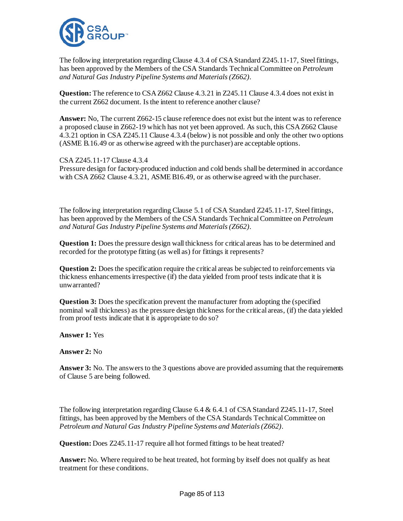

The following interpretation regarding Clause 4.3.4 of CSA Standard Z245.11-17, Steel fittings, has been approved by the Members of the CSA Standards Technical Committee on *Petroleum and Natural Gas Industry Pipeline Systems and Materials (Z662)*.

**Question:** The reference to CSA Z662 Clause 4.3.21 in Z245.11 Clause 4.3.4 does not exist in the current Z662 document. Is the intent to reference another clause?

**Answer:** No, The current Z662-15 clause reference does not exist but the intent was to reference a proposed clause in Z662-19 which has not yet been approved. As such, this CSA Z662 Clause 4.3.21 option in CSA Z245.11 Clause 4.3.4 (below) is not possible and only the other two options (ASME B.16.49 or as otherwise agreed with the purchaser) are acceptable options.

CSA Z245.11-17 Clause 4.3.4 Pressure design for factory-produced induction and cold bends shall be determined in accordance with CSA Z662 Clause 4.3.21, ASME B16.49, or as otherwise agreed with the purchaser.

The following interpretation regarding Clause 5.1 of CSA Standard Z245.11-17, Steel fittings, has been approved by the Members of the CSA Standards Technical Committee on *Petroleum and Natural Gas Industry Pipeline Systems and Materials (Z662)*.

**Question 1:** Does the pressure design wall thickness for critical areas has to be determined and recorded for the prototype fitting (as well as) for fittings it represents?

**Question 2:** Does the specification require the critical areas be subjected to reinforcements via thickness enhancements irrespective (if) the data yielded from proof tests indicate that it is unwarranted?

**Question 3:** Does the specification prevent the manufacturer from adopting the (specified nominal wall thickness) as the pressure design thickness for the critical areas, (if) the data yielded from proof tests indicate that it is appropriate to do so?

**Answer 1:** Yes

**Answer 2:** No

**Answer 3:** No. The answers to the 3 questions above are provided assuming that the requirements of Clause 5 are being followed.

The following interpretation regarding Clause  $6.4 \& 6.4.1$  of CSA Standard Z245.11-17, Steel fittings, has been approved by the Members of the CSA Standards Technical Committee on *Petroleum and Natural Gas Industry Pipeline Systems and Materials (Z662)*.

**Question:** Does Z245.11-17 require all hot formed fittings to be heat treated?

**Answer:** No. Where required to be heat treated, hot forming by itself does not qualify as heat treatment for these conditions.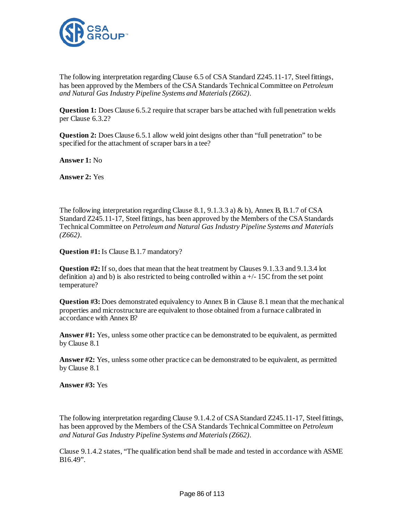

The following interpretation regarding Clause 6.5 of CSA Standard Z245.11-17, Steel fittings, has been approved by the Members of the CSA Standards Technical Committee on *Petroleum and Natural Gas Industry Pipeline Systems and Materials (Z662)*.

**Question 1:** Does Clause 6.5.2 require that scraper bars be attached with full penetration welds per Clause 6.3.2?

**Question 2:** Does Clause 6.5.1 allow weld joint designs other than "full penetration" to be specified for the attachment of scraper bars in a tee?

**Answer 1:** No

**Answer 2:** Yes

The following interpretation regarding Clause 8.1, 9.1.3.3 a) & b), Annex B, B.1.7 of CSA Standard Z245.11-17, Steel fittings, has been approved by the Members of the CSA Standards Technical Committee on *Petroleum and Natural Gas Industry Pipeline Systems and Materials (Z662)*.

**Question #1:** Is Clause B.1.7 mandatory?

**Question #2:** If so, does that mean that the heat treatment by Clauses 9.1.3.3 and 9.1.3.4 lot definition a) and b) is also restricted to being controlled within  $a +/-15C$  from the set point temperature?

**Question #3:** Does demonstrated equivalency to Annex B in Clause 8.1 mean that the mechanical properties and microstructure are equivalent to those obtained from a furnace calibrated in accordance with Annex B?

**Answer #1:** Yes, unless some other practice can be demonstrated to be equivalent, as permitted by Clause 8.1

**Answer #2:** Yes, unless some other practice can be demonstrated to be equivalent, as permitted by Clause 8.1

**Answer #3:** Yes

The following interpretation regarding Clause 9.1.4.2 of CSA Standard Z245.11-17, Steel fittings, has been approved by the Members of the CSA Standards Technical Committee on *Petroleum and Natural Gas Industry Pipeline Systems and Materials (Z662)*.

Clause 9.1.4.2 states, "The qualification bend shall be made and tested in accordance with ASME B16.49".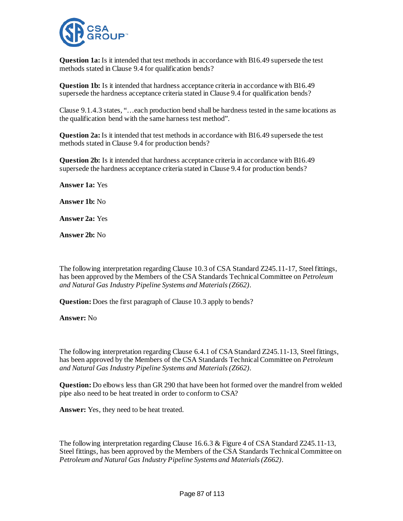

**Question 1a:** Is it intended that test methods in accordance with B16.49 supersede the test methods stated in Clause 9.4 for qualification bends?

**Question 1b:** Is it intended that hardness acceptance criteria in accordance with B16.49 supersede the hardness acceptance criteria stated in Clause 9.4 for qualification bends?

Clause 9.1.4.3 states, "…each production bend shall be hardness tested in the same locations as the qualification bend with the same harness test method".

**Question 2a:** Is it intended that test methods in accordance with B16.49 supersede the test methods stated in Clause 9.4 for production bends?

**Question 2b:** Is it intended that hardness acceptance criteria in accordance with B16.49 supersede the hardness acceptance criteria stated in Clause 9.4 for production bends?

**Answer 1a:** Yes

**Answer 1b:** No

**Answer 2a:** Yes

**Answer 2b:** No

The following interpretation regarding Clause 10.3 of CSA Standard Z245.11-17, Steel fittings, has been approved by the Members of the CSA Standards Technical Committee on *Petroleum and Natural Gas Industry Pipeline Systems and Materials (Z662)*.

**Question:** Does the first paragraph of Clause 10.3 apply to bends?

**Answer:** No

The following interpretation regarding Clause 6.4.1 of CSA Standard Z245.11-13, Steel fittings, has been approved by the Members of the CSA Standards Technical Committee on *Petroleum and Natural Gas Industry Pipeline Systems and Materials (Z662)*.

**Question:** Do elbows less than GR 290 that have been hot formed over the mandrel from welded pipe also need to be heat treated in order to conform to CSA?

**Answer:** Yes, they need to be heat treated.

The following interpretation regarding Clause 16.6.3 & Figure 4 of CSA Standard Z245.11-13, Steel fittings, has been approved by the Members of the CSA Standards Technical Committee on *Petroleum and Natural Gas Industry Pipeline Systems and Materials (Z662)*.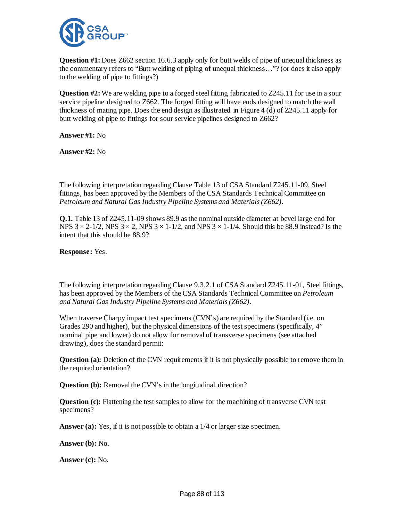

**Question #1:** Does Z662 section 16.6.3 apply only for butt welds of pipe of unequal thickness as the commentary refers to "Butt welding of piping of unequal thickness…"? (or does it also apply to the welding of pipe to fittings?)

**Question #2:** We are welding pipe to a forged steel fitting fabricated to Z245.11 for use in a sour service pipeline designed to Z662. The forged fitting will have ends designed to match the wall thickness of mating pipe. Does the end design as illustrated in Figure 4 (d) of Z245.11 apply for butt welding of pipe to fittings for sour service pipelines designed to Z662?

**Answer #1:** No

**Answer #2:** No

The following interpretation regarding Clause Table 13 of CSA Standard Z245.11-09, Steel fittings, has been approved by the Members of the CSA Standards Technical Committee on *Petroleum and Natural Gas Industry Pipeline Systems and Materials (Z662)*.

**Q.1.** Table 13 of Z245.11-09 shows 89.9 as the nominal outside diameter at bevel large end for NPS  $3 \times 2$ -1/2, NPS  $3 \times 2$ , NPS  $3 \times 1$ -1/2, and NPS  $3 \times 1$ -1/4. Should this be 88.9 instead? Is the intent that this should be 88.9?

**Response:** Yes.

The following interpretation regarding Clause 9.3.2.1 of CSA Standard Z245.11-01, Steel fittings, has been approved by the Members of the CSA Standards Technical Committee on *Petroleum and Natural Gas Industry Pipeline Systems and Materials (Z662)*.

When traverse Charpy impact test specimens (CVN's) are required by the Standard (i.e. on Grades 290 and higher), but the physical dimensions of the test specimens (specifically, 4" nominal pipe and lower) do not allow for removal of transverse specimens (see attached drawing), does the standard permit:

**Question (a):** Deletion of the CVN requirements if it is not physically possible to remove them in the required orientation?

**Question (b):** Removal the CVN's in the longitudinal direction?

**Question (c):** Flattening the test samples to allow for the machining of transverse CVN test specimens?

Answer (a): Yes, if it is not possible to obtain a 1/4 or larger size specimen.

**Answer (b):** No.

**Answer (c):** No.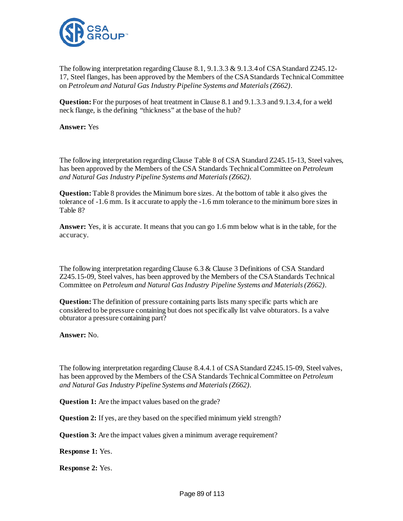

The following interpretation regarding Clause 8.1, 9.1.3.3 & 9.1.3.4 of CSA Standard Z245.12-17, Steel flanges, has been approved by the Members of the CSA Standards Technical Committee on *Petroleum and Natural Gas Industry Pipeline Systems and Materials (Z662)*.

**Question:** For the purposes of heat treatment in Clause 8.1 and 9.1.3.3 and 9.1.3.4, for a weld neck flange, is the defining "thickness" at the base of the hub?

**Answer:** Yes

The following interpretation regarding Clause Table 8 of CSA Standard Z245.15-13, Steel valves, has been approved by the Members of the CSA Standards Technical Committee on *Petroleum and Natural Gas Industry Pipeline Systems and Materials (Z662)*.

**Question:** Table 8 provides the Minimum bore sizes. At the bottom of table it also gives the tolerance of -1.6 mm. Is it accurate to apply the -1.6 mm tolerance to the minimum bore sizes in Table 8?

**Answer:** Yes, it is accurate. It means that you can go 1.6 mm below what is in the table, for the accuracy.

The following interpretation regarding Clause 6.3 & Clause 3 Definitions of CSA Standard Z245.15-09, Steel valves, has been approved by the Members of the CSA Standards Technical Committee on *Petroleum and Natural Gas Industry Pipeline Systems and Materials (Z662)*.

**Question:** The definition of pressure containing parts lists many specific parts which are considered to be pressure containing but does not specifically list valve obturators. Is a valve obturator a pressure containing part?

**Answer:** No.

The following interpretation regarding Clause 8.4.4.1 of CSA Standard Z245.15-09, Steel valves, has been approved by the Members of the CSA Standards Technical Committee on *Petroleum and Natural Gas Industry Pipeline Systems and Materials (Z662)*.

**Question 1:** Are the impact values based on the grade?

**Question 2:** If yes, are they based on the specified minimum yield strength?

**Question 3:** Are the impact values given a minimum average requirement?

**Response 1:** Yes.

**Response 2:** Yes.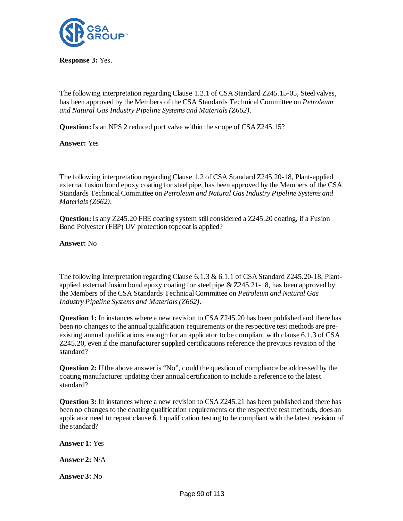

**Response 3:** Yes.

The following interpretation regarding Clause 1.2.1 of CSA Standard Z245.15-05, Steel valves, has been approved by the Members of the CSA Standards Technical Committee on *Petroleum and Natural Gas Industry Pipeline Systems and Materials (Z662)*.

**Question:** Is an NPS 2 reduced port valve within the scope of CSA Z245.15?

**Answer:** Yes

The following interpretation regarding Clause 1.2 of CSA Standard Z245.20-18, Plant-applied external fusion bond epoxy coating for steel pipe, has been approved by the Members of the CSA Standards Technical Committee on *Petroleum and Natural Gas Industry Pipeline Systems and Materials (Z662)*.

**Question:** Is any Z245.20 FBE coating system still considered a Z245.20 coating, if a Fusion Bond Polyester (FBP) UV protection topcoat is applied?

**Answer:** No

The following interpretation regarding Clause 6.1.3 & 6.1.1 of CSA Standard Z245.20-18, Plantapplied external fusion bond epoxy coating for steel pipe  $\& Z245.21-18$ , has been approved by the Members of the CSA Standards Technical Committee on *Petroleum and Natural Gas Industry Pipeline Systems and Materials (Z662)*.

**Question 1:** In instances where a new revision to CSA Z245.20 has been published and there has been no changes to the annual qualification requirements or the respective test methods are preexisting annual qualifications enough for an applicator to be compliant with clause 6.1.3 of CSA Z245.20, even if the manufacturer supplied certifications reference the previous revision of the standard?

**Question 2:** If the above answer is "No", could the question of compliance be addressed by the coating manufacturer updating their annual certification to include a reference to the latest standard?

**Question 3:** In instances where a new revision to CSA Z245.21 has been published and there has been no changes to the coating qualification requirements or the respective test methods, does an applicator need to repeat clause 6.1 qualification testing to be compliant with the latest revision of the standard?

**Answer 1:** Yes

**Answer 2:** N/A

**Answer 3:** No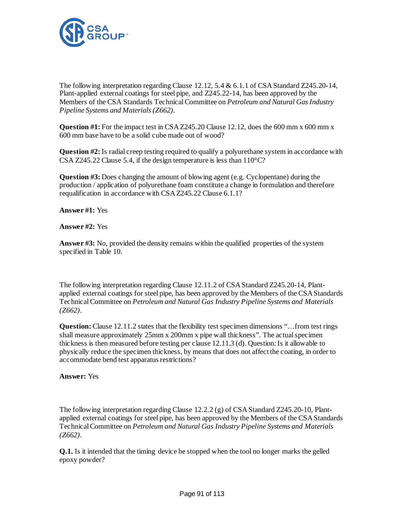

The following interpretation regarding Clause 12.12, 5.4 & 6.1.1 of CSA Standard Z245.20-14, Plant-applied external coatings for steel pipe, and Z245.22-14, has been approved by the Members of the CSA Standards Technical Committee on *Petroleum and Natural Gas Industry Pipeline Systems and Materials (Z662)*.

**Question #1:** For the impact test in CSA Z245.20 Clause 12.12, does the 600 mm x 600 mm x 600 mm base have to be a solid cube made out of wood?

**Question #2:** Is radial creep testing required to qualify a polyurethane system in accordance with CSA Z245.22 Clause 5.4, if the design temperature is less than 110°C?

**Question #3:** Does changing the amount of blowing agent (e.g. Cyclopentane) during the production / application of polyurethane foam constitute a change in formulation and therefore requalification in accordance with CSA Z245.22 Clause 6.1.1?

**Answer #1:** Yes

**Answer #2:** Yes

**Answer #3:** No, provided the density remains within the qualified properties of the system specified in Table 10.

The following interpretation regarding Clause 12.11.2 of CSA Standard Z245.20-14, Plantapplied external coatings for steel pipe, has been approved by the Members of the CSA Standards Technical Committee on *Petroleum and Natural Gas Industry Pipeline Systems and Materials (Z662)*.

**Question:** Clause 12.11.2 states that the flexibility test specimen dimensions "... from test rings shall measure approximately 25mm x 200mm x pipe wall thickness". The actual specimen thickness is then measured before testing per clause 12.11.3 (d). Question: Is it allowable to physically reduce the specimen thickness, by means that does not affect the coating, in order to accommodate bend test apparatus restrictions?

**Answer:** Yes

The following interpretation regarding Clause 12.2.2 (g) of CSA Standard Z245.20-10, Plantapplied external coatings for steel pipe, has been approved by the Members of the CSA Standards Technical Committee on *Petroleum and Natural Gas Industry Pipeline Systems and Materials (Z662)*.

**Q.1.** Is it intended that the timing device be stopped when the tool no longer marks the gelled epoxy powder?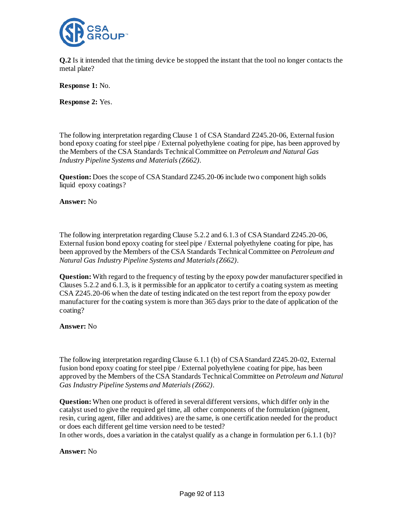

**Q.2** Is it intended that the timing device be stopped the instant that the tool no longer contacts the metal plate?

**Response 1:** No.

**Response 2:** Yes.

The following interpretation regarding Clause 1 of CSA Standard Z245.20-06, External fusion bond epoxy coating for steel pipe / External polyethylene coating for pipe, has been approved by the Members of the CSA Standards Technical Committee on *Petroleum and Natural Gas Industry Pipeline Systems and Materials (Z662)*.

**Question:** Does the scope of CSA Standard Z245.20-06 include two component high solids liquid epoxy coatings?

**Answer:** No

The following interpretation regarding Clause 5.2.2 and 6.1.3 of CSA Standard Z245.20-06, External fusion bond epoxy coating for steel pipe / External polyethylene coating for pipe, has been approved by the Members of the CSA Standards Technical Committee on *Petroleum and Natural Gas Industry Pipeline Systems and Materials (Z662)*.

**Question:** With regard to the frequency of testing by the epoxy powder manufacturer specified in Clauses 5.2.2 and 6.1.3, is it permissible for an applicator to certify a coating system as meeting CSA Z245.20-06 when the date of testing indicated on the test report from the epoxy powder manufacturer for the coating system is more than 365 days prior to the date of application of the coating?

**Answer:** No

The following interpretation regarding Clause 6.1.1 (b) of CSA Standard Z245.20-02, External fusion bond epoxy coating for steel pipe / External polyethylene coating for pipe, has been approved by the Members of the CSA Standards Technical Committee on *Petroleum and Natural Gas Industry Pipeline Systems and Materials (Z662)*.

**Question:** When one product is offered in several different versions, which differ only in the catalyst used to give the required gel time, all other components of the formulation (pigment, resin, curing agent, filler and additives) are the same, is one certification needed for the product or does each different gel time version need to be tested? In other words, does a variation in the catalyst qualify as a change in formulation per  $6.1.1$  (b)?

**Answer:** No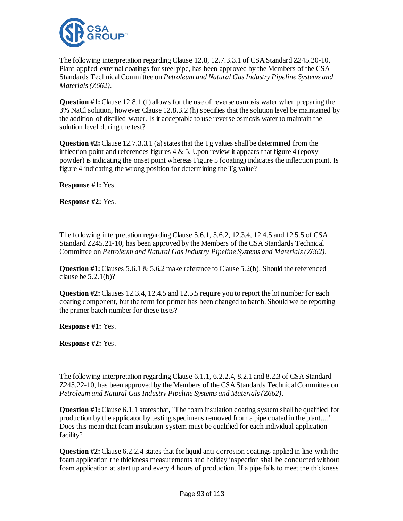

The following interpretation regarding Clause 12.8, 12.7.3.3.1 of CSA Standard Z245.20-10, Plant-applied external coatings for steel pipe, has been approved by the Members of the CSA Standards Technical Committee on *Petroleum and Natural Gas Industry Pipeline Systems and Materials (Z662)*.

**Question #1:** Clause 12.8.1 (f) allows for the use of reverse osmosis water when preparing the 3% NaCl solution, however Clause 12.8.3.2 (h) specifies that the solution level be maintained by the addition of distilled water. Is it acceptable to use reverse osmosis water to maintain the solution level during the test?

**Question #2:**Clause 12.7.3.3.1 (a) states that the Tg values shall be determined from the inflection point and references figures  $4 \& 5$ . Upon review it appears that figure  $4$  (epoxy powder) is indicating the onset point whereas Figure 5 (coating) indicates the inflection point. Is figure 4 indicating the wrong position for determining the Tg value?

**Response #1:** Yes.

**Response #2:** Yes.

The following interpretation regarding Clause 5.6.1, 5.6.2, 12.3.4, 12.4.5 and 12.5.5 of CSA Standard Z245.21-10, has been approved by the Members of the CSA Standards Technical Committee on *Petroleum and Natural Gas Industry Pipeline Systems and Materials (Z662)*.

**Question #1:** Clauses 5.6.1 & 5.6.2 make reference to Clause 5.2(b). Should the referenced clause be 5.2.1(b)?

**Question #2:** Clauses 12.3.4, 12.4.5 and 12.5.5 require you to report the lot number for each coating component, but the term for primer has been changed to batch. Should we be reporting the primer batch number for these tests?

**Response #1:** Yes.

**Response #2:** Yes.

The following interpretation regarding Clause 6.1.1, 6.2.2.4, 8.2.1 and 8.2.3 of CSA Standard Z245.22-10, has been approved by the Members of the CSA Standards Technical Committee on *Petroleum and Natural Gas Industry Pipeline Systems and Materials (Z662)*.

**Question #1:** Clause 6.1.1 states that, "The foam insulation coating system shall be qualified for production by the applicator by testing specimens removed from a pipe coated in the plant...." Does this mean that foam insulation system must be qualified for each individual application facility?

**Question #2:** Clause 6.2.2.4 states that for liquid anti-corrosion coatings applied in line with the foam application the thickness measurements and holiday inspection shall be conducted without foam application at start up and every 4 hours of production. If a pipe fails to meet the thickness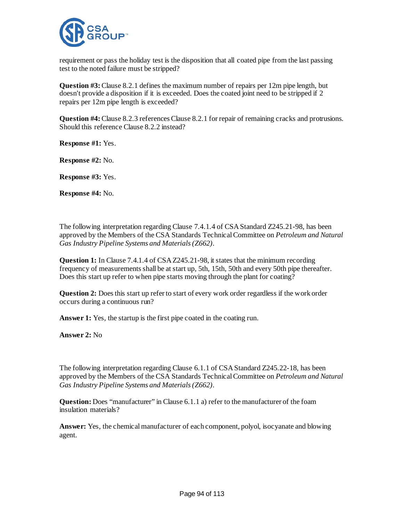

requirement or pass the holiday test is the disposition that all coated pipe from the last passing test to the noted failure must be stripped?

**Question #3:** Clause 8.2.1 defines the maximum number of repairs per 12m pipe length, but doesn't provide a disposition if it is exceeded. Does the coated joint need to be stripped if 2 repairs per 12m pipe length is exceeded?

**Question #4:** Clause 8.2.3 references Clause 8.2.1 for repair of remaining cracks and protrusions. Should this reference Clause 8.2.2 instead?

**Response #1:** Yes.

**Response #2:** No.

**Response #3:** Yes.

**Response #4:** No.

The following interpretation regarding Clause 7.4.1.4 of CSA Standard Z245.21-98, has been approved by the Members of the CSA Standards Technical Committee on *Petroleum and Natural Gas Industry Pipeline Systems and Materials (Z662)*.

**Question 1:** In Clause 7.4.1.4 of CSA Z245.21-98, it states that the minimum recording frequency of measurements shall be at start up, 5th, 15th, 50th and every 50th pipe thereafter. Does this start up refer to when pipe starts moving through the plant for coating?

**Question 2:** Does this start up refer to start of every work order regardless if the work order occurs during a continuous run?

Answer 1: Yes, the startup is the first pipe coated in the coating run.

**Answer 2:** No

The following interpretation regarding Clause 6.1.1 of CSA Standard Z245.22-18, has been approved by the Members of the CSA Standards Technical Committee on *Petroleum and Natural Gas Industry Pipeline Systems and Materials (Z662)*.

**Question:** Does "manufacturer" in Clause 6.1.1 a) refer to the manufacturer of the foam insulation materials?

**Answer:** Yes, the chemical manufacturer of each component, polyol, isocyanate and blowing agent.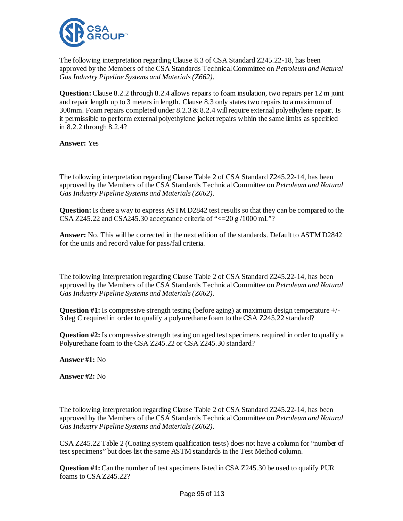

The following interpretation regarding Clause 8.3 of CSA Standard Z245.22-18, has been approved by the Members of the CSA Standards Technical Committee on *Petroleum and Natural Gas Industry Pipeline Systems and Materials (Z662)*.

**Question:**Clause 8.2.2 through 8.2.4 allows repairs to foam insulation, two repairs per 12 m joint and repair length up to 3 meters in length. Clause 8.3 only states two repairs to a maximum of 300mm. Foam repairs completed under  $8.2.3 \& 8.2.4$  will require external polyethylene repair. Is it permissible to perform external polyethylene jacket repairs within the same limits as specified in 8.2.2 through 8.2.4?

**Answer:** Yes

The following interpretation regarding Clause Table 2 of CSA Standard Z245.22-14, has been approved by the Members of the CSA Standards Technical Committee on *Petroleum and Natural Gas Industry Pipeline Systems and Materials (Z662)*.

**Question:** Is there a way to express ASTM D2842 test results so that they can be compared to the CSA Z245.22 and CSA245.30 acceptance criteria of " $\leq$  20 g /1000 mL"?

**Answer:** No. This will be corrected in the next edition of the standards. Default to ASTM D2842 for the units and record value for pass/fail criteria.

The following interpretation regarding Clause Table 2 of CSA Standard Z245.22-14, has been approved by the Members of the CSA Standards Technical Committee on *Petroleum and Natural Gas Industry Pipeline Systems and Materials (Z662)*.

**Question #1:** Is compressive strength testing (before aging) at maximum design temperature +/- 3 deg C required in order to qualify a polyurethane foam to the CSA Z245.22 standard?

**Question #2:** Is compressive strength testing on aged test specimens required in order to qualify a Polyurethane foam to the CSA Z245.22 or CSA Z245.30 standard?

**Answer #1:** No

**Answer #2:** No

The following interpretation regarding Clause Table 2 of CSA Standard Z245.22-14, has been approved by the Members of the CSA Standards Technical Committee on *Petroleum and Natural Gas Industry Pipeline Systems and Materials (Z662)*.

CSA Z245.22 Table 2 (Coating system qualification tests) does not have a column for "number of test specimens" but does list the same ASTM standards in the Test Method column.

**Question #1:** Can the number of test specimens listed in CSA Z245.30 be used to qualify PUR foams to CSA Z245.22?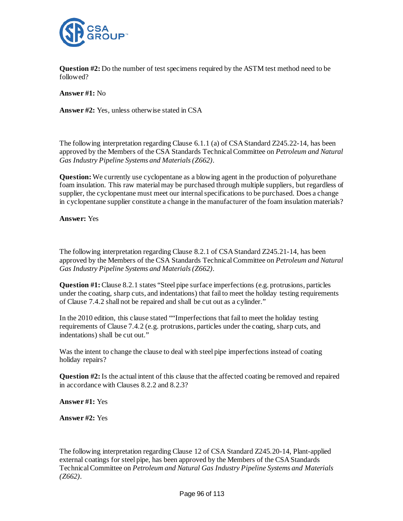

**Question #2:** Do the number of test specimens required by the ASTM test method need to be followed?

**Answer #1:** No

**Answer #2:** Yes, unless otherwise stated in CSA

The following interpretation regarding Clause 6.1.1 (a) of CSA Standard Z245.22-14, has been approved by the Members of the CSA Standards Technical Committee on *Petroleum and Natural Gas Industry Pipeline Systems and Materials (Z662)*.

**Question:** We currently use cyclopentane as a blowing agent in the production of polyurethane foam insulation. This raw material may be purchased through multiple suppliers, but regardless of supplier, the cyclopentane must meet our internal specifications to be purchased. Does a change in cyclopentane supplier constitute a change in the manufacturer of the foam insulation materials?

**Answer:** Yes

The following interpretation regarding Clause 8.2.1 of CSA Standard Z245.21-14, has been approved by the Members of the CSA Standards Technical Committee on *Petroleum and Natural Gas Industry Pipeline Systems and Materials (Z662)*.

**Question #1:** Clause 8.2.1 states "Steel pipe surface imperfections (e.g. protrusions, particles under the coating, sharp cuts, and indentations) that fail to meet the holiday testing requirements of Clause 7.4.2 shall not be repaired and shall be cut out as a cylinder."

In the 2010 edition, this clause stated ""Imperfections that fail to meet the holiday testing requirements of Clause 7.4.2 (e.g. protrusions, particles under the coating, sharp cuts, and indentations) shall be cut out."

Was the intent to change the clause to deal with steel pipe imperfections instead of coating holiday repairs?

**Question #2:** Is the actual intent of this clause that the affected coating be removed and repaired in accordance with Clauses 8.2.2 and 8.2.3?

**Answer #1:** Yes

**Answer #2:** Yes

The following interpretation regarding Clause 12 of CSA Standard Z245.20-14, Plant-applied external coatings for steel pipe, has been approved by the Members of the CSA Standards Technical Committee on *Petroleum and Natural Gas Industry Pipeline Systems and Materials (Z662)*.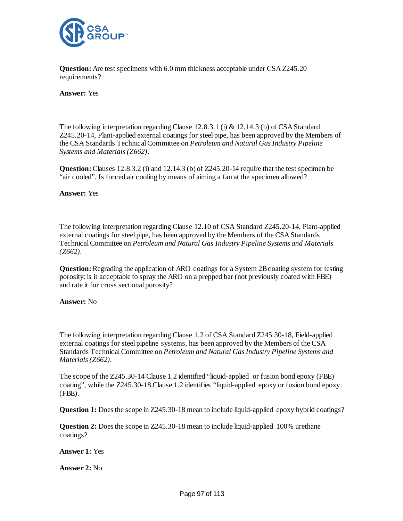

**Question:** Are test specimens with 6.0 mm thickness acceptable under CSA Z245.20 requirements?

## **Answer:** Yes

The following interpretation regarding Clause 12.8.3.1 (i) & 12.14.3 (b) of CSA Standard Z245.20-14, Plant-applied external coatings for steel pipe, has been approved by the Members of the CSA Standards Technical Committee on *Petroleum and Natural Gas Industry Pipeline Systems and Materials (Z662)*.

**Question:**Clauses 12.8.3.2 (i) and 12.14.3 (b) of Z245.20-14 require that the test specimen be "air cooled". Is forced air cooling by means of aiming a fan at the specimen allowed?

### **Answer:** Yes

The following interpretation regarding Clause 12.10 of CSA Standard Z245.20-14, Plant-applied external coatings for steel pipe, has been approved by the Members of the CSA Standards Technical Committee on *Petroleum and Natural Gas Industry Pipeline Systems and Materials (Z662)*.

**Question:** Regrading the application of ARO coatings for a System 2B coating system for testing porosity: is it acceptable to spray the ARO on a prepped bar (not previously coated with FBE) and rate it for cross sectional porosity?

### **Answer:** No

The following interpretation regarding Clause 1.2 of CSA Standard Z245.30-18, Field-applied external coatings for steel pipeline systems, has been approved by the Members of the CSA Standards Technical Committee on *Petroleum and Natural Gas Industry Pipeline Systems and Materials (Z662)*.

The scope of the Z245.30-14 Clause 1.2 identified "liquid-applied or fusion bond epoxy (FBE) coating", while the Z245.30-18 Clause 1.2 identifies "liquid-applied epoxy or fusion bond epoxy (FBE).

**Question 1:** Does the scope in Z245.30-18 mean to include liquid-applied epoxy hybrid coatings?

**Question 2:** Does the scope in Z245.30-18 mean to include liquid-applied 100% urethane coatings?

**Answer 1:** Yes

**Answer 2:** No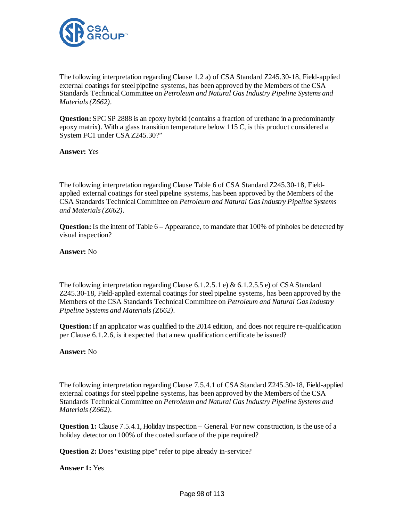

The following interpretation regarding Clause 1.2 a) of CSA Standard Z245.30-18, Field-applied external coatings for steel pipeline systems, has been approved by the Members of the CSA Standards Technical Committee on *Petroleum and Natural Gas Industry Pipeline Systems and Materials (Z662)*.

**Question:** SPC SP 2888 is an epoxy hybrid (contains a fraction of urethane in a predominantly epoxy matrix). With a glass transition temperature below 115 C, is this product considered a System FC1 under CSA Z245.30?"

**Answer:** Yes

The following interpretation regarding Clause Table 6 of CSA Standard Z245.30-18, Fieldapplied external coatings for steel pipeline systems, has been approved by the Members of the CSA Standards Technical Committee on *Petroleum and Natural Gas Industry Pipeline Systems and Materials (Z662)*.

**Question:** Is the intent of Table 6 – Appearance, to mandate that 100% of pinholes be detected by visual inspection?

**Answer:** No

The following interpretation regarding Clause 6.1.2.5.1 e) & 6.1.2.5.5 e) of CSA Standard Z245.30-18, Field-applied external coatings for steel pipeline systems, has been approved by the Members of the CSA Standards Technical Committee on *Petroleum and Natural Gas Industry Pipeline Systems and Materials (Z662)*.

**Question:** If an applicator was qualified to the 2014 edition, and does not require re-qualification per Clause 6.1.2.6, is it expected that a new qualification certificate be issued?

# **Answer:** No

The following interpretation regarding Clause 7.5.4.1 of CSA Standard Z245.30-18, Field-applied external coatings for steel pipeline systems, has been approved by the Members of the CSA Standards Technical Committee on *Petroleum and Natural Gas Industry Pipeline Systems and Materials (Z662)*.

**Question 1:** Clause 7.5.4.1, Holiday inspection – General. For new construction, is the use of a holiday detector on 100% of the coated surface of the pipe required?

**Question 2:** Does "existing pipe" refer to pipe already in-service?

**Answer 1:** Yes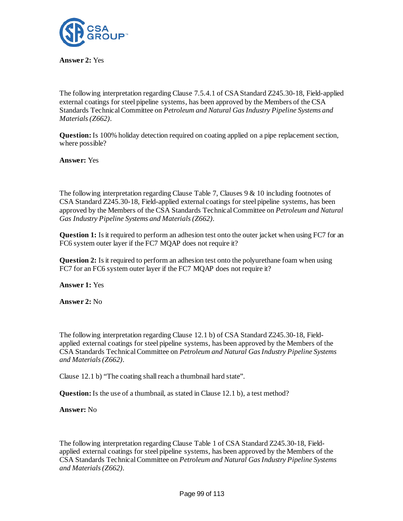

**Answer 2:** Yes

The following interpretation regarding Clause 7.5.4.1 of CSA Standard Z245.30-18, Field-applied external coatings for steel pipeline systems, has been approved by the Members of the CSA Standards Technical Committee on *Petroleum and Natural Gas Industry Pipeline Systems and Materials (Z662)*.

**Question:** Is 100% holiday detection required on coating applied on a pipe replacement section, where possible?

**Answer:** Yes

The following interpretation regarding Clause Table 7, Clauses 9 & 10 including footnotes of CSA Standard Z245.30-18, Field-applied external coatings for steel pipeline systems, has been approved by the Members of the CSA Standards Technical Committee on *Petroleum and Natural Gas Industry Pipeline Systems and Materials (Z662)*.

**Question 1:** Is it required to perform an adhesion test onto the outer jacket when using FC7 for an FC6 system outer layer if the FC7 MQAP does not require it?

**Question 2:** Is it required to perform an adhesion test onto the polyurethane foam when using FC7 for an FC6 system outer layer if the FC7 MQAP does not require it?

**Answer 1:** Yes

**Answer 2:** No

The following interpretation regarding Clause 12.1 b) of CSA Standard Z245.30-18, Fieldapplied external coatings for steel pipeline systems, has been approved by the Members of the CSA Standards Technical Committee on *Petroleum and Natural Gas Industry Pipeline Systems and Materials (Z662)*.

Clause 12.1 b) "The coating shall reach a thumbnail hard state".

**Question:** Is the use of a thumbnail, as stated in Clause 12.1 b), a test method?

**Answer:** No

The following interpretation regarding Clause Table 1 of CSA Standard Z245.30-18, Fieldapplied external coatings for steel pipeline systems, has been approved by the Members of the CSA Standards Technical Committee on *Petroleum and Natural Gas Industry Pipeline Systems and Materials (Z662)*.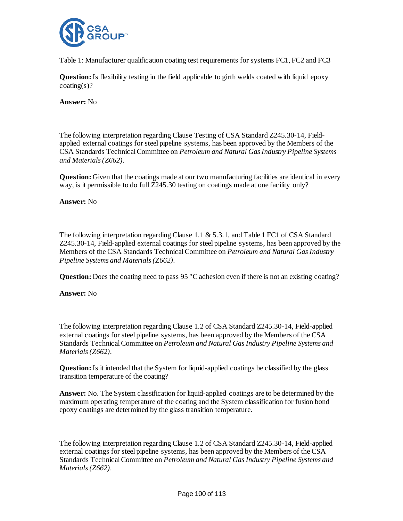

Table 1: Manufacturer qualification coating test requirements for systems FC1, FC2 and FC3

**Question:** Is flexibility testing in the field applicable to girth welds coated with liquid epoxy  $coating(s)?$ 

**Answer:** No

The following interpretation regarding Clause Testing of CSA Standard Z245.30-14, Fieldapplied external coatings for steel pipeline systems, has been approved by the Members of the CSA Standards Technical Committee on *Petroleum and Natural Gas Industry Pipeline Systems and Materials (Z662)*.

**Question:** Given that the coatings made at our two manufacturing facilities are identical in every way, is it permissible to do full Z245.30 testing on coatings made at one facility only?

# **Answer:** No

The following interpretation regarding Clause 1.1 & 5.3.1, and Table 1 FC1 of CSA Standard Z245.30-14, Field-applied external coatings for steel pipeline systems, has been approved by the Members of the CSA Standards Technical Committee on *Petroleum and Natural Gas Industry Pipeline Systems and Materials (Z662)*.

**Question:** Does the coating need to pass 95 °C adhesion even if there is not an existing coating?

**Answer:** No

The following interpretation regarding Clause 1.2 of CSA Standard Z245.30-14, Field-applied external coatings for steel pipeline systems, has been approved by the Members of the CSA Standards Technical Committee on *Petroleum and Natural Gas Industry Pipeline Systems and Materials (Z662)*.

**Question:**Is it intended that the System for liquid-applied coatings be classified by the glass transition temperature of the coating?

**Answer:** No. The System classification for liquid-applied coatings are to be determined by the maximum operating temperature of the coating and the System classification for fusion bond epoxy coatings are determined by the glass transition temperature.

The following interpretation regarding Clause 1.2 of CSA Standard Z245.30-14, Field-applied external coatings for steel pipeline systems, has been approved by the Members of the CSA Standards Technical Committee on *Petroleum and Natural Gas Industry Pipeline Systems and Materials (Z662)*.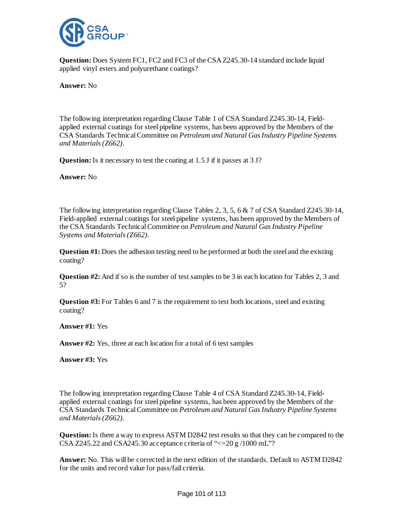

**Question:** Does System FC1, FC2 and FC3 of the CSA Z245.30-14 standard include liquid applied vinyl esters and polyurethane coatings?

**Answer:** No

The following interpretation regarding Clause Table 1 of CSA Standard Z245.30-14, Fieldapplied external coatings for steel pipeline systems, has been approved by the Members of the CSA Standards Technical Committee on *Petroleum and Natural Gas Industry Pipeline Systems and Materials (Z662)*.

**Question:** Is it necessary to test the coating at 1.5 J if it passes at 3 J?

**Answer:** No

The following interpretation regarding Clause Tables 2, 3, 5, 6 & 7 of CSA Standard Z245.30-14, Field-applied external coatings for steel pipeline systems, has been approved by the Members of the CSA Standards Technical Committee on *Petroleum and Natural Gas Industry Pipeline Systems and Materials (Z662)*.

**Question #1:** Does the adhesion testing need to be performed at both the steel and the existing coating?

**Question #2:** And if so is the number of test samples to be 3 in each location for Tables 2, 3 and 5?

**Question #3:** For Tables 6 and 7 is the requirement to test both locations, steel and existing coating?

**Answer #1:** Yes

**Answer #2:** Yes, three at each location for a total of 6 test samples

**Answer #3:** Yes

The following interpretation regarding Clause Table 4 of CSA Standard Z245.30-14, Fieldapplied external coatings for steel pipeline systems, has been approved by the Members of the CSA Standards Technical Committee on *Petroleum and Natural Gas Industry Pipeline Systems and Materials (Z662)*.

**Question:**Is there a way to express ASTM D2842 test results so that they can be compared to the CSA Z245.22 and CSA245.30 acceptance criteria of " $\leq$ =20 g /1000 mL"?

**Answer:** No. This will be corrected in the next edition of the standards. Default to ASTM D2842 for the units and record value for pass/fail criteria.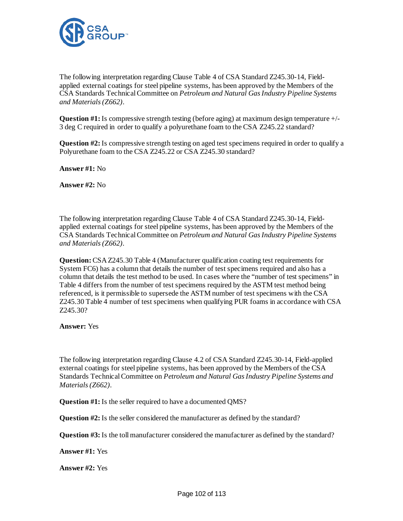

The following interpretation regarding Clause Table 4 of CSA Standard Z245.30-14, Fieldapplied external coatings for steel pipeline systems, has been approved by the Members of the CSA Standards Technical Committee on *Petroleum and Natural Gas Industry Pipeline Systems and Materials (Z662)*.

**Question #1:** Is compressive strength testing (before aging) at maximum design temperature +/- 3 deg C required in order to qualify a polyurethane foam to the CSA Z245.22 standard?

**Question #2:** Is compressive strength testing on aged test specimens required in order to qualify a Polyurethane foam to the CSA Z245.22 or CSA Z245.30 standard?

**Answer #1:** No

**Answer #2:** No

The following interpretation regarding Clause Table 4 of CSA Standard Z245.30-14, Fieldapplied external coatings for steel pipeline systems, has been approved by the Members of the CSA Standards Technical Committee on *Petroleum and Natural Gas Industry Pipeline Systems and Materials (Z662)*.

**Question:**CSA Z245.30 Table 4 (Manufacturer qualification coating test requirements for System FC6) has a column that details the number of test specimens required and also has a column that details the test method to be used. In cases where the "number of test specimens" in Table 4 differs from the number of test specimens required by the ASTM test method being referenced, is it permissible to supersede the ASTM number of test specimens with the CSA Z245.30 Table 4 number of test specimens when qualifying PUR foams in accordance with CSA Z245.30?

**Answer:** Yes

The following interpretation regarding Clause 4.2 of CSA Standard Z245.30-14, Field-applied external coatings for steel pipeline systems, has been approved by the Members of the CSA Standards Technical Committee on *Petroleum and Natural Gas Industry Pipeline Systems and Materials (Z662)*.

**Question #1:** Is the seller required to have a documented QMS?

**Question #2:** Is the seller considered the manufacturer as defined by the standard?

**Question #3:** Is the toll manufacturer considered the manufacturer as defined by the standard?

**Answer #1:** Yes

**Answer #2:** Yes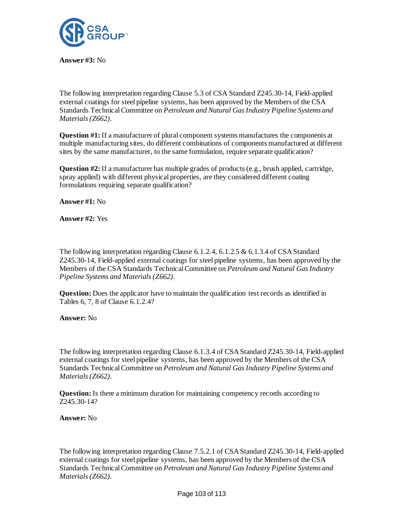

**Answer #3:** No

The following interpretation regarding Clause 5.3 of CSA Standard Z245.30-14, Field-applied external coatings for steel pipeline systems, has been approved by the Members of the CSA Standards Technical Committee on *Petroleum and Natural Gas Industry Pipeline Systems and Materials (Z662)*.

**Question #1:** If a manufacturer of plural component systems manufactures the components at multiple manufacturing sites, do different combinations of components manufactured at different sites by the same manufacturer, to the same formulation, require separate qualification?

**Question #2:** If a manufacturer has multiple grades of products (e.g., brush applied, cartridge, spray applied) with different physical properties, are they considered different coating formulations requiring separate qualification?

**Answer #1:** No

**Answer #2:** Yes

The following interpretation regarding Clause 6.1.2.4, 6.1.2.5 & 6.1.3.4 of CSA Standard Z245.30-14, Field-applied external coatings for steel pipeline systems, has been approved by the Members of the CSA Standards Technical Committee on *Petroleum and Natural Gas Industry Pipeline Systems and Materials (Z662)*.

**Question:** Does the applicator have to maintain the qualification test records as identified in Tables 6, 7, 8 of Clause 6.1.2.4?

**Answer:** No

The following interpretation regarding Clause 6.1.3.4 of CSA Standard Z245.30-14, Field-applied external coatings for steel pipeline systems, has been approved by the Members of the CSA Standards Technical Committee on *Petroleum and Natural Gas Industry Pipeline Systems and Materials (Z662)*.

**Question:** Is there a minimum duration for maintaining competency records according to Z245.30-14?

**Answer:** No

The following interpretation regarding Clause 7.5.2.1 of CSA Standard Z245.30-14, Field-applied external coatings for steel pipeline systems, has been approved by the Members of the CSA Standards Technical Committee on *Petroleum and Natural Gas Industry Pipeline Systems and Materials (Z662)*.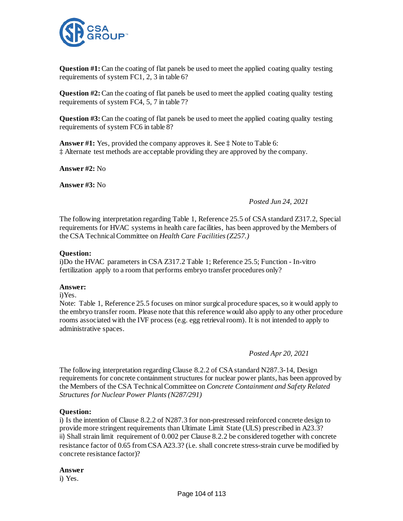

**Question #1:** Can the coating of flat panels be used to meet the applied coating quality testing requirements of system FC1, 2, 3 in table 6?

**Question #2:** Can the coating of flat panels be used to meet the applied coating quality testing requirements of system FC4, 5, 7 in table 7?

**Question #3:** Can the coating of flat panels be used to meet the applied coating quality testing requirements of system FC6 in table 8?

**Answer #1:** Yes, provided the company approves it. See ‡ Note to Table 6: ‡ Alternate test methods are acceptable providing they are approved by the company.

**Answer #2:** No

**Answer #3:** No

### *Posted Jun 24, 2021*

The following interpretation regarding Table 1, Reference 25.5 of CSA standard Z317.2, Special requirements for HVAC systems in health care facilities, has been approved by the Members of the CSA Technical Committee on *Health Care Facilities (Z257.)*

### **Question:**

i)Do the HVAC parameters in CSA Z317.2 Table 1; Reference 25.5; Function - In-vitro fertilization apply to a room that performs embryo transfer procedures only?

### **Answer:**

i)Yes.

Note: Table 1, Reference 25.5 focuses on minor surgical procedure spaces, so it would apply to the embryo transfer room. Please note that this reference would also apply to any other procedure rooms associated with the IVF process (e.g. egg retrieval room). It is not intended to apply to administrative spaces.

# *Posted Apr 20, 2021*

The following interpretation regarding Clause 8.2.2 of CSA standard N287.3-14, Design requirements for concrete containment structures for nuclear power plants, has been approved by the Members of the CSA Technical Committee on *Concrete Containment and Safety Related Structures for Nuclear Power Plants (N287/291)*

# **Question:**

i) Is the intention of Clause 8.2.2 of N287.3 for non-prestressed reinforced concrete design to provide more stringent requirements than Ultimate Limit State (ULS) prescribed in A23.3? ii) Shall strain limit requirement of 0.002 per Clause 8.2.2 be considered together with concrete resistance factor of 0.65 from CSA A23.3? (i.e. shall concrete stress-strain curve be modified by concrete resistance factor)?

**Answer**

i) Yes.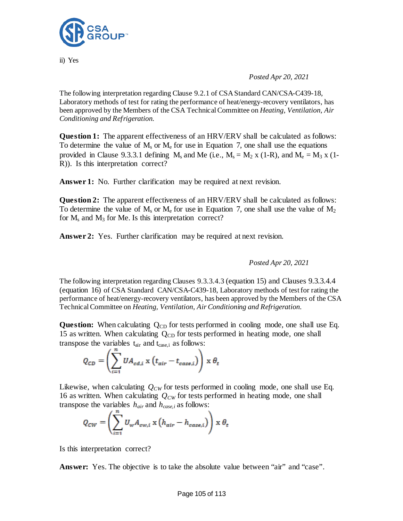

ii) Yes

*Posted Apr 20, 2021*

The following interpretation regarding Clause 9.2.1 of CSA Standard [CAN/CSA-C439-18,](http://locator.csa.ca/project_details.asp?pd=P.053253.001) Laboratory methods of test for rating the performance of heat/energy-recovery ventilators, has been approved by the Members of the CSA Technical Committee on *Heating, Ventilation, Air Conditioning and Refrigeration.*

**Question 1:** The apparent effectiveness of an HRV/ERV shall be calculated as follows: To determine the value of  $M_s$  or  $M_e$  for use in Equation 7, one shall use the equations provided in Clause 9.3.3.1 defining  $M_s$  and Me (i.e.,  $M_s = M_2$  x (1-R), and  $M_e = M_3$  x (1-R)). Is this interpretation correct?

Answer 1: No. Further clarification may be required at next revision.

**Question 2:** The apparent effectiveness of an HRV/ERV shall be calculated as follows: To determine the value of  $M_s$  or  $M_e$  for use in Equation 7, one shall use the value of  $M_2$ for  $M_s$  and  $M_3$  for Me. Is this interpretation correct?

**Answer 2:** Yes. Further clarification may be required at next revision.

*Posted Apr 20, 2021*

The following interpretation regarding Clauses 9.3.3.4.3 (equation 15) and Clauses 9.3.3.4.4 (equation 16) of CSA Standard [CAN/CSA-C439-18,](http://locator.csa.ca/project_details.asp?pd=P.053253.001) Laboratory methods of test for rating the performance of heat/energy-recovery ventilators, has been approved by the Members of the CSA Technical Committee on *Heating, Ventilation, Air Conditioning and Refrigeration.*

**Question:** When calculating Q<sub>CD</sub> for tests performed in cooling mode, one shall use Eq. 15 as written. When calculating  $Q_{CD}$  for tests performed in heating mode, one shall transpose the variables  $t_{air}$  and  $t_{case,i}$  as follows:

$$
Q_{CD} = \left(\sum_{i=1}^n UA_{cd,i} \times (t_{air} - t_{case,i})\right) \times \theta_t
$$

Likewise, when calculating  $Q_{CW}$  for tests performed in cooling mode, one shall use Eq. 16 as written. When calculating  $Q_{CW}$  for tests performed in heating mode, one shall transpose the variables  $h_{air}$  and  $h_{case,i}$  as follows:

$$
Q_{CW} = \left(\sum_{i=1}^n U_w A_{ew,i} \times (h_{air} - h_{case,i})\right) \times \theta_t
$$

Is this interpretation correct?

**Answer:** Yes. The objective is to take the absolute value between "air" and "case".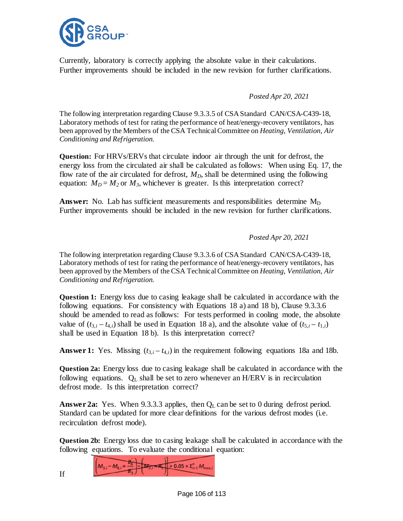

Currently, laboratory is correctly applying the absolute value in their calculations. Further improvements should be included in the new revision for further clarifications.

*Posted Apr 20, 2021*

The following interpretation regarding Clause 9.3.3.5 of CSA Standard [CAN/CSA-C439-18,](http://locator.csa.ca/project_details.asp?pd=P.053253.001) Laboratory methods of test for rating the performance of heat/energy-recovery ventilators, has been approved by the Members of the CSA Technical Committee on *Heating, Ventilation, Air Conditioning and Refrigeration.*

**Question:** For HRVs/ERVs that circulate indoor air through the unit for defrost, the energy loss from the circulated air shall be calculated as follows: When using Eq. 17, the flow rate of the air circulated for defrost,  $M_D$ , shall be determined using the following equation:  $M_D = M_2$  or  $M_3$ , whichever is greater. Is this interpretation correct?

**Answer:** No. Lab has sufficient measurements and responsibilities determine M<sub>D</sub> Further improvements should be included in the new revision for further clarifications.

*Posted Apr 20, 2021*

The following interpretation regarding Clause 9.3.3.6 of CSA Standard [CAN/CSA-C439-18,](http://locator.csa.ca/project_details.asp?pd=P.053253.001) Laboratory methods of test for rating the performance of heat/energy-recovery ventilators, has been approved by the Members of the CSA Technical Committee on *Heating, Ventilation, Air Conditioning and Refrigeration.*

**Question 1:** Energy loss due to casing leakage shall be calculated in accordance with the following equations. For consistency with Equations 18 a) and 18 b), Clause 9.3.3.6 should be amended to read as follows: For tests performed in cooling mode, the absolute value of  $(t_{3,i} - t_{4,i})$  shall be used in Equation 18 a), and the absolute value of  $(t_{5,i} - t_{1,i})$ shall be used in Equation 18 b). Is this interpretation correct?

**Answer 1:** Yes. Missing  $(t_{3,i} - t_{4,i})$  in the requirement following equations 18a and 18b.

**Question 2a:** Energy loss due to casing leakage shall be calculated in accordance with the following equations.  $Q_L$  shall be set to zero whenever an H/ERV is in recirculation defrost mode. Is this interpretation correct?

**Answer 2a:** Yes. When 9.3.3.3 applies, then  $Q_L$  can be set to 0 during defrost period. Standard can be updated for more clear definitions for the various defrost modes (i.e. recirculation defrost mode).

**Question 2b:** Energy loss due to casing leakage shall be calculated in accordance with the following equations. To evaluate the conditional equation:

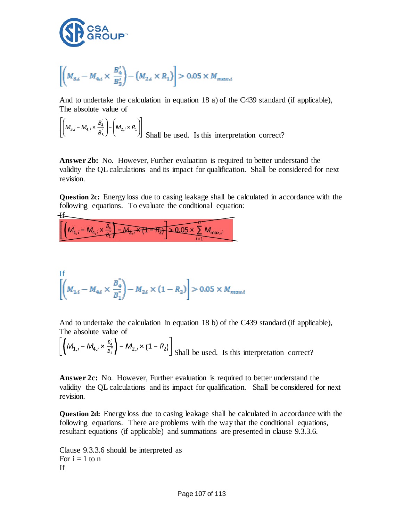

$$
\left[ \left( M_{3,i} - M_{4,i} \times \frac{B_4'}{B_3'} \right) - \left( M_{2,i} \times R_1 \right) \right] > 0.05 \times M_{max,i}
$$

And to undertake the calculation in equation 18 a) of the C439 standard (if applicable), The absolute value of

$$
\left[ \left( M_{3,i} - M_{4,i} \times \frac{B_4^{'}}{B_3^{'}} \right) - \left( M_{2,i} \times R_1 \right) \right]
$$
 shall be used. Is this interpretation correct?

**Answer 2b:** No. However, Further evaluation is required to better understand the validity the QL calculations and its impact for qualification. Shall be considered for next revision.

**Question 2c:** Energy loss due to casing leakage shall be calculated in accordance with the following equations. To evaluate the conditional equation:

H  

$$
\left[\left(M_{1,i}-M_{4,i}\times\frac{B_4}{B_1}-M_{2,i}\times\{1-R_2\}\right)\times 0.05\times\sum_{i=1}^{n}M_{\max,i}\right]
$$

If  

$$
\left[ \left( M_{1,i} - M_{4,i} \times \frac{B_4^2}{B_1^2} \right) - M_{2,i} \times (1 - R_2) \right] > 0.05 \times M_{max,i}
$$

And to undertake the calculation in equation 18 b) of the C439 standard (if applicable), The absolute value of

$$
\left[ \left( M_{1,i} - M_{4,i} \times \frac{B_4^{\prime\prime}}{B_1^{\prime\prime}} \right) - M_{2,i} \times (1 - R_2) \right]
$$
Shall be used. Is this interpretation correct?

**Answer 2c:** No. However, Further evaluation is required to better understand the validity the QL calculations and its impact for qualification. Shall be considered for next revision.

**Question 2d:** Energy loss due to casing leakage shall be calculated in accordance with the following equations. There are problems with the way that the conditional equations, resultant equations (if applicable) and summations are presented in clause 9.3.3.6.

Clause 9.3.3.6 should be interpreted as For  $i = 1$  to n If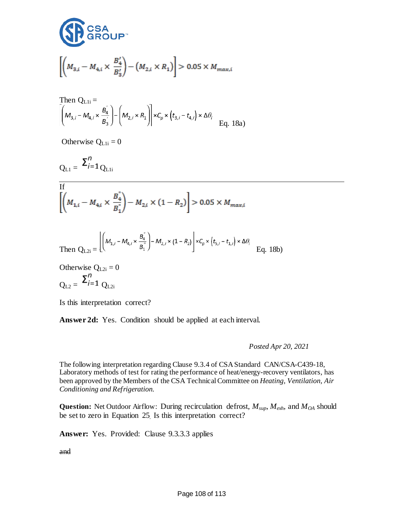

$$
\left[ \left( M_{3,i} - M_{4,i} \times \frac{B_4'}{B_3'} \right) - \left( M_{2,i} \times R_1 \right) \right] > 0.05 \times M_{max,i}
$$

Then 
$$
Q_{L1i} =
$$
  
\n
$$
\left[ \left( M_{3,i} - M_{4,i} \times \frac{B_4^{'}}{B_3^{'}} \right) - \left( M_{2,i} \times R_1 \right) \right] \times C_p \times \left( t_{3,i} - t_{4,i} \right) \times \Delta \theta_i
$$
\nEq. 18a)

Otherwise  $Q_{\text{L1i}} = 0$ 

$$
Q_{L1} = \Sigma_{i=1}^{n} Q_{L1i}
$$

If  

$$
\left[ \left( M_{1,i} - M_{4,i} \times \frac{B_4^{\circ}}{B_1^{\circ}} \right) - M_{2,i} \times (1 - R_2) \right] > 0.05 \times M_{max,i}
$$

Then 
$$
Q_{L2i} = \left[ \left( M_{1,i} - M_{4,i} \times \frac{B_i^{\prime\prime}}{B_1^{\prime\prime}} \right) - M_{2,i} \times (1 - R_2) \right] \times C_p \times \left( t_{5,i} - t_{1,i} \right) \times \Delta \theta_i
$$
 Eq. 18b)

Otherwise  $Q_{L2i} = 0$  $Q_{L2} = \sum_{i=1}^{n} Q_{L2i}$ 

Is this interpretation correct?

**Answer 2d:** Yes. Condition should be applied at each interval.

*Posted Apr 20, 2021*

The following interpretation regarding Clause 9.3.4 of CSA Standard [CAN/CSA-C439-18,](http://locator.csa.ca/project_details.asp?pd=P.053253.001) Laboratory methods of test for rating the performance of heat/energy-recovery ventilators, has been approved by the Members of the CSA Technical Committee on *Heating, Ventilation, Air Conditioning and Refrigeration.*

**Question:** Net Outdoor Airflow: During recirculation defrost, *Msup*, *Mexh*, and *MOA* should be set to zero in Equation 25. Is this interpretation correct?

**Answer:** Yes. Provided: Clause 9.3.3.3 applies

and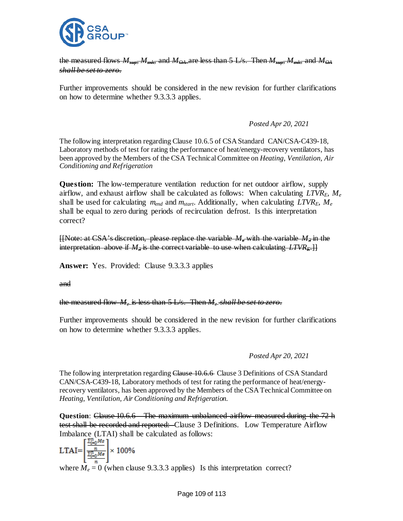

the measured flows  $M_{\text{max}}$ ,  $M_{\text{sub}}$ , and  $M_{\text{QA}}$  are less than 5 L/s. Then *shall be set to zero.* 

Further improvements should be considered in the new revision for further clarifications on how to determine whether 9.3.3.3 applies.

## *Posted Apr 20, 2021*

The following interpretation regarding Clause 10.6.5 of CSA Standard [CAN/CSA-C439-18,](http://locator.csa.ca/project_details.asp?pd=P.053253.001) Laboratory methods of test for rating the performance of heat/energy-recovery ventilators, has been approved by the Members of the CSA Technical Committee on *Heating, Ventilation, Air Conditioning and Refrigeration*

**Question:** The low-temperature ventilation reduction for net outdoor airflow, supply airflow, and exhaust airflow shall be calculated as follows: When calculating *LTVRE*, *Me* shall be used for calculating *mend* and *mstart*. Additionally, when calculating *LTVRE*, *Me* shall be equal to zero during periods of recirculation defrost. Is this interpretation correct?

 $[$ [Note: at CSA's discretion, please replace the variable  $M_e$  with the variable  $M_3$  in the interpretation above if  $M<sub>2</sub>$  is the correct variable to use when calculating  $LTVR<sub>4</sub>$ .]

**Answer:** Yes. Provided: Clause 9.3.3.3 applies

and

the measured flow *Me* is less than 5 L/s. Then *Me shall be set to zero.* 

Further improvements should be considered in the new revision for further clarifications on how to determine whether 9.3.3.3 applies.

## *Posted Apr 20, 2021*

The following interpretation regarding Clause 10.6.6 Clause 3 Definitions of CSA Standard [CAN/CSA-C439-18,](http://locator.csa.ca/project_details.asp?pd=P.053253.001) Laboratory methods of test for rating the performance of heat/energyrecovery ventilators, has been approved by the Members of the CSA Technical Committee on *Heating, Ventilation, Air Conditioning and Refrigeration.*

**Question**: Clause 10.6.6 – The maximum unbalanced airflow measured during the 72 h test shall be recorded and reported: Clause 3 Definitions. Low Temperature Airflow Imbalance (LTAI) shall be calculated as follows:

$$
LTAI = \left[\frac{\frac{\sum_{i=0}^{n}Ms}{\sum_{i=0}^{n}Ms}}{\frac{\sum_{i=0}^{n}Ms}{n}}\right] \times 100\%
$$

where  $M_e = 0$  (when clause 9.3.3.3 applies) Is this interpretation correct?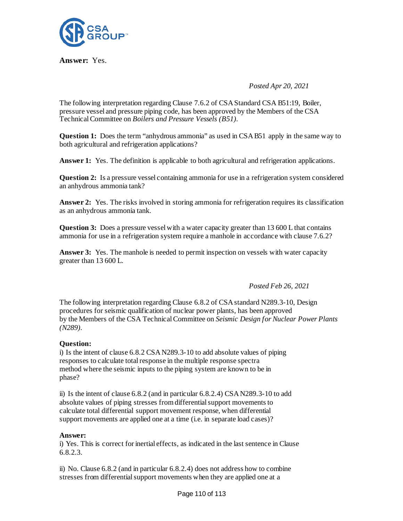

**Answer:** Yes.

*Posted Apr 20, 2021*

The following interpretation regarding Clause 7.6.2 of CSA Standard CSA B51:19, Boiler, pressure vessel and pressure piping code, has been approved by the Members of the CSA Technical Committee on *Boilers and Pressure Vessels (B51).*

**Question 1:** Does the term "anhydrous ammonia" as used in CSA B51 apply in the same way to both agricultural and refrigeration applications?

**Answer 1:** Yes. The definition is applicable to both agricultural and refrigeration applications.

**Question 2:** Is a pressure vessel containing ammonia for use in a refrigeration system considered an anhydrous ammonia tank?

**Answer 2:** Yes. The risks involved in storing ammonia for refrigeration requires its classification as an anhydrous ammonia tank.

**Question 3:** Does a pressure vessel with a water capacity greater than 13 600 L that contains ammonia for use in a refrigeration system require a manhole in accordance with clause 7.6.2?

**Answer 3:** Yes. The manhole is needed to permit inspection on vessels with water capacity greater than 13 600 L.

*Posted Feb 26, 2021*

The following interpretation regarding Clause 6.8.2 of CSA standard N289.3-10, Design procedures for seismic qualification of nuclear power plants, has been approved by the Members of the CSA Technical Committee on *Seismic Design for Nuclear Power Plants (N289).*

## **Question:**

i) Is the intent of clause 6.8.2 CSA N289.3-10 to add absolute values of piping responses to calculate total response in the multiple response spectra method where the seismic inputs to the piping system are known to be in phase?

ii) Is the intent of clause 6.8.2 (and in particular 6.8.2.4) CSA N289.3-10 to add absolute values of piping stresses from differential support movements to calculate total differential support movement response, when differential support movements are applied one at a time (i.e. in separate load cases)?

### **Answer:**

i) Yes. This is correct for inertial effects, as indicated in the last sentence in Clause 6.8.2.3.

ii) No. Clause 6.8.2 (and in particular 6.8.2.4) does not address how to combine stresses from differential support movements when they are applied one at a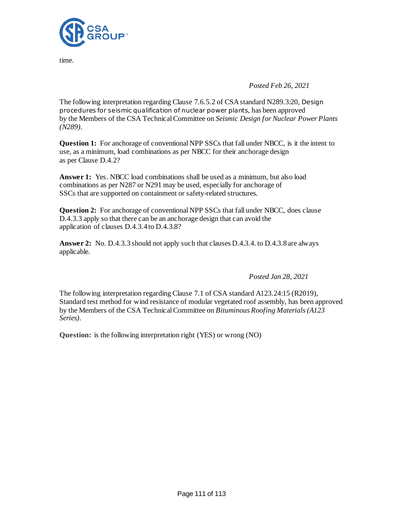

time.

*Posted Feb 26, 2021*

The following interpretation regarding Clause 7.6.5.2 of CSA standard N289.3:20, Design procedures for seismic qualification of nuclear power plants, has been approved by the Members of the CSA Technical Committee on *Seismic Design for Nuclear Power Plants (N289).*

**Question 1:** For anchorage of conventional NPP SSCs that fall under NBCC, is it the intent to use, as a minimum, load combinations as per NBCC for their anchorage design as per Clause D.4.2?

**Answer 1:** Yes. NBCC load combinations shall be used as a minimum, but also load combinations as per N287 or N291 may be used, especially for anchorage of SSCs that are supported on containment or safety-related structures.

**Question 2:** For anchorage of conventional NPP SSCs that fall under NBCC, does clause D.4.3.3 apply so that there can be an anchorage design that can avoid the application of clauses D.4.3.4 to D.4.3.8?

**Answer 2:** No. D.4.3.3 should not apply such that clauses D.4.3.4. to D.4.3.8 are always applicable.

*Posted Jan 28, 2021*

The following interpretation regarding Clause 7.1 of CSA standar[d A123.24:15 \(R2019\),](http://locator.csa.ca/project_details.asp?pd=P.051436.001) Standard test method for wind resistance of modular vegetated roof assembly, has been approved by the Members of the CSA Technical Committee on *Bituminous Roofing Materials (A123 Series).*

**Question:** is the following interpretation right (YES) or wrong (NO)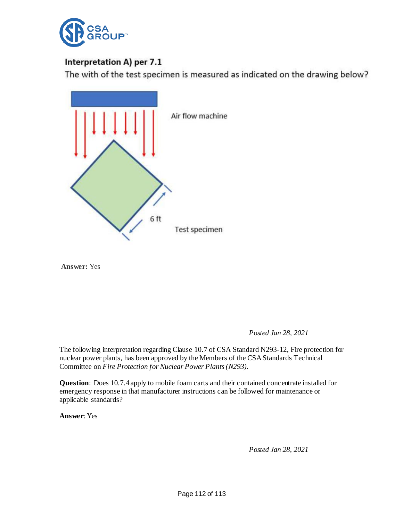

# Interpretation A) per 7.1

The with of the test specimen is measured as indicated on the drawing below?



**Answer:** Yes

*Posted Jan 28, 2021*

The following interpretation regarding Clause 10.7 of CSA Standard N293-12, Fire protection for nuclear power plants, has been approved by the Members of the CSA Standards Technical Committee on *Fire Protection for Nuclear Power Plants (N293).*

**Question**: Does 10.7.4 apply to mobile foam carts and their contained concentrate installed for emergency response in that manufacturer instructions can be followed for maintenance or applicable standards?

**Answer**: Yes

*Posted Jan 28, 2021*